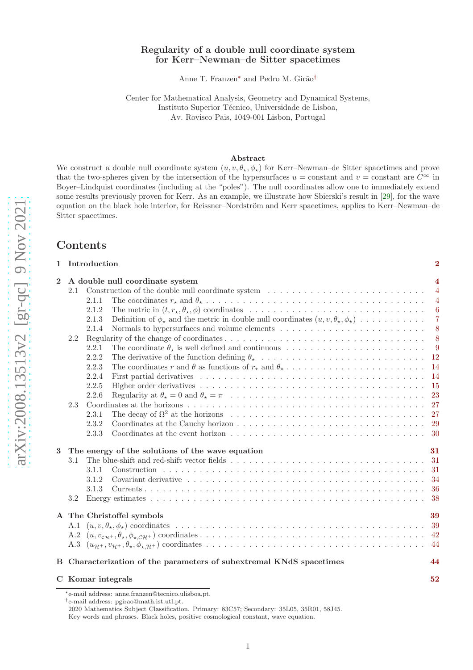## Regularity of a double null coordinate system for Kerr–Newman–de Sitter spacetimes

Anne T. Franzen<sup>\*</sup> and Pedro M. Girão<sup>[†](#page-0-1)</sup>

Center for Mathematical Analysis, Geometry and Dynamical Systems, Instituto Superior Técnico, Universidade de Lisboa, Av. Rovisco Pais, 104[9](#page-0-2)-001 Lisbon, Portugal

#### Abstract

We construct a double null coordinate system  $(u, v, \theta_\star, \phi_\star)$  for Kerr–Newman–de Sitter spacetimes and prove that the two-spheres given by the intersection of the hypersurfaces  $u = constant$  and  $v = constant$  are  $C^{\infty}$  in Boyer–Lindquist coordinates (including at the "poles"). The null coordinates allow one to immediately extend some results previously proven for Kerr. As an example, we illustrate how Sbierski's result in [\[29\]](#page-55-0), for the wave equation on the black hole interior, for Reissner–Nordström and Kerr spacetimes, applies to Kerr–Newman–de Sitter spacetimes.

## Contents

|                | 1 Introduction                                                                                                            |                |  |  |  |  |  |
|----------------|---------------------------------------------------------------------------------------------------------------------------|----------------|--|--|--|--|--|
| $\overline{2}$ | A double null coordinate system                                                                                           |                |  |  |  |  |  |
|                | Construction of the double null coordinate system $\ldots \ldots \ldots \ldots \ldots \ldots \ldots \ldots \ldots$<br>2.1 | $\overline{4}$ |  |  |  |  |  |
|                | 2.1.1                                                                                                                     | $\overline{4}$ |  |  |  |  |  |
|                | 2.1.2                                                                                                                     | 6              |  |  |  |  |  |
|                | Definition of $\phi_{\star}$ and the metric in double null coordinates $(u, v, \theta_{\star}, \phi_{\star})$<br>2.1.3    | $\overline{7}$ |  |  |  |  |  |
|                | 2.1.4                                                                                                                     | 8              |  |  |  |  |  |
|                | 2.2                                                                                                                       | 8              |  |  |  |  |  |
|                | 2.2.1                                                                                                                     | $\overline{9}$ |  |  |  |  |  |
|                | 2.2.2                                                                                                                     | <sup>12</sup>  |  |  |  |  |  |
|                | 2.2.3                                                                                                                     | 14             |  |  |  |  |  |
|                | 2.2.4                                                                                                                     | -14            |  |  |  |  |  |
|                | 2.2.5                                                                                                                     | <sup>15</sup>  |  |  |  |  |  |
|                | 2.2.6                                                                                                                     | 23             |  |  |  |  |  |
|                | 2.3                                                                                                                       | 27             |  |  |  |  |  |
|                | 2.3.1                                                                                                                     | 27             |  |  |  |  |  |
|                | 2.3.2                                                                                                                     |                |  |  |  |  |  |
|                | 2.3.3                                                                                                                     | -30            |  |  |  |  |  |
| 3              | The energy of the solutions of the wave equation                                                                          | 31             |  |  |  |  |  |
| 3.1            |                                                                                                                           |                |  |  |  |  |  |
|                | 3.1.1                                                                                                                     | 31             |  |  |  |  |  |
|                | 3.1.2                                                                                                                     | 34             |  |  |  |  |  |
|                | 3.1.3                                                                                                                     | - 36           |  |  |  |  |  |
|                | 3.2                                                                                                                       |                |  |  |  |  |  |
|                | A The Christoffel symbols                                                                                                 | 39             |  |  |  |  |  |
|                |                                                                                                                           | 39             |  |  |  |  |  |
|                |                                                                                                                           | -42            |  |  |  |  |  |
|                | A.3                                                                                                                       | 44             |  |  |  |  |  |
|                | B Characterization of the parameters of subextremal KNdS spacetimes                                                       | 44             |  |  |  |  |  |
|                | C Komar integrals                                                                                                         |                |  |  |  |  |  |
|                |                                                                                                                           | 52             |  |  |  |  |  |

<sup>∗</sup> e-mail address: anne.franzen@tecnico.ulisboa.pt.

<span id="page-0-0"></span><sup>†</sup>e-mail address: pgirao@math.ist.utl.pt.

<span id="page-0-1"></span><sup>2020</sup> Mathematics Subject Classification. Primary: 83C57; Secondary: 35L05, 35R01, 58J45.

<span id="page-0-2"></span>Key words and phrases. Black holes, positive cosmological constant, wave equation.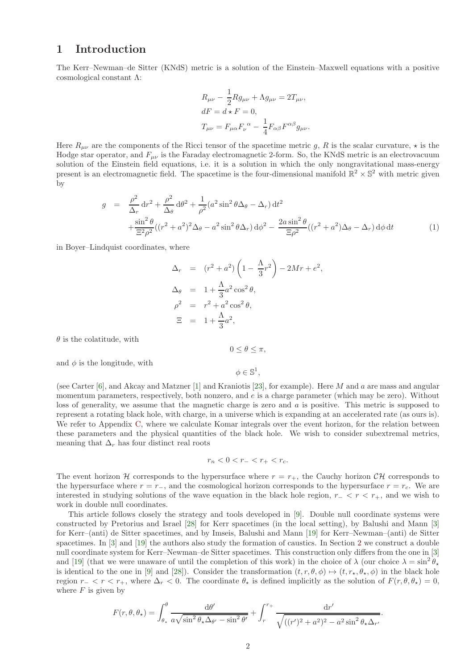# <span id="page-1-0"></span>1 Introduction

The Kerr–Newman–de Sitter (KNdS) metric is a solution of the Einstein–Maxwell equations with a positive cosmological constant Λ:

$$
R_{\mu\nu} - \frac{1}{2} R g_{\mu\nu} + \Lambda g_{\mu\nu} = 2T_{\mu\nu},
$$
  
\n
$$
dF = d \star F = 0,
$$
  
\n
$$
T_{\mu\nu} = F_{\mu\alpha} F_{\nu}^{\ \alpha} - \frac{1}{4} F_{\alpha\beta} F^{\alpha\beta} g_{\mu\nu}.
$$

Here  $R_{\mu\nu}$  are the components of the Ricci tensor of the spacetime metric g, R is the scalar curvature,  $\star$  is the Hodge star operator, and  $F_{\mu\nu}$  is the Faraday electromagnetic 2-form. So, the KNdS metric is an electrovacuum solution of the Einstein field equations, i.e. it is a solution in which the only nongravitational mass-energy present is an electromagnetic field. The spacetime is the four-dimensional manifold  $\mathbb{R}^2 \times \mathbb{S}^2$  with metric given by

<span id="page-1-1"></span>
$$
g = \frac{\rho^2}{\Delta_r} dr^2 + \frac{\rho^2}{\Delta_\theta} d\theta^2 + \frac{1}{\rho^2} (a^2 \sin^2 \theta \Delta_\theta - \Delta_r) dt^2
$$
  
 
$$
+ \frac{\sin^2 \theta}{\Xi^2 \rho^2} ((r^2 + a^2)^2 \Delta_\theta - a^2 \sin^2 \theta \Delta_r) d\phi^2 - \frac{2a \sin^2 \theta}{\Xi \rho^2} ((r^2 + a^2) \Delta_\theta - \Delta_r) d\phi dt
$$
 (1)

in Boyer–Lindquist coordinates, where

$$
\Delta_r = (r^2 + a^2) \left( 1 - \frac{\Lambda}{3} r^2 \right) - 2Mr + e^2,
$$
  
\n
$$
\Delta_\theta = 1 + \frac{\Lambda}{3} a^2 \cos^2 \theta,
$$
  
\n
$$
\rho^2 = r^2 + a^2 \cos^2 \theta,
$$
  
\n
$$
\Xi = 1 + \frac{\Lambda}{3} a^2,
$$

 $\theta$  is the colatitude, with

 $0 \leq \theta \leq \pi$ ,

and  $\phi$  is the longitude, with

 $\phi \in \mathbb{S}^1,$ 

(see Carter [\[6\]](#page-54-0), and Akcay and Matzner [\[1\]](#page-54-1) and Kraniotis [\[23\]](#page-54-2), for example). Here M and a are mass and angular momentum parameters, respectively, both nonzero, and  $e$  is a charge parameter (which may be zero). Without loss of generality, we assume that the magnetic charge is zero and a is positive. This metric is supposed to represent a rotating black hole, with charge, in a universe which is expanding at an accelerated rate (as ours is). We refer to Appendix [C,](#page-51-0) where we calculate Komar integrals over the event horizon, for the relation between these parameters and the physical quantities of the black hole. We wish to consider subextremal metrics, meaning that  $\Delta_r$  has four distinct real roots

$$
r_n < 0 < r_- < r_+ < r_c.
$$

The event horizon H corresponds to the hypersurface where  $r = r_{+}$ , the Cauchy horizon CH corresponds to the hypersurface where  $r = r_-\,$ , and the cosmological horizon corresponds to the hypersurface  $r = r_c$ . We are interested in studying solutions of the wave equation in the black hole region,  $r_ - < r < r_+$ , and we wish to work in double null coordinates.

This article follows closely the strategy and tools developed in [\[9\]](#page-54-3). Double null coordinate systems were constructed by Pretorius and Israel [\[28\]](#page-55-1) for Kerr spacetimes (in the local setting), by Balushi and Mann [\[3\]](#page-54-4) for Kerr–(anti) de Sitter spacetimes, and by Imseis, Balushi and Mann [\[19\]](#page-54-5) for Kerr–Newman–(anti) de Sitter spacetimes. In [\[3\]](#page-54-4) and [\[19\]](#page-54-5) the authors also study the formation of caustics. In Section [2](#page-3-0) we construct a double null coordinate system for Kerr–Newman–de Sitter spacetimes. This construction only differs from the one in [\[3\]](#page-54-4) and [\[19\]](#page-54-5) (that we were unaware of until the completion of this work) in the choice of  $\lambda$  (our choice  $\lambda = \sin^2 \theta_{\star}$ is identical to the one in [\[9\]](#page-54-3) and [\[28\]](#page-55-1)). Consider the transformation  $(t, r, \theta, \phi) \mapsto (t, r_\star, \theta_\star, \phi)$  in the black hole region  $r_- < r < r_+$ , where  $\Delta_r < 0$ . The coordinate  $\theta_\star$  is defined implicitly as the solution of  $F(r, \theta, \theta_\star) = 0$ , where  $F$  is given by

$$
F(r,\theta,\theta_\star) = \int_{\theta_\star}^{\theta} \frac{\mathrm{d}\theta'}{a\sqrt{\sin^2\theta_\star\Delta_{\theta'} - \sin^2\theta'}} + \int_r^{r_+} \frac{\mathrm{d}r'}{\sqrt{((r')^2 + a^2)^2 - a^2\sin^2\theta_\star\Delta_{r'}}}.
$$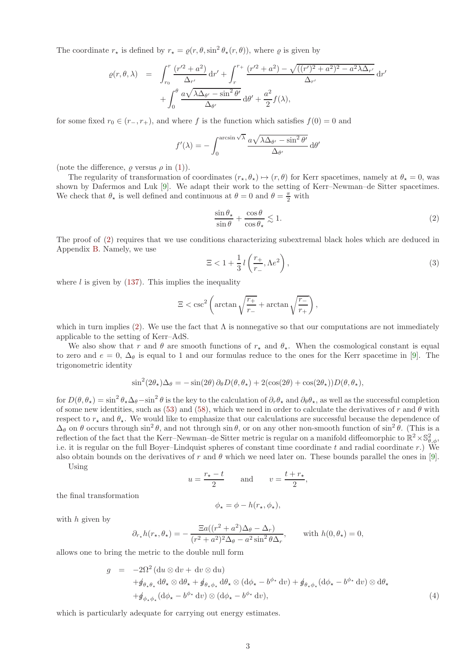The coordinate  $r_{\star}$  is defined by  $r_{\star} = \varrho(r, \theta, \sin^2 \theta_{\star}(r, \theta))$ , where  $\varrho$  is given by

$$
\varrho(r,\theta,\lambda) = \int_{r_0}^r \frac{(r'^2 + a^2)}{\Delta_{r'}} dr' + \int_r^{r_+} \frac{(r'^2 + a^2) - \sqrt{((r')^2 + a^2)^2 - a^2 \lambda \Delta_{r'}}}{\Delta_{r'}} dr
$$

$$
+ \int_0^{\theta} \frac{a\sqrt{\lambda \Delta_{\theta'} - \sin^2 \theta'}}{\Delta_{\theta'}} d\theta' + \frac{a^2}{2} f(\lambda),
$$

for some fixed  $r_0 \in (r_-, r_+)$ , and where f is the function which satisfies  $f(0) = 0$  and

$$
f'(\lambda) = -\int_0^{\arcsin\sqrt{\lambda}} \frac{a\sqrt{\lambda\Delta_{\theta'}} - \sin^2\theta'}{\Delta_{\theta'}} d\theta'
$$

(note the difference,  $\rho$  versus  $\rho$  in [\(1\)](#page-1-1)).

The regularity of transformation of coordinates  $(r, \theta) \mapsto (r, \theta)$  for Kerr spacetimes, namely at  $\theta_* = 0$ , was shown by Dafermos and Luk [\[9\]](#page-54-3). We adapt their work to the setting of Kerr–Newman–de Sitter spacetimes. We check that  $\theta_{\star}$  is well defined and continuous at  $\theta = 0$  and  $\theta = \frac{\pi}{2}$  with

<span id="page-2-0"></span>
$$
\frac{\sin \theta_{\star}}{\sin \theta} + \frac{\cos \theta_{\star}}{\cos \theta_{\star}} \lesssim 1. \tag{2}
$$

′

The proof of [\(2\)](#page-2-0) requires that we use conditions characterizing subextremal black holes which are deduced in Appendix [B.](#page-43-1) Namely, we use

<span id="page-2-2"></span>
$$
\Xi < 1 + \frac{1}{3}l\left(\frac{r_+}{r_-}, \Lambda e^2\right),\tag{3}
$$

where  $l$  is given by  $(137)$ . This implies the inequality

$$
\Xi < \csc^2\left(\arctan\sqrt{\frac{r_+}{r_-}} + \arctan\sqrt{\frac{r_-}{r_+}}\right),\,
$$

which in turn implies [\(2\)](#page-2-0). We use the fact that  $\Lambda$  is nonnegative so that our computations are not immediately applicable to the setting of Kerr–AdS.

We also show that r and  $\theta$  are smooth functions of  $r_{\star}$  and  $\theta_{\star}$ . When the cosmological constant is equal to zero and  $e = 0$ ,  $\Delta_{\theta}$  is equal to 1 and our formulas reduce to the ones for the Kerr spacetime in [\[9\]](#page-54-3). The trigonometric identity

$$
\sin^2(2\theta_\star)\Delta_\theta = -\sin(2\theta)\,\partial_\theta D(\theta,\theta_\star) + 2(\cos(2\theta) + \cos(2\theta_\star))D(\theta,\theta_\star),
$$

for  $D(\theta, \theta_\star) = \sin^2 \theta_\star \Delta_\theta - \sin^2 \theta$  is the key to the calculation of  $\partial_r \theta_\star$  and  $\partial_\theta \theta_\star$ , as well as the successful completion of some new identities, such as [\(53\)](#page-16-0) and [\(58\)](#page-17-0), which we need in order to calculate the derivatives of r and  $\theta$  with respect to  $r_{\star}$  and  $\theta_{\star}$ . We would like to emphasize that our calculations are successful because the dependence of  $\Delta_{\theta}$  on  $\theta$  occurs through sin<sup>2</sup> $\theta$ , and not through sin  $\theta$ , or on any other non-smooth function of sin<sup>2</sup> $\theta$ . (This is a reflection of the fact that the Kerr–Newman–de Sitter metric is regular on a manifold diffeomorphic to  $\mathbb{R}^2 \times \mathbb{S}^2_{\theta,\phi}$ , i.e. it is regular on the full Boyer–Lindquist spheres of constant time coordinate t and radial coordinate r.) We also obtain bounds on the derivatives of r and  $\theta$  which we need later on. These bounds parallel the ones in [\[9\]](#page-54-3).

Using

$$
u = \frac{r_{\star} - t}{2}
$$
 and  $v = \frac{t + r_{\star}}{2}$ ,

the final transformation

$$
\phi_\star = \phi - h(r_\star, \phi_\star),
$$

with  $h$  given by

$$
\partial_{r_{\star}}h(r_{\star},\theta_{\star}) = -\frac{\Xi a((r^2 + a^2)\Delta_{\theta} - \Delta_r)}{(r^2 + a^2)^2 \Delta_{\theta} - a^2 \sin^2 \theta \Delta_r}, \quad \text{with } h(0,\theta_{\star}) = 0,
$$

allows one to bring the metric to the double null form

<span id="page-2-1"></span>
$$
g = -2\Omega^2 (\mathrm{d}u \otimes \mathrm{d}v + \mathrm{d}v \otimes \mathrm{d}u)
$$
  
+  $\oint_{\theta_* \theta_*} d\theta_* \otimes d\theta_* + \oint_{\theta_* \phi_*} d\theta_* \otimes (d\phi_* - b^{\phi_*} dv) + \oint_{\theta_* \phi_*} (d\phi_* - b^{\phi_*} dv) \otimes d\theta_*+  $\oint_{\phi_* \phi_*} (d\phi_* - b^{\phi_*} dv) \otimes (d\phi_* - b^{\phi_*} dv),$  (4)$ 

which is particularly adequate for carrying out energy estimates.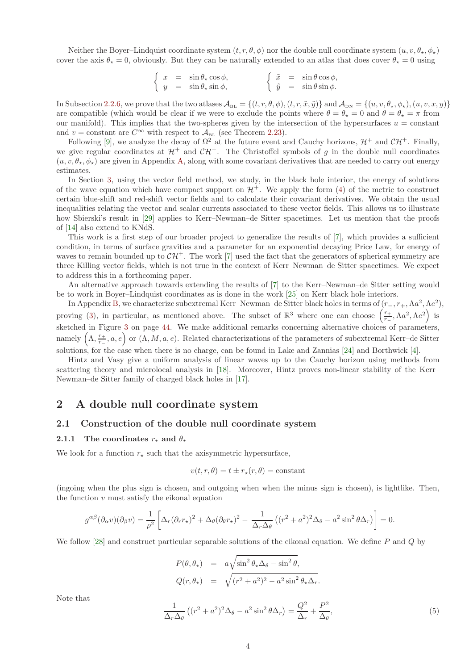Neither the Boyer–Lindquist coordinate system  $(t, r, \theta, \phi)$  nor the double null coordinate system  $(u, v, \theta_\star, \phi_\star)$ cover the axis  $\theta_{\star} = 0$ , obviously. But they can be naturally extended to an atlas that does cover  $\theta_{\star} = 0$  using

$$
\begin{cases}\n x = \sin \theta_x \cos \phi, \\
 y = \sin \theta_x \sin \phi, \\
 \end{cases}\n\qquad\n\begin{cases}\n \tilde{x} = \sin \theta \cos \phi, \\
 \tilde{y} = \sin \theta \sin \phi.\n\end{cases}
$$

In Subsection [2.2.6,](#page-22-0) we prove that the two atlases  $\mathcal{A}_{BL} = \{(t, r, \theta, \phi), (t, r, \tilde{x}, \tilde{y})\}$  and  $\mathcal{A}_{DN} = \{(u, v, \theta_{\star}, \phi_{\star}), (u, v, x, y)\}$ are compatible (which would be clear if we were to exclude the points where  $\theta = \theta_{\star} = 0$  and  $\theta = \theta_{\star} = \pi$  from our manifold). This implies that the two-spheres given by the intersection of the hypersurfaces  $u = constant$ and v = constant are  $C^{\infty}$  with respect to  $\mathcal{A}_{BL}$  (see Theorem [2.23\)](#page-26-2).

Following [\[9\]](#page-54-3), we analyze the decay of  $\Omega^2$  at the future event and Cauchy horizons,  $\mathcal{H}^+$  and  $\mathcal{CH}^+$ . Finally, we give regular coordinates at  $H^+$  and  $\mathcal{CH}^+$ . The Christoffel symbols of g in the double null coordinates  $(u, v, \theta_{\star}, \phi_{\star})$  are given in Appendix [A,](#page-38-0) along with some covariant derivatives that are needed to carry out energy estimates.

In Section [3,](#page-30-0) using the vector field method, we study, in the black hole interior, the energy of solutions of the wave equation which have compact support on  $\mathcal{H}^+$ . We apply the form [\(4\)](#page-2-1) of the metric to construct certain blue-shift and red-shift vector fields and to calculate their covariant derivatives. We obtain the usual inequalities relating the vector and scalar currents associated to these vector fields. This allows us to illustrate how Sbierski's result in [\[29\]](#page-55-0) applies to Kerr–Newman–de Sitter spacetimes. Let us mention that the proofs of [\[14\]](#page-54-6) also extend to KNdS.

This work is a first step of our broader project to generalize the results of [\[7\]](#page-54-7), which provides a sufficient condition, in terms of surface gravities and a parameter for an exponential decaying Price Law, for energy of waves to remain bounded up to  $\mathcal{CH}^+$ . The work [\[7\]](#page-54-7) used the fact that the generators of spherical symmetry are three Killing vector fields, which is not true in the context of Kerr–Newman–de Sitter spacetimes. We expect to address this in a forthcoming paper.

An alternative approach towards extending the results of [\[7\]](#page-54-7) to the Kerr–Newman–de Sitter setting would be to work in Boyer–Lindquist coordinates as is done in the work [\[25\]](#page-55-2) on Kerr black hole interiors.

In Appendix [B,](#page-43-1) we characterize subextremal Kerr–Newman–de Sitter black holes in terms of  $(r_-, r_+, \Lambda a^2, \Lambda e^2)$ , proving [\(3\)](#page-2-2), in particular, as mentioned above. The subset of  $\mathbb{R}^3$  where one can choose  $\left(\frac{r_+}{r_+}\right)$  $\left( \frac{r_{+}}{r_{-}}, \Lambda a^2, \Lambda e^2 \right)$  is sketched in Figure [3](#page-43-2) on page [44.](#page-43-2) We make additional remarks concerning alternative choices of parameters, namely  $(\Lambda, \frac{r_+}{r_+})$  $\left(r_{+}^{\mu},a,e\right)$  or  $(\Lambda, M, a, e)$ . Related characterizations of the parameters of subextremal Kerr–de Sitter solutions, for the case when there is no charge, can be found in Lake and Zannias [\[24\]](#page-55-3) and Borthwick [\[4\]](#page-54-8).

Hintz and Vasy give a uniform analysis of linear waves up to the Cauchy horizon using methods from scattering theory and microlocal analysis in [\[18\]](#page-54-9). Moreover, Hintz proves non-linear stability of the Kerr– Newman–de Sitter family of charged black holes in [\[17\]](#page-54-10).

## <span id="page-3-0"></span>2 A double null coordinate system

## <span id="page-3-2"></span><span id="page-3-1"></span>2.1 Construction of the double null coordinate system

#### 2.1.1 The coordinates  $r_{\star}$  and  $\theta_{\star}$

We look for a function  $r_{\star}$  such that the axisymmetric hypersurface,

$$
v(t, r, \theta) = t \pm r_*(r, \theta) = \text{constant}
$$

(ingoing when the plus sign is chosen, and outgoing when when the minus sign is chosen), is lightlike. Then, the function  $v$  must satisfy the eikonal equation

$$
g^{\alpha\beta}(\partial_{\alpha}v)(\partial_{\beta}v) = \frac{1}{\rho^2} \left[ \Delta_r (\partial_r r_{\star})^2 + \Delta_\theta (\partial_\theta r_{\star})^2 - \frac{1}{\Delta_r \Delta_\theta} \left( (r^2 + a^2)^2 \Delta_\theta - a^2 \sin^2 \theta \Delta_r \right) \right] = 0.
$$

We follow  $[28]$  and construct particular separable solutions of the eikonal equation. We define P and Q by

$$
P(\theta, \theta_{\star}) = a \sqrt{\sin^2 \theta_{\star} \Delta_{\theta} - \sin^2 \theta},
$$
  

$$
Q(r, \theta_{\star}) = \sqrt{(r^2 + a^2)^2 - a^2 \sin^2 \theta_{\star} \Delta_r}.
$$

Note that

<span id="page-3-3"></span>
$$
\frac{1}{\Delta_r \Delta_\theta} \left( (r^2 + a^2)^2 \Delta_\theta - a^2 \sin^2 \theta \Delta_r \right) = \frac{Q^2}{\Delta_r} + \frac{P^2}{\Delta_\theta},\tag{5}
$$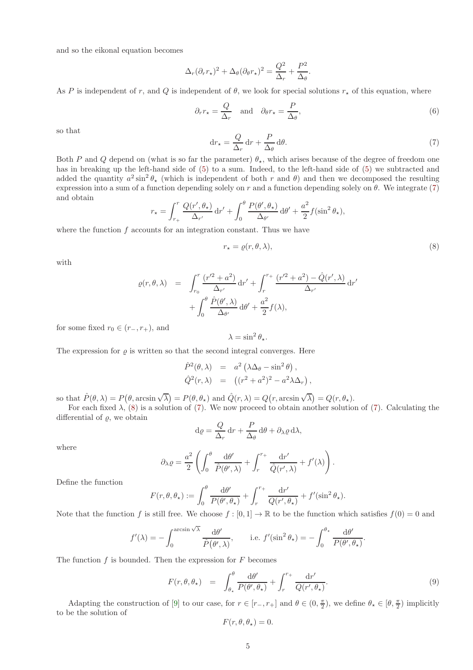and so the eikonal equation becomes

$$
\Delta_r(\partial_r r_\star)^2 + \Delta_\theta(\partial_\theta r_\star)^2 = \frac{Q^2}{\Delta_r} + \frac{P^2}{\Delta_\theta}.
$$

As P is independent of r, and Q is independent of  $\theta$ , we look for special solutions  $r_{\star}$  of this equation, where

<span id="page-4-3"></span>
$$
\partial_r r_{\star} = \frac{Q}{\Delta_r} \quad \text{and} \quad \partial_\theta r_{\star} = \frac{P}{\Delta_\theta},\tag{6}
$$

so that

<span id="page-4-0"></span>
$$
\mathrm{d}r_{\star} = \frac{Q}{\Delta_r} \,\mathrm{d}r + \frac{P}{\Delta_\theta} \,\mathrm{d}\theta. \tag{7}
$$

Both P and Q depend on (what is so far the parameter)  $\theta_{\star}$ , which arises because of the degree of freedom one has in breaking up the left-hand side of [\(5\)](#page-3-3) to a sum. Indeed, to the left-hand side of [\(5\)](#page-3-3) we subtracted and added the quantity  $a^2 \sin^2 \theta_{\star}$  (which is independent of both r and  $\theta$ ) and then we decomposed the resulting expression into a sum of a function depending solely on r and a function depending solely on  $\theta$ . We integrate [\(7\)](#page-4-0) and obtain

$$
r_{\star} = \int_{r_{+}}^{r} \frac{Q(r', \theta_{\star})}{\Delta_{r'}} dr' + \int_{0}^{\theta} \frac{P(\theta', \theta_{\star})}{\Delta_{\theta'}} d\theta' + \frac{a^2}{2} f(\sin^2 \theta_{\star}),
$$

where the function  $f$  accounts for an integration constant. Thus we have

<span id="page-4-1"></span>
$$
r_{\star} = \varrho(r, \theta, \lambda),\tag{8}
$$

with

$$
\varrho(r,\theta,\lambda) = \int_{r_0}^r \frac{(r'^2 + a^2)}{\Delta_{r'}} dr' + \int_r^{r_+} \frac{(r'^2 + a^2) - \hat{Q}(r',\lambda)}{\Delta_{r'}} dr' + \int_0^{\theta} \frac{\hat{P}(\theta',\lambda)}{\Delta_{\theta'}} d\theta' + \frac{a^2}{2} f(\lambda),
$$

for some fixed  $r_0 \in (r_-, r_+),$  and

$$
\lambda = \sin^2 \theta_\star.
$$

The expression for  $\rho$  is written so that the second integral converges. Here

$$
\hat{P}^2(\theta, \lambda) = a^2 (\lambda \Delta_\theta - \sin^2 \theta), \n\hat{Q}^2(r, \lambda) = ((r^2 + a^2)^2 - a^2 \lambda \Delta_r),
$$

so that  $\hat{P}(\theta, \lambda) = P(\theta, \arcsin \sqrt{\lambda}) = P(\theta, \theta_\star)$  and  $\hat{Q}(r, \lambda) = Q(r, \arcsin \sqrt{\lambda}) = Q(r, \theta_\star)$ .

For each fixed  $\lambda$ , [\(8\)](#page-4-1) is a solution of [\(7\)](#page-4-0). We now proceed to obtain another solution of (7). Calculating the differential of  $\varrho$ , we obtain

$$
\mathrm{d}\varrho = \frac{Q}{\Delta_r} \,\mathrm{d}r + \frac{P}{\Delta_\theta} \,\mathrm{d}\theta + \partial_\lambda \varrho \,\mathrm{d}\lambda,
$$

where

$$
\partial_{\lambda}\varrho=\frac{a^2}{2}\left(\int_0^{\theta}\frac{\mathrm{d}\theta'}{\hat{P}(\theta',\lambda)}+\int_r^{r_+}\frac{\mathrm{d}r'}{\hat{Q}(r',\lambda)}+f'(\lambda)\right).
$$

Define the function

$$
F(r,\theta,\theta_\star) := \int_0^\theta \frac{\mathrm{d}\theta'}{P(\theta',\theta_\star)} + \int_r^{r_+} \frac{\mathrm{d}r'}{Q(r',\theta_\star)} + f'(\sin^2\theta_\star).
$$

Note that the function f is still free. We choose  $f : [0,1] \to \mathbb{R}$  to be the function which satisfies  $f(0) = 0$  and

$$
f'(\lambda) = -\int_0^{\arcsin\sqrt{\lambda}} \frac{\mathrm{d}\theta'}{\hat{P}(\theta', \lambda)}, \qquad \text{i.e. } f'(\sin^2 \theta_\star) = -\int_0^{\theta_\star} \frac{\mathrm{d}\theta'}{P(\theta', \theta_\star)}.
$$

The function  $f$  is bounded. Then the expression for  $F$  becomes

<span id="page-4-2"></span>
$$
F(r, \theta, \theta_{\star}) = \int_{\theta_{\star}}^{\theta} \frac{\mathrm{d}\theta'}{P(\theta', \theta_{\star})} + \int_{r}^{r_{+}} \frac{\mathrm{d}r'}{Q(r', \theta_{\star})}.
$$
\n(9)

Adapting the construction of [\[9\]](#page-54-3) to our case, for  $r \in [r_-, r_+]$  and  $\theta \in (0, \frac{\pi}{2})$ , we define  $\theta_* \in [\theta, \frac{\pi}{2})$  implicitly to be the solution of

$$
F(r, \theta, \theta_*) = 0.
$$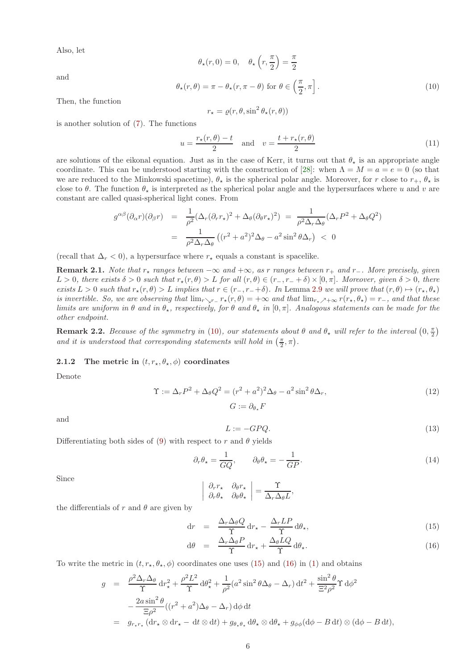Also, let

and

<span id="page-5-1"></span>
$$
\theta_{\star}(r,0) = 0, \quad \theta_{\star}\left(r, \frac{\pi}{2}\right) = \frac{\pi}{2}
$$

$$
\theta_{\star}(r,\theta) = \pi - \theta_{\star}(r,\pi-\theta) \text{ for } \theta \in \left(\frac{\pi}{2}, \pi\right]. \tag{10}
$$

Then, the function

$$
r_{\star} = \varrho(r, \theta, \sin^2 \theta_{\star}(r, \theta))
$$

is another solution of [\(7\)](#page-4-0). The functions

<span id="page-5-3"></span>
$$
u = \frac{r_{\star}(r,\theta) - t}{2} \quad \text{and} \quad v = \frac{t + r_{\star}(r,\theta)}{2} \tag{11}
$$

are solutions of the eikonal equation. Just as in the case of Kerr, it turns out that  $\theta_{\star}$  is an appropriate angle coordinate. This can be understood starting with the construction of [\[28\]](#page-55-1): when  $\Lambda = M = a = e = 0$  (so that we are reduced to the Minkowski spacetime),  $\theta_{\star}$  is the spherical polar angle. Moreover, for r close to  $r_{+}$ ,  $\theta_{\star}$  is close to  $\theta$ . The function  $\theta_{\star}$  is interpreted as the spherical polar angle and the hypersurfaces where u and v are constant are called quasi-spherical light cones. From

$$
g^{\alpha\beta}(\partial_{\alpha}r)(\partial_{\beta}r) = \frac{1}{\rho^2}(\Delta_r(\partial_r r_*)^2 + \Delta_\theta(\partial_\theta r_*)^2) = \frac{1}{\rho^2 \Delta_r \Delta_\theta}(\Delta_r P^2 + \Delta_\theta Q^2)
$$
  
= 
$$
\frac{1}{\rho^2 \Delta_r \Delta_\theta}((r^2 + a^2)^2 \Delta_\theta - a^2 \sin^2 \theta \Delta_r) < 0
$$

(recall that  $\Delta_r < 0$ ), a hypersurface where  $r_{\star}$  equals a constant is spacelike.

<span id="page-5-7"></span>Remark 2.1. Note that  $r_{\star}$  ranges between  $-\infty$  and  $+\infty$ , as r ranges between  $r_{+}$  and r\_. More precisely, given  $L > 0$ , there exists  $\delta > 0$  such that  $r_*(r, \theta) > L$  for all  $(r, \theta) \in (r_-, r_- + \delta) \times [0, \pi]$ . Moreover, given  $\delta > 0$ , there exists  $L > 0$  such that  $r_*(r, \theta) > L$  implies that  $r \in (r_-, r_-+\delta)$ . In Lemma [2.9](#page-13-2) we will prove that  $(r, \theta) \mapsto (r_*, \theta_*)$ is invertible. So, we are observing that  $\lim_{r\searrow r_-} r_*(r,\theta) = +\infty$  and that  $\lim_{r\to r_+} \chi_{+\infty} r(r_*,\theta_*) = r_-,$  and that these limits are uniform in  $\theta$  and in  $\theta_{\star}$ , respectively, for  $\theta$  and  $\theta_{\star}$  in  $[0, \pi]$ . Analogous statements can be made for the other endpoint.

**Remark 2.2.** Because of the symmetry in [\(10\)](#page-5-1), our statements about  $\theta$  and  $\theta_{\star}$  will refer to the interval  $(0, \frac{\pi}{2})$ and it is understood that corresponding statements will hold in  $(\frac{\pi}{2}, \pi)$ .

#### <span id="page-5-0"></span>2.1.2 The metric in  $(t, r_{\star}, \theta_{\star}, \phi)$  coordinates

Denote

<span id="page-5-5"></span>
$$
\Upsilon := \Delta_r P^2 + \Delta_\theta Q^2 = (r^2 + a^2)^2 \Delta_\theta - a^2 \sin^2 \theta \Delta_r, \nG := \partial_{\theta_\star} F
$$
\n(12)

and

<span id="page-5-4"></span>
$$
L := -GPQ.\tag{13}
$$

Differentiating both sides of [\(9\)](#page-4-2) with respect to r and  $\theta$  yields

<span id="page-5-6"></span>
$$
\partial_r \theta_\star = \frac{1}{GQ}, \qquad \partial_\theta \theta_\star = -\frac{1}{GP}.\tag{14}
$$

Since

$$
\left| \begin{array}{cc} \partial_r r_{\star} & \partial_{\theta} r_{\star} \\ \partial_r \theta_{\star} & \partial_{\theta} \theta_{\star} \end{array} \right| = \frac{\Upsilon}{\Delta_r \Delta_{\theta} L},
$$

the differentials of  $r$  and  $\theta$  are given by

<span id="page-5-2"></span>
$$
\mathrm{d}r = \frac{\Delta_r \Delta_\theta Q}{\Upsilon} \, \mathrm{d}r_\star - \frac{\Delta_r LP}{\Upsilon} \, \mathrm{d}\theta_\star,\tag{15}
$$

$$
d\theta = \frac{\Delta_r \bar{\Delta}_\theta P}{\Upsilon} dr_\star + \frac{\Delta_\theta L Q}{\Upsilon} d\theta_\star.
$$
\n(16)

To write the metric in  $(t, r_\star, \theta_\star, \phi)$  coordinates one uses [\(15\)](#page-5-2) and [\(16\)](#page-5-2) in [\(1\)](#page-1-1) and obtains

$$
g = \frac{\rho^2 \Delta_r \Delta_\theta}{\Upsilon} dr_\star^2 + \frac{\rho^2 L^2}{\Upsilon} d\theta_\star^2 + \frac{1}{\rho^2} (a^2 \sin^2 \theta \Delta_\theta - \Delta_r) dt^2 + \frac{\sin^2 \theta}{\Xi^2 \rho^2} \Upsilon d\phi^2
$$
  

$$
- \frac{2a \sin^2 \theta}{\Xi \rho^2} ((r^2 + a^2) \Delta_\theta - \Delta_r) d\phi dt
$$
  

$$
= g_{r_\star r_\star} (dr_\star \otimes dr_\star - dt \otimes dt) + g_{\theta_\star \theta_\star} d\theta_\star \otimes d\theta_\star + g_{\phi \phi} (d\phi - B dt) \otimes (d\phi - B dt),
$$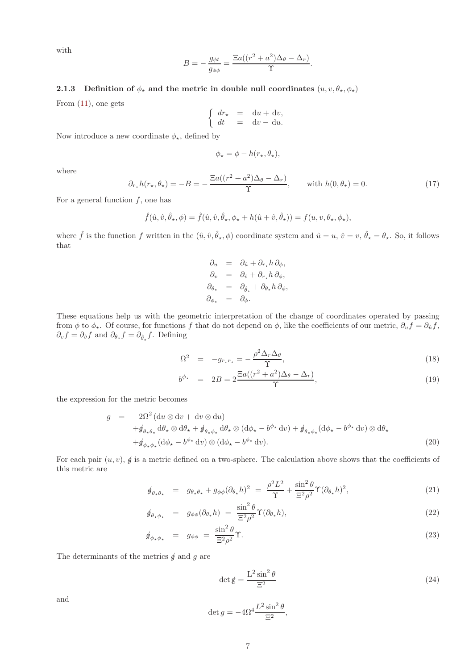with

$$
B = -\frac{g_{\phi t}}{g_{\phi\phi}} = \frac{\Xi a((r^2 + a^2)\Delta_\theta - \Delta_r)}{\Upsilon}.
$$

<span id="page-6-0"></span>2.1.3 Definition of  $\phi_{\star}$  and the metric in double null coordinates  $(u, v, \theta_{\star}, \phi_{\star})$ From [\(11\)](#page-5-3), one gets

$$
\begin{cases}\n dr_{\star} = du + dv, \\
 dt = dv - du.\n\end{cases}
$$

Now introduce a new coordinate  $\phi_{\star}$ , defined by

$$
\phi_\star = \phi - h(r_\star, \theta_\star),
$$

where

<span id="page-6-3"></span>
$$
\partial_{r_{\star}}h(r_{\star},\theta_{\star}) = -B = -\frac{\Xi a((r^2 + a^2)\Delta_{\theta} - \Delta_r)}{\Upsilon}, \quad \text{with } h(0,\theta_{\star}) = 0.
$$
 (17)

For a general function  $f$ , one has

$$
\hat{f}(\hat{u},\hat{v},\hat{\theta}_{\star},\phi) = \hat{f}(\hat{u},\hat{v},\hat{\theta}_{\star},\phi_{\star} + h(\hat{u} + \hat{v},\hat{\theta}_{\star})) = f(u,v,\theta_{\star},\phi_{\star}),
$$

where  $\hat{f}$  is the function f written in the  $(\hat{u}, \hat{v}, \hat{\theta}_*, \phi)$  coordinate system and  $\hat{u} = u, \hat{v} = v, \hat{\theta}_* = \theta_*$ . So, it follows that

$$
\begin{array}{rcl} \partial_u &=& \partial_{\hat{u}} + \partial_{r_\star} h \, \partial_\phi, \\ \partial_v &=& \partial_{\hat{v}} + \partial_{r_\star} h \, \partial_\phi, \\ \partial_{\theta_\star} &=& \partial_{\hat{\theta}_\star} + \partial_{\theta_\star} h \, \partial_\phi, \\ \partial_{\phi_\star} &=& \partial_\phi. \end{array}
$$

These equations help us with the geometric interpretation of the change of coordinates operated by passing from  $\phi$  to  $\phi_{\star}$ . Of course, for functions f that do not depend on  $\phi$ , like the coefficients of our metric,  $\partial_{u} f = \partial_{\hat{u}} f$ ,  $\partial_v f = \partial_{\hat{v}} f$  and  $\partial_{\theta_\star} f = \partial_{\hat{\theta}_\star} f$ . Defining

<span id="page-6-4"></span>
$$
\Omega^2 = -g_{r_{\star}r_{\star}} = -\frac{\rho^2 \Delta_r \Delta_\theta}{\Upsilon},\tag{18}
$$

$$
b^{\phi_{\star}} = 2B = 2\frac{\Xi a((r^2 + a^2)\Delta_{\theta} - \Delta_r)}{\Upsilon},\tag{19}
$$

the expression for the metric becomes

<span id="page-6-5"></span>
$$
g = -2\Omega^2 (\mathrm{d}u \otimes \mathrm{d}v + \mathrm{d}v \otimes \mathrm{d}u)
$$
  
+  $\oint_{\theta_*\theta_*} \mathrm{d}\theta_* \otimes \mathrm{d}\theta_* + \oint_{\theta_*\phi_*} \mathrm{d}\theta_* \otimes (\mathrm{d}\phi_* - b^{\phi_*} \mathrm{d}v) + \oint_{\theta_*\phi_*} (\mathrm{d}\phi_* - b^{\phi_*} \mathrm{d}v) \otimes \mathrm{d}\theta_*$   
+  $\oint_{\phi_*\phi_*} (\mathrm{d}\phi_* - b^{\phi_*} \mathrm{d}v) \otimes (\mathrm{d}\phi_* - b^{\phi_*} \mathrm{d}v).$  (20)

For each pair  $(u, v)$ ,  $\oint$  is a metric defined on a two-sphere. The calculation above shows that the coefficients of this metric are

<span id="page-6-2"></span>
$$
\phi_{\theta_{\star}\theta_{\star}} = g_{\theta_{\star}\theta_{\star}} + g_{\phi\phi}(\partial_{\theta_{\star}}h)^2 = \frac{\rho^2 L^2}{\Upsilon} + \frac{\sin^2\theta}{\Xi^2 \rho^2} \Upsilon(\partial_{\theta_{\star}}h)^2, \tag{21}
$$

$$
\phi_{\theta_{\star}\phi_{\star}} = g_{\phi\phi}(\partial_{\theta_{\star}}h) = \frac{\sin^2\theta}{\Xi^2\rho^2} \Upsilon(\partial_{\theta_{\star}}h), \tag{22}
$$

$$
\phi_{\phi_*\phi_*} = g_{\phi\phi} = \frac{\sin^2 \theta}{\Xi^2 \rho^2} \Upsilon.
$$
\n(23)

The determinants of the metrics  $\oint$  and g are

<span id="page-6-1"></span>
$$
\det g = \frac{L^2 \sin^2 \theta}{\Xi^2} \tag{24}
$$

and

$$
\det g = -4\Omega^4 \frac{L^2 \sin^2 \theta}{\Xi^2},
$$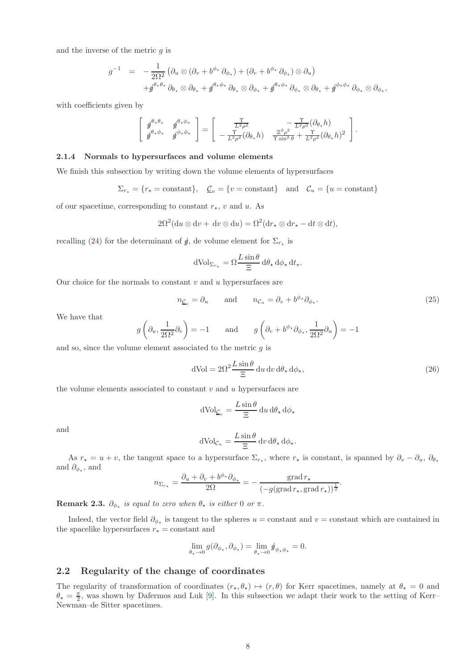and the inverse of the metric  $q$  is

$$
g^{-1} = -\frac{1}{2\Omega^2} \left( \partial_u \otimes (\partial_v + b^{\phi_\star} \partial_{\phi_\star}) + (\partial_v + b^{\phi_\star} \partial_{\phi_\star}) \otimes \partial_u \right) + g^{\theta_\star \theta_\star} \partial_{\theta_\star} \otimes \partial_{\theta_\star} + g^{\theta_\star \phi_\star} \partial_{\theta_\star} \otimes \partial_{\phi_\star} + g^{\theta_\star \phi_\star} \partial_{\phi_\star} \otimes \partial_{\theta_\star} + g^{\phi_\star \phi_\star} \partial_{\phi_\star} \otimes \partial_{\phi_\star},
$$

with coefficients given by

$$
\left[\begin{array}{cc} \mathbf{g}^{\theta_{\star}\theta_{\star}} & \mathbf{g}^{\theta_{\star}\phi_{\star}} \\ \mathbf{g}^{\theta_{\star}\phi_{\star}} & \mathbf{g}^{\phi_{\star}\phi_{\star}} \end{array}\right] = \left[\begin{array}{cc} \frac{\Upsilon}{L^2\rho^2} & -\frac{\Upsilon}{L^2\rho^2}(\partial_{\theta_{\star}}h) \\ -\frac{\Upsilon}{L^2\rho^2}(\partial_{\theta_{\star}}h) & \frac{\Xi^2\rho^2}{\Upsilon\sin^2\theta} + \frac{\Upsilon}{L^2\rho^2}(\partial_{\theta_{\star}}h)^2 \end{array}\right].
$$

#### <span id="page-7-0"></span>2.1.4 Normals to hypersurfaces and volume elements

We finish this subsection by writing down the volume elements of hypersurfaces

$$
\Sigma_{r_{\star}} = \{r_{\star} = \text{constant}\}, \quad \underline{\mathcal{C}}_v = \{v = \text{constant}\} \quad \text{and} \quad \mathcal{C}_u = \{u = \text{constant}\}
$$

of our spacetime, corresponding to constant  $r_{\star}$ , v and u. As

$$
2\Omega^2(\mathrm{d}u\otimes\mathrm{d}v+\mathrm{d}v\otimes\mathrm{d}u)=\Omega^2(\mathrm{d}r_{\star}\otimes\mathrm{d}r_{\star}-\mathrm{d}t\otimes\mathrm{d}t),
$$

recalling [\(24\)](#page-6-1) for the determinant of  $\oint$ , de volume element for  $\Sigma_{r_{\star}}$  is

$$
d\text{Vol}_{\Sigma_{r_{\star}}} = \Omega \frac{L \sin \theta}{\Xi} d\theta_{\star} d\phi_{\star} dt_{\star}.
$$

Our choice for the normals to constant  $v$  and  $u$  hypersurfaces are

<span id="page-7-3"></span>
$$
n_{\underline{\mathcal{C}}_v} = \partial_u \qquad \text{and} \qquad n_{\mathcal{C}_u} = \partial_v + b^{\phi_\star} \partial_{\phi_\star}.
$$
 (25)

We have that

$$
g\left(\partial_u, \frac{1}{2\Omega^2}\partial_v\right) = -1
$$
 and  $g\left(\partial_v + b^{\phi_\star}\partial_{\phi_\star}, \frac{1}{2\Omega^2}\partial_u\right) = -1$ 

and so, since the volume element associated to the metric  $g$  is

<span id="page-7-2"></span>
$$
dVol = 2\Omega^2 \frac{L\sin\theta}{\Xi} du dv d\theta_\star d\phi_\star,
$$
\n(26)

the volume elements associated to constant  $v$  and  $u$  hypersurfaces are

$$
d{\rm Vol}_{\underline{\mathcal{C}}_v}=\frac{L\sin\theta}{\Xi}\, {\rm d} u\, {\rm d}\theta_\star\, {\rm d}\phi_\star
$$

and

$$
d\text{Vol}_{\mathcal{C}_u} = \frac{L\sin\theta}{\Xi} dv d\theta_\star d\phi_\star.
$$

As  $r_{\star} = u + v$ , the tangent space to a hypersurface  $\Sigma_{r_{\star}}$ , where  $r_{\star}$  is constant, is spanned by  $\partial_v - \partial_u$ ,  $\partial_{\theta_{\star}}$ and  $\partial_{\phi_\star}$ , and

$$
n_{\Sigma_{r_{\star}}} = \frac{\partial_u + \partial_v + b^{\phi_{\star}} \partial_{\phi_{\star}}}{2\Omega} = -\frac{\operatorname{grad} r_{\star}}{(-g(\operatorname{grad} r_{\star}, \operatorname{grad} r_{\star}))^{\frac{1}{2}}}.
$$

**Remark 2.3.**  $\partial_{\phi_{\star}}$  is equal to zero when  $\theta_{\star}$  is either 0 or  $\pi$ .

Indeed, the vector field  $\partial_{\phi_{\star}}$  is tangent to the spheres  $u =$  constant and  $v =$  constant which are contained in the spacelike hypersurfaces  $r_{\star} = constant$  and

$$
\lim_{\theta_{\star}\to 0} g(\partial_{\phi_{\star}}, \partial_{\phi_{\star}}) = \lim_{\theta_{\star}\to 0} \phi_{\phi_{\star}\phi_{\star}} = 0.
$$

## <span id="page-7-1"></span>2.2 Regularity of the change of coordinates

The regularity of transformation of coordinates  $(r, \theta_\star) \mapsto (r, \theta)$  for Kerr spacetimes, namely at  $\theta_\star = 0$  and  $\theta_\star = \frac{\pi}{2}$ , was shown by Dafermos and Luk [\[9\]](#page-54-3). In this subsection we adapt their work to the setting of Kerr– Newman–de Sitter spacetimes.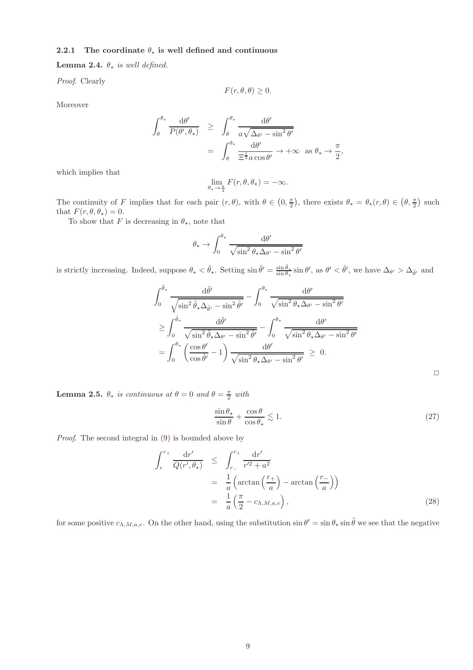## <span id="page-8-0"></span>2.2.1 The coordinate  $\theta_{\star}$  is well defined and continuous

### **Lemma 2.4.**  $\theta_{\star}$  is well defined.

Proof. Clearly

$$
F(r, \theta, \theta) \ge 0.
$$

Moreover

$$
\int_{\theta}^{\theta_{\star}} \frac{d\theta'}{P(\theta', \theta_{\star})} \geq \int_{\theta}^{\theta_{\star}} \frac{d\theta'}{a\sqrt{\Delta_{\theta'} - \sin^{2}\theta'}} \n= \int_{\theta}^{\theta_{\star}} \frac{d\theta'}{\frac{1}{\Xi^{2}a\cos\theta'}} \to +\infty \text{ as } \theta_{\star} \to \frac{\pi}{2},
$$

which implies that

$$
\lim_{\theta_\star \to \frac{\pi}{2}} F(r,\theta,\theta_\star) = -\infty.
$$

The continuity of F implies that for each pair  $(r, \theta)$ , with  $\theta \in (0, \frac{\pi}{2})$ , there exists  $\theta_{\star} = \theta_{\star}(r, \theta) \in (\theta, \frac{\pi}{2})$  such that  $F(r, \theta, \theta_\star) = 0$ .

To show that F is decreasing in  $\theta_{\star}$ , note that

$$
\theta_{\star} \rightarrow \int_0^{\theta_{\star}} \frac{\mathrm{d}\theta'}{\sqrt{\sin^2\theta_{\star}\Delta_{\theta'} - \sin^2\theta'}}
$$

is strictly increasing. Indeed, suppose  $\theta_{\star} < \tilde{\theta}_{\star}$ . Setting  $\sin \tilde{\theta}' = \frac{\sin \tilde{\theta}_{\star}}{\sin \theta_{\star}} \sin \theta'$ , as  $\theta' < \tilde{\theta}'$ , we have  $\Delta_{\theta'} > \Delta_{\tilde{\theta}'}$  and

$$
\int_{0}^{\tilde{\theta}_{\star}} \frac{d\tilde{\theta}'}{\sqrt{\sin^{2} \tilde{\theta}_{\star} \Delta_{\tilde{\theta}'}} - \sin^{2} \tilde{\theta}'} - \int_{0}^{\theta_{\star}} \frac{d\theta'}{\sqrt{\sin^{2} \theta_{\star} \Delta_{\theta'} - \sin^{2} \theta'}}
$$
\n
$$
\geq \int_{0}^{\tilde{\theta}_{\star}} \frac{d\tilde{\theta}'}{\sqrt{\sin^{2} \tilde{\theta}_{\star} \Delta_{\theta'} - \sin^{2} \tilde{\theta}'}} - \int_{0}^{\theta_{\star}} \frac{d\theta'}{\sqrt{\sin^{2} \theta_{\star} \Delta_{\theta'} - \sin^{2} \theta'}}
$$
\n
$$
= \int_{0}^{\theta_{\star}} \left(\frac{\cos \theta'}{\cos \tilde{\theta}'} - 1\right) \frac{d\theta'}{\sqrt{\sin^{2} \theta_{\star} \Delta_{\theta'} - \sin^{2} \theta'}} \geq 0.
$$

**Lemma 2.5.**  $\theta_{\star}$  is continuous at  $\theta = 0$  and  $\theta = \frac{\pi}{2}$  with

<span id="page-8-2"></span>
$$
\frac{\sin \theta_{\star}}{\sin \theta} + \frac{\cos \theta}{\cos \theta_{\star}} \lesssim 1. \tag{27}
$$

Proof. The second integral in [\(9\)](#page-4-2) is bounded above by

<span id="page-8-1"></span>
$$
\int_{r}^{r_{+}} \frac{dr'}{Q(r', \theta_{\star})} \leq \int_{r_{-}}^{r_{+}} \frac{dr'}{r'^{2} + a^{2}}
$$
\n
$$
= \frac{1}{a} \left( \arctan \left( \frac{r_{+}}{a} \right) - \arctan \left( \frac{r_{-}}{a} \right) \right)
$$
\n
$$
= \frac{1}{a} \left( \frac{\pi}{2} - c_{\Lambda, M, a, e} \right), \tag{28}
$$

for some positive  $c_{\Lambda,M,a,e}$ . On the other hand, using the substitution  $\sin \theta' = \sin \theta_{\star} \sin \tilde{\theta}$  we see that the negative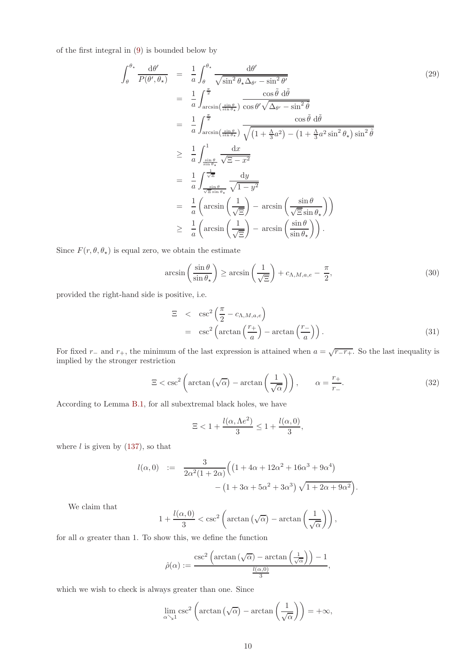of the first integral in [\(9\)](#page-4-2) is bounded below by

<span id="page-9-2"></span>
$$
\int_{\theta}^{\theta_{\star}} \frac{d\theta'}{P(\theta', \theta_{\star})} = \frac{1}{a} \int_{\theta}^{\theta_{\star}} \frac{d\theta'}{\sqrt{\sin^{2} \theta_{\star} \Delta_{\theta'} - \sin^{2} \theta'}}\n= \frac{1}{a} \int_{\arcsin\left(\frac{\sin \theta}{\sin \theta_{\star}}\right)}^{\frac{\pi}{2}} \frac{\cos \tilde{\theta} \, d\tilde{\theta}}{\cos \theta' \sqrt{\Delta_{\theta'} - \sin^{2} \theta}}\n= \frac{1}{a} \int_{\arcsin\left(\frac{\sin \theta}{\sin \theta_{\star}}\right)}^{\frac{\pi}{2}} \frac{\cos \tilde{\theta} \, d\tilde{\theta}}{\sqrt{\left(1 + \frac{\Lambda}{3} a^{2}\right) - \left(1 + \frac{\Lambda}{3} a^{2} \sin^{2} \theta_{\star}\right) \sin^{2} \tilde{\theta}}}\n\geq \frac{1}{a} \int_{\frac{\sin \theta}{\sin \theta_{\star}}}^{1} \frac{dx}{\sqrt{\Xi - x^{2}}}\n= \frac{1}{a} \int_{\frac{\sin \theta}{\sqrt{\Xi}} \sin \theta_{\star}}^{\frac{\sin \theta}{\sqrt{\Xi - x^{2}}}} \frac{dy}{\sqrt{1 - y^{2}}}\n= \frac{1}{a} \left( \arcsin\left(\frac{1}{\sqrt{\Xi}}\right) - \arcsin\left(\frac{\sin \theta}{\sqrt{\Xi} \sin \theta_{\star}}\right) \right)\n\geq \frac{1}{a} \left( \arcsin\left(\frac{1}{\sqrt{\Xi}}\right) - \arcsin\left(\frac{\sin \theta}{\sin \theta_{\star}}\right) \right).
$$
\n(29)

Since  $F(r, \theta, \theta_*)$  is equal zero, we obtain the estimate

<span id="page-9-1"></span>
$$
\arcsin\left(\frac{\sin\theta}{\sin\theta_{\star}}\right) \ge \arcsin\left(\frac{1}{\sqrt{\Xi}}\right) + c_{\Lambda,M,a,e} - \frac{\pi}{2},\tag{30}
$$

provided the right-hand side is positive, i.e.

<span id="page-9-3"></span>
$$
\Xi < \csc^2\left(\frac{\pi}{2} - c_{\Lambda, M, a, e}\right)
$$
  
=  $\csc^2\left(\arctan\left(\frac{r_+}{a}\right) - \arctan\left(\frac{r_-}{a}\right)\right)$ . (31)

For fixed  $r_+$  and  $r_+$ , the minimum of the last expression is attained when  $a = \sqrt{r-r_+}$ . So the last inequality is implied by the stronger restriction

<span id="page-9-0"></span>
$$
\Xi < \csc^2\left(\arctan\left(\sqrt{\alpha}\right) - \arctan\left(\frac{1}{\sqrt{\alpha}}\right)\right), \qquad \alpha = \frac{r_+}{r_-}.\tag{32}
$$

According to Lemma [B.1,](#page-43-3) for all subextremal black holes, we have

$$
\Xi < 1 + \frac{l(\alpha, \Lambda e^2)}{3} \le 1 + \frac{l(\alpha, 0)}{3},
$$

where  $l$  is given by  $(137)$ , so that

$$
l(\alpha,0) := \frac{3}{2\alpha^2(1+2\alpha)} \Big( \big(1+4\alpha+12\alpha^2+16\alpha^3+9\alpha^4\big) - \big(1+3\alpha+5\alpha^2+3\alpha^3\big)\sqrt{1+2\alpha+9\alpha^2} \Big).
$$

We claim that

$$
1 + \frac{l(\alpha, 0)}{3} < \csc^2\left(\arctan\left(\sqrt{\alpha}\right) - \arctan\left(\frac{1}{\sqrt{\alpha}}\right)\right),
$$

for all  $\alpha$  greater than 1. To show this, we define the function

$$
\hat{\rho}(\alpha) := \frac{\csc^2\left(\arctan\left(\sqrt{\alpha}\right) - \arctan\left(\frac{1}{\sqrt{\alpha}}\right)\right) - 1}{\frac{l(\alpha,0)}{3}},
$$

which we wish to check is always greater than one. Since

$$
\lim_{\alpha \searrow 1} \csc^2 \left( \arctan \left( \sqrt{\alpha} \right) - \arctan \left( \frac{1}{\sqrt{\alpha}} \right) \right) = +\infty,
$$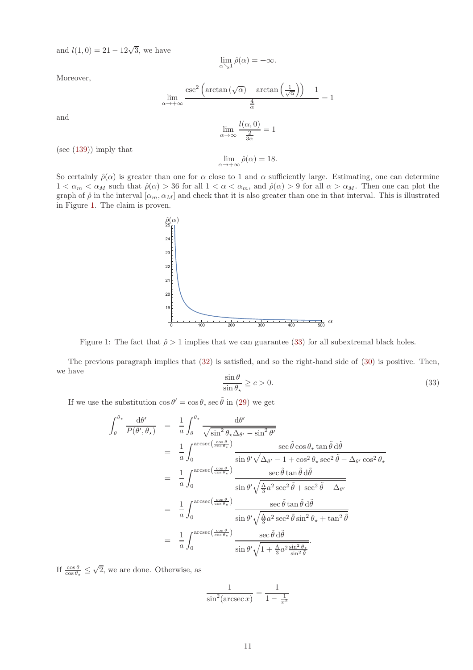and  $l(1,0) = 21 - 12\sqrt{3}$ , we have

$$
\lim_{\alpha \searrow 1} \hat{\rho}(\alpha) = +\infty.
$$

Moreover,

and

$$
\lim_{\alpha \to +\infty} \frac{\csc^2\left(\arctan\left(\sqrt{\alpha}\right) - \arctan\left(\frac{1}{\sqrt{\alpha}}\right)\right) - 1}{\frac{4}{\alpha}} = 1
$$

$$
\lim_{\alpha \to \infty} \frac{l(\alpha, 0)}{\frac{2}{3\alpha}} = 1
$$

(see [\(139\)](#page-49-1)) imply that

$$
\lim_{\alpha \to +\infty} \hat{\rho}(\alpha) = 18.
$$

So certainly  $\rho(\alpha)$  is greater than one for  $\alpha$  close to 1 and  $\alpha$  sufficiently large. Estimating, one can determine  $1 < \alpha_m < \alpha_M$  such that  $\rho(\alpha) > 36$  for all  $1 < \alpha < \alpha_m$ , and  $\rho(\alpha) > 9$  for all  $\alpha > \alpha_M$ . Then one can plot the graph of  $\hat{\rho}$  in the interval  $[\alpha_m, \alpha_M]$  and check that it is also greater than one in that interval. This is illustrated in Figure [1.](#page-10-0) The claim is proven.



<span id="page-10-0"></span>Figure 1: The fact that  $\hat{\rho} > 1$  implies that we can guarantee [\(33\)](#page-10-1) for all subextremal black holes.

The previous paragraph implies that [\(32\)](#page-9-0) is satisfied, and so the right-hand side of [\(30\)](#page-9-1) is positive. Then, we have

<span id="page-10-1"></span>
$$
\frac{\sin \theta}{\sin \theta_{\star}} \ge c > 0. \tag{33}
$$

If we use the substitution  $\cos \theta' = \cos \theta_x \sec \tilde{\theta}$  in [\(29\)](#page-9-2) we get

$$
\int_{\theta}^{\theta_{\star}} \frac{d\theta'}{P(\theta', \theta_{\star})} = \frac{1}{a} \int_{\theta}^{\theta_{\star}} \frac{d\theta'}{\sqrt{\sin^{2} \theta_{\star} \Delta_{\theta'} - \sin^{2} \theta'}}\n= \frac{1}{a} \int_{0}^{\arccos(\frac{\cos \theta}{\cos \theta_{\star}})} \frac{\sec \tilde{\theta} \cos \theta_{\star} \tan \tilde{\theta} d\tilde{\theta}}{\sin \theta' \sqrt{\Delta_{\theta'} - 1 + \cos^{2} \theta_{\star} \sec^{2} \tilde{\theta} - \Delta_{\theta'} \cos^{2} \theta_{\star}}\n= \frac{1}{a} \int_{0}^{\arccsc(\frac{\cos \theta}{\cos \theta_{\star}})} \frac{\sec \tilde{\theta} \tan \tilde{\theta} d\tilde{\theta}}{\sin \theta' \sqrt{\frac{\Lambda}{3} a^{2} \sec^{2} \tilde{\theta} + \sec^{2} \tilde{\theta} - \Delta_{\theta'}}}\n= \frac{1}{a} \int_{0}^{\arccsc(\frac{\cos \theta}{\cos \theta_{\star}})} \frac{\sec \tilde{\theta} \tan \tilde{\theta} d\tilde{\theta}}{\sin \theta' \sqrt{\frac{\Lambda}{3} a^{2} \sec^{2} \tilde{\theta} \sin^{2} \theta_{\star} + \tan^{2} \tilde{\theta}}}\n= \frac{1}{a} \int_{0}^{\arccsc(\frac{\cos \theta}{\cos \theta_{\star}})} \frac{\sec \tilde{\theta} d\tilde{\theta}}{\sin \theta' \sqrt{1 + \frac{\Lambda}{3} a^{2} \frac{\sin^{2} \theta_{\star}}{\sin^{2} \tilde{\theta}}}}.
$$

If  $\frac{\cos \theta}{\cos \theta_{\star}} \leq$  $\sqrt{2}$ , we are done. Otherwise, as

$$
\frac{1}{\sin^2(\operatorname{arcsec} x)} = \frac{1}{1 - \frac{1}{x^2}}
$$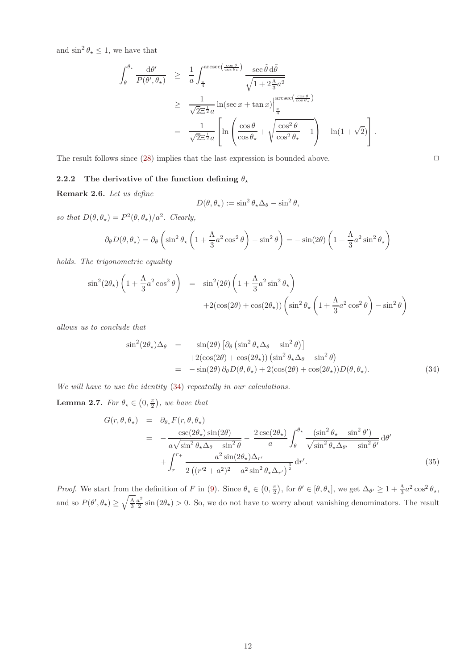and  $\sin^2 \theta_{\star} \leq 1$ , we have that

$$
\int_{\theta}^{\theta_{\star}} \frac{d\theta'}{P(\theta', \theta_{\star})} \geq \frac{1}{a} \int_{\frac{\pi}{4}}^{arcsec\left(\frac{\cos\theta}{\cos\theta_{\star}}\right)} \frac{\sec\tilde{\theta} \, d\tilde{\theta}}{\sqrt{1 + 2\frac{\Lambda}{3}a^2}}\n\n\geq \frac{1}{\sqrt{2\Xi^{\frac{1}{2}}a}} \ln(\sec x + \tan x)\Big|_{\frac{\pi}{4}}^{arcsec\left(\frac{\cos\theta}{\cos\theta_{\star}}\right)}\n\n= \frac{1}{\sqrt{2\Xi^{\frac{1}{2}}a}} \left[ \ln \left( \frac{\cos\theta}{\cos\theta_{\star}} + \sqrt{\frac{\cos^2\theta}{\cos^2\theta_{\star}}} - 1 \right) - \ln(1 + \sqrt{2}) \right].
$$

The result follows since  $(28)$  implies that the last expression is bounded above.  $\Box$ 

## <span id="page-11-0"></span>2.2.2 The derivative of the function defining  $\theta_{\star}$

Remark 2.6. Let us define

$$
D(\theta, \theta_\star) := \sin^2 \theta_\star \Delta_\theta - \sin^2 \theta,
$$

so that  $D(\theta, \theta_\star) = P^2(\theta, \theta_\star)/a^2$ . Clearly,

$$
\partial_{\theta} D(\theta, \theta_{\star}) = \partial_{\theta} \left( \sin^{2} \theta_{\star} \left( 1 + \frac{\Lambda}{3} a^{2} \cos^{2} \theta \right) - \sin^{2} \theta \right) = -\sin(2\theta) \left( 1 + \frac{\Lambda}{3} a^{2} \sin^{2} \theta_{\star} \right)
$$

holds. The trigonometric equality

$$
\sin^2(2\theta_\star) \left(1 + \frac{\Lambda}{3}a^2\cos^2\theta\right) = \sin^2(2\theta) \left(1 + \frac{\Lambda}{3}a^2\sin^2\theta_\star\right) \n+2(\cos(2\theta) + \cos(2\theta_\star)) \left(\sin^2\theta_\star \left(1 + \frac{\Lambda}{3}a^2\cos^2\theta\right) - \sin^2\theta\right)
$$

allows us to conclude that

<span id="page-11-1"></span>
$$
\sin^2(2\theta_\star)\Delta_\theta = -\sin(2\theta) \left[ \partial_\theta \left( \sin^2 \theta_\star \Delta_\theta - \sin^2 \theta \right) \right] \n+2(\cos(2\theta) + \cos(2\theta_\star)) \left( \sin^2 \theta_\star \Delta_\theta - \sin^2 \theta \right) \n= -\sin(2\theta) \partial_\theta D(\theta, \theta_\star) + 2(\cos(2\theta) + \cos(2\theta_\star)) D(\theta, \theta_\star).
$$
\n(34)

We will have to use the identity  $(34)$  repeatedly in our calculations.

**Lemma 2.7.** For  $\theta_{\star} \in (0, \frac{\pi}{2})$ , we have that

<span id="page-11-2"></span>
$$
G(r, \theta, \theta_{\star}) = \partial_{\theta_{\star}} F(r, \theta, \theta_{\star})
$$
  
= 
$$
-\frac{\csc(2\theta_{\star})\sin(2\theta)}{a\sqrt{\sin^{2}\theta_{\star}\Delta_{\theta} - \sin^{2}\theta}} - \frac{2\csc(2\theta_{\star})}{a} \int_{\theta}^{\theta_{\star}} \frac{(\sin^{2}\theta_{\star} - \sin^{2}\theta')}{\sqrt{\sin^{2}\theta_{\star}\Delta_{\theta'} - \sin^{2}\theta'}} d\theta'
$$

$$
+ \int_{r}^{r_{+}} \frac{a^{2}\sin(2\theta_{\star})\Delta_{r'}}{2\left((r'^{2} + a^{2})^{2} - a^{2}\sin^{2}\theta_{\star}\Delta_{r'}\right)^{\frac{3}{2}}} dr'. \tag{35}
$$

Proof. We start from the definition of F in [\(9\)](#page-4-2). Since  $\theta_{\star} \in (0, \frac{\pi}{2})$ , for  $\theta' \in [\theta, \theta_{\star}]$ , we get  $\Delta_{\theta'} \geq 1 + \frac{\Lambda}{3} a^2 \cos^2 \theta_{\star}$ , and so  $P(\theta', \theta_\star) \ge \sqrt{\frac{\Lambda}{3}} \frac{a^2}{2}$  $\frac{2^2}{2}$  sin  $(2\theta_\star) > 0$ . So, we do not have to worry about vanishing denominators. The result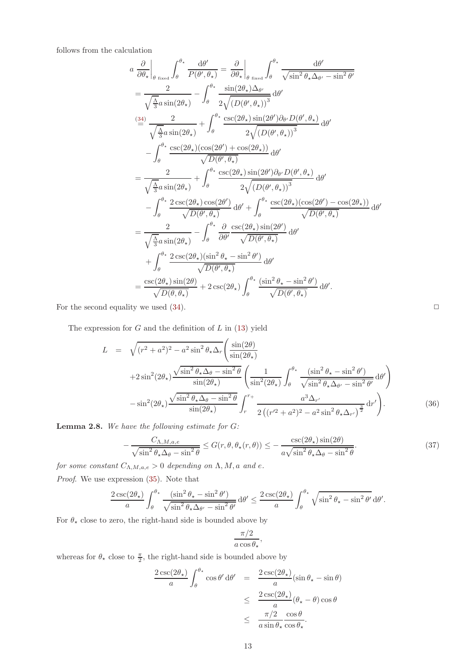follows from the calculation

$$
a \frac{\partial}{\partial \theta_{\star}}\Big|_{\theta_{\text{ fixed}}} \int_{\theta}^{\theta_{\star}} \frac{d\theta'}{P(\theta', \theta_{\star})} = \frac{\partial}{\partial \theta_{\star}}\Big|_{\theta_{\text{ fixed}}} \int_{\theta}^{\theta_{\star}} \frac{d\theta'}{\sqrt{\sin^{2} \theta_{\star} \Delta_{\theta'} - \sin^{2} \theta'}}
$$
  
\n
$$
= \frac{2}{\sqrt{\frac{\Lambda}{3}} a \sin(2\theta_{\star})} - \int_{\theta}^{\theta_{\star}} \frac{\sin(2\theta_{\star}) \Delta_{\theta'}}{2\sqrt{(D(\theta', \theta_{\star}))}^{3}} d\theta'
$$
  
\n
$$
\stackrel{(34)}{=} \frac{2}{\sqrt{\frac{\Lambda}{3}} a \sin(2\theta_{\star})} + \int_{\theta}^{\theta_{\star}} \frac{\csc(2\theta_{\star}) \sin(2\theta') \partial_{\theta'} D(\theta', \theta_{\star})}{2\sqrt{(D(\theta', \theta_{\star}))}^{3}} d\theta'
$$
  
\n
$$
- \int_{\theta}^{\theta_{\star}} \frac{\csc(2\theta_{\star}) (\cos(2\theta') + \cos(2\theta_{\star}))}{\sqrt{D(\theta', \theta_{\star})}} d\theta'
$$
  
\n
$$
= \frac{2}{\sqrt{\frac{\Lambda}{3}} a \sin(2\theta_{\star})} + \int_{\theta}^{\theta_{\star}} \frac{\csc(2\theta_{\star}) \sin(2\theta') \partial_{\theta'} D(\theta', \theta_{\star})}{2\sqrt{(D(\theta', \theta_{\star}))}^{3}} d\theta'
$$
  
\n
$$
- \int_{\theta}^{\theta_{\star}} \frac{2 \csc(2\theta_{\star}) \cos(2\theta')}{\sqrt{D(\theta', \theta_{\star})}} d\theta' + \int_{\theta}^{\theta_{\star}} \frac{\csc(2\theta_{\star}) (\cos(2\theta') - \cos(2\theta_{\star}))}{\sqrt{D(\theta', \theta_{\star})}} d\theta'
$$
  
\n
$$
+ \int_{\theta}^{\theta_{\star}} \frac{2 \csc(2\theta_{\star}) (\sin^{2} \theta_{\star} - \sin^{2} \theta')}{\sqrt{D(\theta', \theta_{\star})}} d\theta'
$$
  
\n
$$
+ \int_{\theta}^{\
$$

For the second equality we used  $(34)$ .

The expression for  $G$  and the definition of  $L$  in [\(13\)](#page-5-4) yield

<span id="page-12-1"></span>
$$
L = \sqrt{(r^2 + a^2)^2 - a^2 \sin^2 \theta_\star \Delta_r} \left( \frac{\sin(2\theta)}{\sin(2\theta_\star)} + 2 \sin^2(2\theta_\star) \frac{\sqrt{\sin^2 \theta_\star \Delta_\theta - \sin^2 \theta}}{\sin(2\theta_\star)} \left( \frac{1}{\sin^2(2\theta_\star)} \int_\theta^{\theta_\star} \frac{(\sin^2 \theta_\star - \sin^2 \theta')}{\sqrt{\sin^2 \theta_\star \Delta_{\theta'} - \sin^2 \theta'}} d\theta' \right) - \sin^2(2\theta_\star) \frac{\sqrt{\sin^2 \theta_\star \Delta_\theta - \sin^2 \theta}}{\sin(2\theta_\star)} \int_r^{r_+} \frac{a^3 \Delta_{r'}}{2\left( (r'^2 + a^2)^2 - a^2 \sin^2 \theta_\star \Delta_{r'} \right)^{\frac{3}{2}}} dr' \right). \tag{36}
$$

**Lemma 2.8.** We have the following estimate for  $G$ :

<span id="page-12-0"></span>
$$
-\frac{C_{\Lambda,M,a,e}}{\sqrt{\sin^2\theta_\star\Delta_\theta - \sin^2\theta}} \le G(r,\theta,\theta_\star(r,\theta)) \le -\frac{\csc(2\theta_\star)\sin(2\theta)}{a\sqrt{\sin^2\theta_\star\Delta_\theta - \sin^2\theta}}.\tag{37}
$$

for some constant  $C_{\Lambda,M,a,e} > 0$  depending on  $\Lambda, M, a$  and e.

Proof. We use expression [\(35\)](#page-11-2). Note that

$$
\frac{2\csc(2\theta_\star)}{a} \int_{\theta}^{\theta_\star} \frac{(\sin^2 \theta_\star - \sin^2 \theta')}{\sqrt{\sin^2 \theta_\star \Delta_{\theta'} - \sin^2 \theta'}} \, d\theta' \le \frac{2\csc(2\theta_\star)}{a} \int_{\theta}^{\theta_\star} \sqrt{\sin^2 \theta_\star - \sin^2 \theta'} \, d\theta'.
$$

For  $\theta_{\star}$  close to zero, the right-hand side is bounded above by

$$
\frac{\pi/2}{a\cos\theta_\star},
$$

whereas for  $\theta_{\star}$  close to  $\frac{\pi}{2}$ , the right-hand side is bounded above by

$$
\frac{2 \csc(2\theta_\star)}{a} \int_{\theta}^{\theta_\star} \cos \theta' \, d\theta' = \frac{2 \csc(2\theta_\star)}{a} (\sin \theta_\star - \sin \theta) \n\leq \frac{2 \csc(2\theta_\star)}{a} (\theta_\star - \theta) \cos \theta \n\leq \frac{\pi/2}{a \sin \theta_\star} \frac{\cos \theta}{\cos \theta_\star}.
$$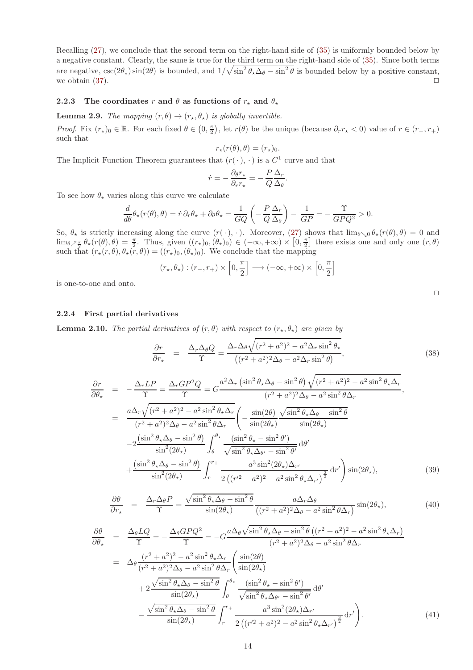Recalling [\(27\)](#page-8-2), we conclude that the second term on the right-hand side of [\(35\)](#page-11-2) is uniformly bounded below by a negative constant. Clearly, the same is true for the third term on the right-hand side of [\(35\)](#page-11-2). Since both terms are negative,  $\csc(2\theta_\star)\sin(2\theta)$  is bounded, and  $1/\sqrt{\sin^2\theta_\star\Delta_\theta-\sin^2\theta}$  is bounded below by a positive constant, we obtain  $(37)$ .

## <span id="page-13-0"></span>2.2.3 The coordinates r and  $\theta$  as functions of  $r_{\star}$  and  $\theta_{\star}$

<span id="page-13-2"></span>**Lemma 2.9.** The mapping  $(r, \theta) \rightarrow (r_\star, \theta_\star)$  is globally invertible.

Proof. Fix  $(r_{\star})_0 \in \mathbb{R}$ . For each fixed  $\theta \in (0, \frac{\pi}{2})$ , let  $r(\theta)$  be the unique (because  $\partial_r r_{\star} < 0$ ) value of  $r \in (r_-, r_+)$ such that

$$
r_{\star}(r(\theta),\theta)=(r_{\star})_0.
$$

The Implicit Function Theorem guarantees that  $(r(\cdot), \cdot)$  is a  $C^1$  curve and that

$$
\dot{r} = -\frac{\partial_{\theta}r_{\star}}{\partial_{r}r_{\star}} = -\frac{P}{Q}\frac{\Delta_{r}}{\Delta_{\theta}}.
$$

To see how  $\theta_{\star}$  varies along this curve we calculate

$$
\frac{d}{d\theta}\theta_{\star}(r(\theta),\theta) = \dot{r}\,\partial_r\theta_{\star} + \partial_{\theta}\theta_{\star} = \frac{1}{GQ}\left(-\frac{P}{Q}\frac{\Delta_r}{\Delta_{\theta}}\right) - \frac{1}{GP} = -\frac{\Upsilon}{GPQ^2} > 0.
$$

So,  $\theta_{\star}$  is strictly increasing along the curve  $(r(\cdot), \cdot)$ . Moreover, [\(27\)](#page-8-2) shows that  $\lim_{\theta\searrow 0} \theta_{\star}(r(\theta), \theta) = 0$  and  $\lim_{\theta \nearrow \frac{\pi}{2}} \theta_{\star}(r(\theta), \theta) = \frac{\pi}{2}$ . Thus, given  $((r_{\star})_0, (\theta_{\star})_0) \in (-\infty, +\infty) \times [0, \frac{\pi}{2}]$  there exists one and only one  $(r, \theta)$ such that  $(r_{\star}(r,\theta), \theta_{\star}(r,\theta)) = ((r_{\star})_0, (\theta_{\star})_0)$ . We conclude that the mapping

$$
(r_\star,\theta_\star): (r_-,r_+)\times \left[0,\frac{\pi}{2}\right]\longrightarrow (-\infty,+\infty)\times \left[0,\frac{\pi}{2}\right]
$$

is one-to-one and onto.

#### <span id="page-13-1"></span>2.2.4 First partial derivatives

**Lemma 2.10.** The partial derivatives of  $(r, \theta)$  with respect to  $(r_{\star}, \theta_{\star})$  are given by

<span id="page-13-6"></span>
$$
\frac{\partial r}{\partial r_{\star}} = \frac{\Delta_r \Delta_\theta Q}{\Upsilon} = \frac{\Delta_r \Delta_\theta \sqrt{(r^2 + a^2)^2 - a^2 \Delta_r \sin^2 \theta_{\star}}}{\left( (r^2 + a^2)^2 \Delta_\theta - a^2 \Delta_r \sin^2 \theta \right)},
$$
\n(38)

<span id="page-13-3"></span>
$$
\frac{\partial r}{\partial \theta_{\star}} = -\frac{\Delta_r L P}{\Upsilon} = \frac{\Delta_r G P^2 Q}{\Upsilon} = G \frac{a^2 \Delta_r \left(\sin^2 \theta_{\star} \Delta_\theta - \sin^2 \theta\right) \sqrt{(r^2 + a^2)^2 - a^2 \sin^2 \theta_{\star} \Delta_r}}{(r^2 + a^2)^2 \Delta_\theta - a^2 \sin^2 \theta \Delta_r},
$$
\n
$$
= \frac{a \Delta_r \sqrt{(r^2 + a^2)^2 - a^2 \sin^2 \theta_{\star} \Delta_r}}{(r^2 + a^2)^2 \Delta_\theta - a^2 \sin^2 \theta \Delta_r} \left( -\frac{\sin(2\theta)}{\sin(2\theta_{\star})} \frac{\sqrt{\sin^2 \theta_{\star} \Delta_\theta - \sin^2 \theta}}{\sin(2\theta_{\star})} \right)
$$
\n
$$
-2 \frac{\left(\sin^2 \theta_{\star} \Delta_\theta - \sin^2 \theta\right)}{\sin^2(2\theta_{\star})} \int_{\theta}^{\theta_{\star}} \frac{\left(\sin^2 \theta_{\star} - \sin^2 \theta'\right)}{\sqrt{\sin^2 \theta_{\star} \Delta_{\theta'} - \sin^2 \theta'}} d\theta'
$$
\n
$$
+ \frac{\left(\sin^2 \theta_{\star} \Delta_\theta - \sin^2 \theta\right)}{\sin^2(2\theta_{\star})} \int_{r}^{r_+} \frac{a^3 \sin^2(2\theta_{\star}) \Delta_{r'}}{2\left((r'^2 + a^2)^2 - a^2 \sin^2 \theta_{\star} \Delta_{r'}\right)^{\frac{3}{2}}} dr' \right) \sin(2\theta_{\star}), \tag{39}
$$

<span id="page-13-5"></span>
$$
\frac{\partial \theta}{\partial r_{\star}} = \frac{\Delta_r \Delta_\theta P}{\Upsilon} = \frac{\sqrt{\sin^2 \theta_{\star} \Delta_\theta - \sin^2 \theta}}{\sin(2\theta_{\star})} \frac{a \Delta_r \Delta_\theta}{((r^2 + a^2)^2 \Delta_\theta - a^2 \sin^2 \theta \Delta_r)} \sin(2\theta_{\star}),\tag{40}
$$

<span id="page-13-4"></span>
$$
\frac{\partial \theta}{\partial \theta_{\star}} = \frac{\Delta_{\theta} LQ}{\Upsilon} = -\frac{\Delta_{\theta} G P Q^2}{\Upsilon} = -G \frac{a \Delta_{\theta} \sqrt{\sin^2 \theta_{\star} \Delta_{\theta} - \sin^2 \theta} \left( (r^2 + a^2)^2 - a^2 \sin^2 \theta_{\star} \Delta_r \right)}{(r^2 + a^2)^2 \Delta_{\theta} - a^2 \sin^2 \theta_{\Delta_r}}
$$
\n
$$
= \Delta_{\theta} \frac{(r^2 + a^2)^2 - a^2 \sin^2 \theta_{\star} \Delta_r}{(r^2 + a^2)^2 \Delta_{\theta} - a^2 \sin^2 \theta_{\Delta_r}} \left( \frac{\sin(2\theta)}{\sin(2\theta_{\star})} + 2 \frac{\sqrt{\sin^2 \theta_{\star} \Delta_{\theta} - \sin^2 \theta}}{\sin(2\theta_{\star})} \int_{\theta}^{\theta_{\star}} \frac{(\sin^2 \theta_{\star} - \sin^2 \theta')}{\sqrt{\sin^2 \theta_{\star} \Delta_{\theta'} - \sin^2 \theta}} d\theta' - \frac{\sqrt{\sin^2 \theta_{\star} \Delta_{\theta} - \sin^2 \theta}}{\sin(2\theta_{\star})} \int_{r}^{r_+} \frac{a^3 \sin^2(2\theta_{\star}) \Delta_{r'}}{2 \left( (r'^2 + a^2)^2 - a^2 \sin^2 \theta_{\star} \Delta_{r'} \right)^{\frac{3}{2}}} dr' \right). \tag{41}
$$

 $\Box$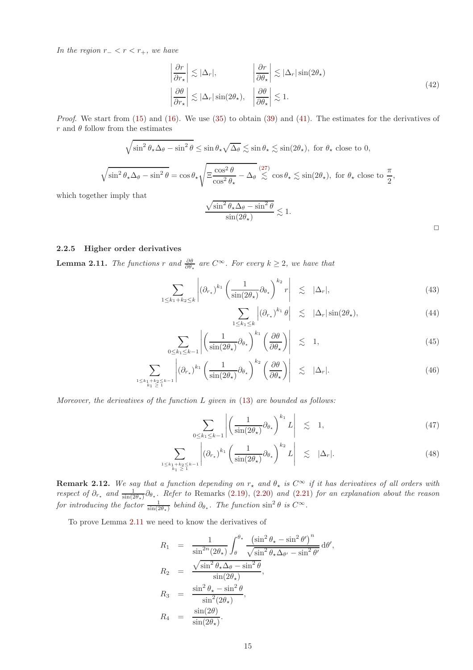In the region  $r_{-} < r < r_{+}$ , we have

<span id="page-14-3"></span>
$$
\left| \frac{\partial r}{\partial r_{\star}} \right| \lesssim |\Delta_r|, \qquad \left| \frac{\partial r}{\partial \theta_{\star}} \right| \lesssim |\Delta_r| \sin(2\theta_{\star})
$$
\n
$$
\left| \frac{\partial \theta}{\partial r_{\star}} \right| \lesssim |\Delta_r| \sin(2\theta_{\star}), \quad \left| \frac{\partial \theta}{\partial \theta_{\star}} \right| \lesssim 1. \tag{42}
$$

Proof. We start from [\(15\)](#page-5-2) and [\(16\)](#page-5-2). We use [\(35\)](#page-11-2) to obtain [\(39\)](#page-13-3) and [\(41\)](#page-13-4). The estimates for the derivatives of r and  $\theta$  follow from the estimates

$$
\sqrt{\sin^2 \theta_\star \Delta_\theta - \sin^2 \theta} \le \sin \theta_\star \sqrt{\Delta_\theta} \lesssim \sin \theta_\star \lesssim \sin(2\theta_\star), \text{ for } \theta_\star \text{ close to 0,}
$$
  

$$
\sqrt{\sin^2 \theta_\star \Delta_\theta - \sin^2 \theta} = \cos \theta_\star \sqrt{\Xi \frac{\cos^2 \theta}{\cos^2 \theta_\star} - \Delta_\theta \stackrel{(27)}{\lesssim} \cos \theta_\star \lesssim \sin(2\theta_\star), \text{ for } \theta_\star \text{ close to } \frac{\pi}{2}},
$$
  
er imply that

which together imply

$$
\frac{\sqrt{\sin^2 \theta_\star \Delta_\theta - \sin^2 \theta}}{\sin(2\theta_\star)} \lesssim 1.
$$

## <span id="page-14-0"></span>2.2.5 Higher order derivatives

<span id="page-14-1"></span>**Lemma 2.11.** The functions r and  $\frac{\partial \theta}{\partial \theta_{\star}}$  are  $C^{\infty}$ . For every  $k \geq 2$ , we have that

<span id="page-14-2"></span>
$$
\sum_{1 \le k_1 + k_2 \le k} \left| (\partial_{r_\star})^{k_1} \left( \frac{1}{\sin(2\theta_\star)} \partial_{\theta_\star} \right)^{k_2} r \right| \lesssim |\Delta_r|, \tag{43}
$$

$$
\sum_{1 \le k_1 \le k} \left| \left( \partial_{r_\star} \right)^{k_1} \theta \right| \lesssim |\Delta_r| \sin(2\theta_\star), \tag{44}
$$

$$
\sum_{0 \le k_1 \le k-1} \left| \left( \frac{1}{\sin(2\theta_\star)} \partial_{\theta_\star} \right)^{k_1} \left( \frac{\partial \theta}{\partial \theta_\star} \right) \right| \le 1, \tag{45}
$$

$$
\sum_{\substack{1 \leq k_1 + k_2 \leq k-1 \\ k_1 \geq 1}} \left| (\partial_{r_\star})^{k_1} \left( \frac{1}{\sin(2\theta_\star)} \partial_{\theta_\star} \right)^{k_2} \left( \frac{\partial \theta}{\partial \theta_\star} \right) \right| \lesssim |\Delta_r|.
$$
 (46)

Moreover, the derivatives of the function  $L$  given in  $(13)$  are bounded as follows:

<span id="page-14-4"></span>
$$
\sum_{0 \le k_1 \le k-1} \left| \left( \frac{1}{\sin(2\theta_\star)} \partial_{\theta_\star} \right)^{k_1} L \right| \le 1, \tag{47}
$$

$$
\sum_{\substack{1 \le k_1 + k_2 \le k-1 \\ k_1 \ge 1}} \left| (\partial_{r_\star})^{k_1} \left( \frac{1}{\sin(2\theta_\star)} \partial_{\theta_\star} \right)^{k_2} L \right| \lesssim |\Delta_r|.
$$
 (48)

<span id="page-14-5"></span>**Remark 2.12.** We say that a function depending on  $r_{\star}$  and  $\theta_{\star}$  is  $C^{\infty}$  if it has derivatives of all orders with respect of  $\partial_{r_{\star}}$  and  $\frac{1}{\sin(2\theta_{\star})}\partial_{\theta_{\star}}$ . Refer to Remarks [\(2.19\)](#page-24-0), [\(2.20\)](#page-24-1) and [\(2.21\)](#page-24-2) for an explanation about the reason for introducing the factor  $\frac{1}{\sin(2\theta_\star)}$  behind  $\partial_{\theta_\star}$ . The function  $\sin^2 \theta$  is  $C^{\infty}$ .

To prove Lemma [2.11](#page-14-1) we need to know the derivatives of

$$
R_1 = \frac{1}{\sin^{2n}(2\theta_\star)} \int_{\theta}^{\theta_\star} \frac{(\sin^2 \theta_\star - \sin^2 \theta')^n}{\sqrt{\sin^2 \theta_\star \Delta_{\theta'} - \sin^2 \theta'}} d\theta',
$$
  
\n
$$
R_2 = \frac{\sqrt{\sin^2 \theta_\star \Delta_{\theta} - \sin^2 \theta}}{\sin(2\theta_\star)},
$$
  
\n
$$
R_3 = \frac{\sin^2 \theta_\star - \sin^2 \theta}{\sin^2(2\theta_\star)},
$$
  
\n
$$
R_4 = \frac{\sin(2\theta)}{\sin(2\theta_\star)}.
$$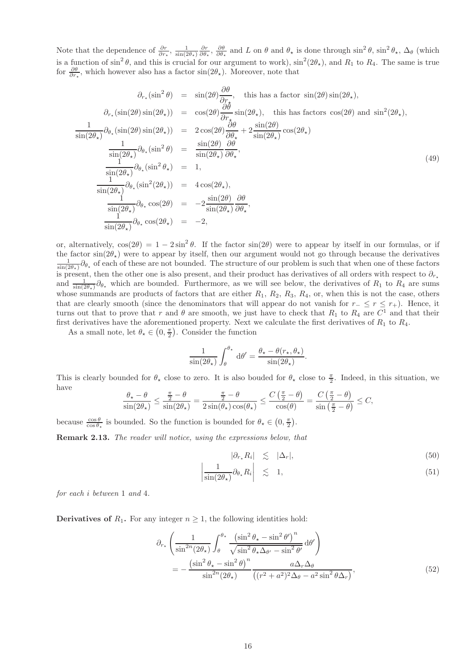Note that the dependence of  $\frac{\partial r}{\partial r_\star}$ ,  $\frac{1}{\sin(2\theta_\star)} \frac{\partial r}{\partial \theta_\star}$ ,  $\frac{\partial \theta}{\partial \theta_\star}$  and L on  $\theta$  and  $\theta_\star$  is done through  $\sin^2 \theta$ ,  $\sin^2 \theta_\star$ ,  $\Delta_\theta$  (which is a function of  $\sin^2 \theta$ , and this is crucial for our argument to work),  $\sin^2(2\theta_\star)$ , and  $R_1$  to  $R_4$ . The same is true for  $\frac{\partial \theta}{\partial r_*}$ , which however also has a factor sin(2 $\theta_*$ ). Moreover, note that

<span id="page-15-2"></span>
$$
\partial_{r_{\star}}(\sin^{2}\theta) = \sin(2\theta) \frac{\partial \theta}{\partial r_{\star}}, \text{ this has a factor } \sin(2\theta) \sin(2\theta_{\star}),
$$
\n
$$
\partial_{r_{\star}}(\sin(2\theta)\sin(2\theta_{\star})) = \cos(2\theta) \frac{\partial \theta}{\partial r_{\star}} \sin(2\theta_{\star}), \text{ this has factors } \cos(2\theta) \text{ and } \sin^{2}(2\theta_{\star}),
$$
\n
$$
\frac{1}{\sin(2\theta_{\star})}\partial_{\theta_{\star}}(\sin(2\theta)\sin(2\theta_{\star})) = 2\cos(2\theta) \frac{\partial \theta}{\partial \theta_{\star}} + 2\frac{\sin(2\theta)}{\sin(2\theta_{\star})}\cos(2\theta_{\star})
$$
\n
$$
\frac{1}{\sin(2\theta_{\star})}\partial_{\theta_{\star}}(\sin^{2}\theta) = \frac{\sin(2\theta)}{\sin(2\theta_{\star})}\frac{\partial \theta}{\partial \theta_{\star}},
$$
\n
$$
\frac{1}{\sin(2\theta_{\star})}\partial_{\theta_{\star}}(\sin^{2}\theta_{\star}) = 1,
$$
\n
$$
\frac{1}{\sin(2\theta_{\star})}\partial_{\theta_{\star}}(\sin^{2}(2\theta_{\star})) = 4\cos(2\theta_{\star}),
$$
\n
$$
\frac{1}{\sin(2\theta_{\star})}\partial_{\theta_{\star}}\cos(2\theta) = -2\frac{\sin(2\theta)}{\sin(2\theta_{\star})}\frac{\partial \theta}{\partial \theta_{\star}},
$$
\n
$$
\frac{1}{\sin(2\theta_{\star})}\partial_{\theta_{\star}}\cos(2\theta_{\star}) = -2,
$$
\n(49)

or, alternatively,  $cos(2\theta) = 1 - 2sin^2 \theta$ . If the factor  $sin(2\theta)$  were to appear by itself in our formulas, or if the factor  $\sin(2\theta_{\star})$  were to appear by itself, then our argument would not go through because the derivatives  $\frac{1}{\sin(2\theta_\star)}\partial_{\theta_\star}$  of each of these are not bounded. The structure of our problem is such that when one of these factors is present, then the other one is also present, and their product has derivatives of all orders with respect to  $\partial_{r_{*}}$ and  $\frac{1}{\sin(2\theta_\star)}\partial_{\theta_\star}$  which are bounded. Furthermore, as we will see below, the derivatives of  $R_1$  to  $R_4$  are sums whose summands are products of factors that are either  $R_1, R_2, R_3, R_4$ , or, when this is not the case, others that are clearly smooth (since the denominators that will appear do not vanish for  $r_-\leq r\leq r_+$ ). Hence, it turns out that to prove that r and  $\theta$  are smooth, we just have to check that  $R_1$  to  $R_4$  are  $C^1$  and that their first derivatives have the aforementioned property. Next we calculate the first derivatives of  $R_1$  to  $R_4$ .

As a small note, let  $\theta_{\star} \in (0, \frac{\pi}{2})$ . Consider the function

$$
\frac{1}{\sin(2\theta_\star)} \int_{\theta}^{\theta_\star} d\theta' = \frac{\theta_\star - \theta(r_\star, \theta_\star)}{\sin(2\theta_\star)}.
$$

This is clearly bounded for  $\theta_{\star}$  close to zero. It is also bouded for  $\theta_{\star}$  close to  $\frac{\pi}{2}$ . Indeed, in this situation, we have

$$
\frac{\theta_{\star} - \theta}{\sin(2\theta_{\star})} \le \frac{\frac{\pi}{2} - \theta}{\sin(2\theta_{\star})} = \frac{\frac{\pi}{2} - \theta}{2\sin(\theta_{\star})\cos(\theta_{\star})} \le \frac{C\left(\frac{\pi}{2} - \theta\right)}{\cos(\theta)} = \frac{C\left(\frac{\pi}{2} - \theta\right)}{\sin\left(\frac{\pi}{2} - \theta\right)} \le C,
$$

because  $\frac{\cos \theta}{\cos \theta_{\star}}$  is bounded. So the function is bounded for  $\theta_{\star} \in (0, \frac{\pi}{2})$ .

Remark 2.13. The reader will notice, using the expressions below, that

<span id="page-15-1"></span>
$$
|\partial_{r_*} R_i| \leq |\Delta_r|,\tag{50}
$$

$$
\left| \frac{1}{\sin(2\theta_\star)} \partial_{\theta_\star} R_i \right| \leq 1, \tag{51}
$$

for each i between 1 and 4.

Derivatives of  $R_1$ . For any integer  $n \geq 1$ , the following identities hold:

<span id="page-15-0"></span>
$$
\partial_{r_{\star}} \left( \frac{1}{\sin^{2n}(2\theta_{\star})} \int_{\theta}^{\theta_{\star}} \frac{\left(\sin^{2}\theta_{\star} - \sin^{2}\theta'\right)^{n}}{\sqrt{\sin^{2}\theta_{\star}\Delta_{\theta'} - \sin^{2}\theta}} d\theta' \right) \n= -\frac{\left(\sin^{2}\theta_{\star} - \sin^{2}\theta\right)^{n}}{\sin^{2n}(2\theta_{\star})} \frac{a\Delta_{r}\Delta_{\theta}}{\left((r^{2} + a^{2})^{2}\Delta_{\theta} - a^{2}\sin^{2}\theta\Delta_{r}\right)},
$$
\n(52)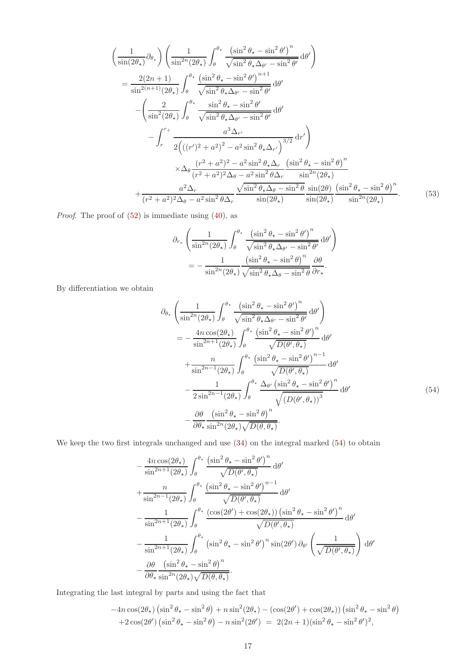$$
\begin{split}\n&\left(\frac{1}{\sin(2\theta_{\star})}\partial_{\theta_{\star}}\right)\left(\frac{1}{\sin^{2n}(2\theta_{\star})}\int_{\theta}^{\theta_{\star}}\frac{\left(\sin^{2}\theta_{\star}-\sin^{2}\theta'\right)^{n}}{\sqrt{\sin^{2}\theta_{\star}\Delta_{\theta'}-\sin^{2}\theta'}}\,\mathrm{d}\theta'\right) \\
&=\frac{2(2n+1)}{\sin^{2(n+1)}(2\theta_{\star})}\int_{\theta}^{\theta_{\star}}\frac{\left(\sin^{2}\theta_{\star}-\sin^{2}\theta'\right)^{n+1}}{\sqrt{\sin^{2}\theta_{\star}\Delta_{\theta'}-\sin^{2}\theta'}}\,\mathrm{d}\theta' \\
&-\left(\frac{2}{\sin^{2}(2\theta_{\star})}\int_{\theta}^{\theta_{\star}}\frac{\sin^{2}\theta_{\star}-\sin^{2}\theta'}{\sqrt{\sin^{2}\theta_{\star}\Delta_{\theta'}-\sin^{2}\theta'}}\,\mathrm{d}\theta'\right. \\
&\left.-\int_{r}^{r_{+}}\frac{a^{3}\Delta_{r'}}{2\left(\left((r')^{2}+a^{2}\right)^{2}-a^{2}\sin^{2}\theta_{\star}\Delta_{r'}\right)^{3/2}}\,\mathrm{d}r'\right)} \\
&\times\Delta_{\theta}\frac{\left(r^{2}+a^{2}\right)^{2}-a^{2}\sin^{2}\theta_{\star}\Delta_{r}}{\left(r^{2}+a^{2}\right)^{2}\Delta_{\theta}-a^{2}\sin^{2}\theta_{\star}\Delta_{r}}\frac{\left(\sin^{2}\theta_{\star}-\sin^{2}\theta\right)^{n}}{\sin^{2n}(2\theta_{\star})} \\
&\quad+\frac{a^{2}\Delta_{r}}{\left(r^{2}+a^{2}\right)^{2}\Delta_{\theta}-a^{2}\sin^{2}\theta_{\star}\frac{\sqrt{\sin^{2}\theta_{\star}\Delta_{\theta}-\sin^{2}\theta}}{\sin(2\theta_{\star})}\frac{\sin(2\theta_{\star})\left(\sin^{2}\theta_{\star}-\sin^{2}\theta\right)^{n}}{\sin^{2n}(2\theta_{\star})}.\n\end{split} \tag{53}
$$

Proof. The proof of [\(52\)](#page-15-0) is immediate using [\(40\)](#page-13-5), as

$$
\partial_{r_{\star}} \left( \frac{1}{\sin^{2n}(2\theta_{\star})} \int_{\theta}^{\theta_{\star}} \frac{\left(\sin^{2}\theta_{\star} - \sin^{2}\theta'\right)^{n}}{\sqrt{\sin^{2}\theta_{\star}\Delta_{\theta'} - \sin^{2}\theta'}} d\theta' \right) \n= -\frac{1}{\sin^{2n}(2\theta_{\star})} \frac{\left(\sin^{2}\theta_{\star} - \sin^{2}\theta\right)^{n}}{\sqrt{\sin^{2}\theta_{\star}\Delta_{\theta} - \sin^{2}\theta}} \frac{\partial \theta}{\partial r_{\star}}.
$$

By differentiation we obtain

<span id="page-16-0"></span> $\overline{\phantom{a}}$ 

<span id="page-16-1"></span>
$$
\partial_{\theta_{\star}} \left( \frac{1}{\sin^{2n}(2\theta_{\star})} \int_{\theta}^{\theta_{\star}} \frac{\left(\sin^{2}\theta_{\star} - \sin^{2}\theta'\right)^{n}}{\sqrt{\sin^{2}\theta_{\star}\Delta_{\theta'} - \sin^{2}\theta'}} d\theta' \right) \n= -\frac{4n \cos(2\theta_{\star})}{\sin^{2n+1}(2\theta_{\star})} \int_{\theta}^{\theta_{\star}} \frac{\left(\sin^{2}\theta_{\star} - \sin^{2}\theta'\right)^{n}}{\sqrt{D(\theta', \theta_{\star})}} d\theta' \n+ \frac{n}{\sin^{2n-1}(2\theta_{\star})} \int_{\theta}^{\theta_{\star}} \frac{\left(\sin^{2}\theta_{\star} - \sin^{2}\theta'\right)^{n-1}}{\sqrt{D(\theta', \theta_{\star})}} d\theta' \n- \frac{1}{2\sin^{2n-1}(2\theta_{\star})} \int_{\theta}^{\theta_{\star}} \frac{\Delta_{\theta'} \left(\sin^{2}\theta_{\star} - \sin^{2}\theta'\right)^{n}}{\sqrt{\left(D(\theta', \theta_{\star})\right)^{3}}} d\theta' \n- \frac{\partial \theta}{\partial \theta_{\star}} \frac{\left(\sin^{2}\theta_{\star} - \sin^{2}\theta\right)^{n}}{\sin^{2n}(2\theta_{\star})\sqrt{D(\theta, \theta_{\star})}}.
$$
\n(54)

We keep the two first integrals unchanged and use  $(34)$  on the integral marked  $(54)$  to obtain

$$
-\frac{4n \cos(2\theta_{\star})}{\sin^{2n+1}(2\theta_{\star})} \int_{\theta}^{\theta_{\star}} \frac{\left(\sin^{2} \theta_{\star} - \sin^{2} \theta'\right)^{n}}{\sqrt{D(\theta', \theta_{\star})}} d\theta'
$$
  
+ 
$$
\frac{n}{\sin^{2n-1}(2\theta_{\star})} \int_{\theta}^{\theta_{\star}} \frac{\left(\sin^{2} \theta_{\star} - \sin^{2} \theta'\right)^{n-1}}{\sqrt{D(\theta', \theta_{\star})}} d\theta'
$$

$$
-\frac{1}{\sin^{2n+1}(2\theta_{\star})} \int_{\theta}^{\theta_{\star}} \frac{\left(\cos(2\theta') + \cos(2\theta_{\star})\right) \left(\sin^{2} \theta_{\star} - \sin^{2} \theta'\right)^{n}}{\sqrt{D(\theta', \theta_{\star})}} d\theta'
$$

$$
-\frac{1}{\sin^{2n+1}(2\theta_{\star})} \int_{\theta}^{\theta_{\star}} \left(\sin^{2} \theta_{\star} - \sin^{2} \theta'\right)^{n} \sin(2\theta') \partial_{\theta'} \left(\frac{1}{\sqrt{D(\theta', \theta_{\star})}}\right) d\theta'
$$

$$
-\frac{\partial \theta}{\partial \theta_{\star}} \frac{\left(\sin^{2} \theta_{\star} - \sin^{2} \theta\right)^{n}}{\sin^{2n}(2\theta_{\star})\sqrt{D(\theta, \theta_{\star})}}.
$$

Integrating the last integral by parts and using the fact that

$$
-4n\cos(2\theta_\star)\left(\sin^2\theta_\star - \sin^2\theta\right) + n\sin^2(2\theta_\star) - \left(\cos(2\theta') + \cos(2\theta_\star)\right)\left(\sin^2\theta_\star - \sin^2\theta\right) + 2\cos(2\theta')\left(\sin^2\theta_\star - \sin^2\theta\right) - n\sin^2(2\theta') = 2(2n+1)(\sin^2\theta_\star - \sin^2\theta')^2,
$$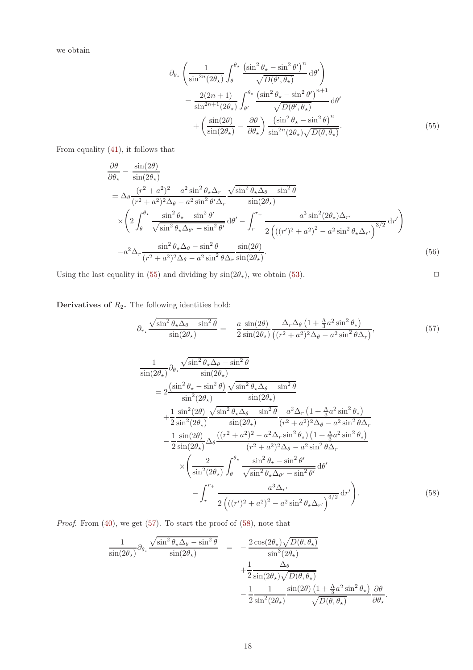we obtain

<span id="page-17-1"></span>
$$
\partial_{\theta_{\star}} \left( \frac{1}{\sin^{2n}(2\theta_{\star})} \int_{\theta}^{\theta_{\star}} \frac{\left(\sin^{2}\theta_{\star} - \sin^{2}\theta'\right)^{n}}{\sqrt{D(\theta', \theta_{\star})}} d\theta' \right)
$$
\n
$$
= \frac{2(2n+1)}{\sin^{2n+1}(2\theta_{\star})} \int_{\theta'}^{\theta_{\star}} \frac{\left(\sin^{2}\theta_{\star} - \sin^{2}\theta'\right)^{n+1}}{\sqrt{D(\theta', \theta_{\star})}} d\theta' + \left(\frac{\sin(2\theta)}{\sin(2\theta_{\star})} - \frac{\partial\theta}{\partial\theta_{\star}}\right) \frac{\left(\sin^{2}\theta_{\star} - \sin^{2}\theta\right)^{n}}{\sin^{2n}(2\theta_{\star})\sqrt{D(\theta, \theta_{\star})}}.
$$
\n(55)

From equality [\(41\)](#page-13-4), it follows that

<span id="page-17-3"></span>
$$
\frac{\partial \theta}{\partial \theta_{\star}} - \frac{\sin(2\theta)}{\sin(2\theta_{\star})} \n= \Delta_{\theta} \frac{(r^2 + a^2)^2 - a^2 \sin^2 \theta_{\star} \Delta_r}{(r^2 + a^2)^2 \Delta_{\theta} - a^2 \sin^2 \theta' \Delta_r} \frac{\sqrt{\sin^2 \theta_{\star} \Delta_{\theta} - \sin^2 \theta}}{\sin(2\theta_{\star})} \n\times \left(2 \int_{\theta}^{\theta_{\star}} \frac{\sin^2 \theta_{\star} - \sin^2 \theta'}{\sqrt{\sin^2 \theta_{\star} \Delta_{\theta'}} - \sin^2 \theta'} d\theta' - \int_{r}^{r+} \frac{a^3 \sin^2(2\theta_{\star}) \Delta_{r'}}{2 \left(((r')^2 + a^2)^2 - a^2 \sin^2 \theta_{\star} \Delta_{r'}\right)^{3/2}} dr'\right) \n- a^2 \Delta_r \frac{\sin^2 \theta_{\star} \Delta_{\theta} - \sin^2 \theta}{(r^2 + a^2)^2 \Delta_{\theta} - a^2 \sin^2 \theta \Delta_r} \frac{\sin(2\theta)}{\sin(2\theta_{\star})}.
$$
\n(56)

Using the last equality in [\(55\)](#page-17-1) and dividing by  $\sin(2\theta_\star)$ , we obtain [\(53\)](#page-16-0).

Derivatives of  $R_2$ . The following identities hold:

<span id="page-17-2"></span>
$$
\partial_{r_{\star}} \frac{\sqrt{\sin^2 \theta_{\star} \Delta_{\theta} - \sin^2 \theta}}{\sin(2\theta_{\star})} = -\frac{a}{2} \frac{\sin(2\theta)}{\sin(2\theta_{\star})} \frac{\Delta_r \Delta_{\theta} \left(1 + \frac{\Lambda}{3} a^2 \sin^2 \theta_{\star}\right)}{\left((r^2 + a^2)^2 \Delta_{\theta} - a^2 \sin^2 \theta_{\star}\right)},\tag{57}
$$

<span id="page-17-0"></span>
$$
\frac{1}{\sin(2\theta_{\star})}\partial_{\theta_{\star}}\frac{\sqrt{\sin^{2}\theta_{\star}\Delta_{\theta}-\sin^{2}\theta}}{\sin(2\theta_{\star})}
$$
\n
$$
=2\frac{(\sin^{2}\theta_{\star}-\sin^{2}\theta)}{\sin^{2}(2\theta_{\star})}\frac{\sqrt{\sin^{2}\theta_{\star}\Delta_{\theta}-\sin^{2}\theta}}{\sin(2\theta_{\star})}
$$
\n
$$
+\frac{1}{2}\frac{\sin^{2}(2\theta)}{\sin^{2}(2\theta_{\star})}\frac{\sqrt{\sin^{2}\theta_{\star}\Delta_{\theta}-\sin^{2}\theta}}{\sin(2\theta_{\star})}\frac{a^{2}\Delta_{r}\left(1+\frac{\Lambda}{3}a^{2}\sin^{2}\theta_{\star}\right)}{(r^{2}+a^{2})^{2}\Delta_{\theta}-a^{2}\sin^{2}\theta_{\star}}
$$
\n
$$
-\frac{1}{2}\frac{\sin(2\theta)}{\sin(2\theta_{\star})}\Delta_{\theta}\frac{((r^{2}+a^{2})^{2}-a^{2}\Delta_{r}\sin^{2}\theta_{\star})\left(1+\frac{\Lambda}{3}a^{2}\sin^{2}\theta_{\star}\right)}{(r^{2}+a^{2})^{2}\Delta_{\theta}-a^{2}\sin^{2}\theta_{\star}}
$$
\n
$$
\times\left(\frac{2}{\sin^{2}(2\theta_{\star})}\int_{\theta}^{\theta_{\star}}\frac{\sin^{2}\theta_{\star}-\sin^{2}\theta'}{\sqrt{\sin^{2}\theta_{\star}\Delta_{\theta'}-\sin^{2}\theta'}}\,\mathrm{d}\theta'
$$
\n
$$
-\int_{r}^{r+}\frac{a^{3}\Delta_{r'}}{2\left(((r')^{2}+a^{2})^{2}-a^{2}\sin^{2}\theta_{\star}\Delta_{r'}\right)^{3/2}}\,\mathrm{d}r'\right).
$$
\n(58)

Proof. From  $(40)$ , we get  $(57)$ . To start the proof of  $(58)$ , note that

$$
\frac{1}{\sin(2\theta_{\star})}\partial_{\theta_{\star}}\frac{\sqrt{\sin^{2}\theta_{\star}\Delta_{\theta}-\sin^{2}\theta}}{\sin(2\theta_{\star})}\n= -\frac{2\cos(2\theta_{\star})\sqrt{D(\theta,\theta_{\star})}}{\sin^{3}(2\theta_{\star})}\n+ \frac{1}{2}\frac{\Delta_{\theta}}{\sin(2\theta_{\star})\sqrt{D(\theta,\theta_{\star})}}\n- \frac{1}{2}\frac{1}{\sin^{2}(2\theta_{\star})}\frac{\sin(2\theta)\left(1+\frac{\Lambda}{3}a^{2}\sin^{2}\theta_{\star}\right)}{\sqrt{D(\theta,\theta_{\star})}}\frac{\partial\theta}{\partial\theta_{\star}}.
$$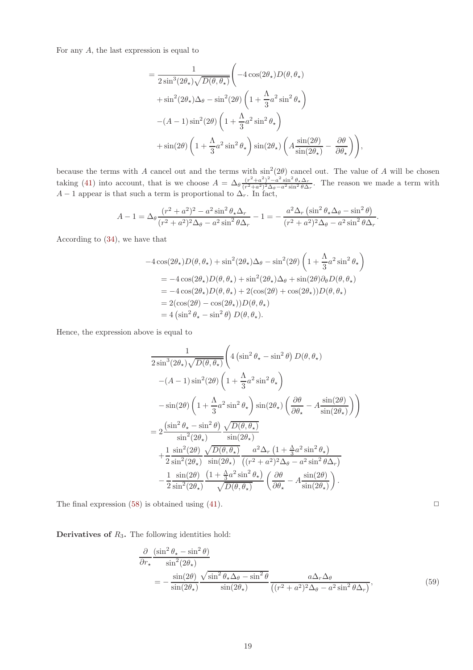For any A, the last expression is equal to

$$
= \frac{1}{2\sin^3(2\theta_\star)\sqrt{D(\theta,\theta_\star)}} \left( -4\cos(2\theta_\star)D(\theta,\theta_\star) \right.\n+ \sin^2(2\theta_\star)\Delta_\theta - \sin^2(2\theta) \left( 1 + \frac{\Lambda}{3}a^2\sin^2\theta_\star \right)\n- (A-1)\sin^2(2\theta) \left( 1 + \frac{\Lambda}{3}a^2\sin^2\theta_\star \right)\n+ \sin(2\theta) \left( 1 + \frac{\Lambda}{3}a^2\sin^2\theta_\star \right) \sin(2\theta_\star) \left( A\frac{\sin(2\theta)}{\sin(2\theta_\star)} - \frac{\partial\theta}{\partial\theta_\star} \right) \right),
$$

because the terms with A cancel out and the terms with  $\sin^2(2\theta)$  cancel out. The value of A will be chosen taking [\(41\)](#page-13-4) into account, that is we choose  $A = \Delta_\theta \frac{(r^2 + a^2)^2 - a^2 \sin^2 \theta_\star \Delta_r}{(r^2 + a^2)^2 \Delta_\theta - a^2 \sin^2 \theta \Delta_r}$  $\frac{(r+a)-a \sin \theta_{\star}\Delta_r}{(r^2+a^2)^2\Delta_{\theta}-a^2\sin^2\theta\Delta_r}$ . The reason we made a term with  $A-1$  appear is that such a term is proportional to  $\Delta_r$ . In fact,

$$
A - 1 = \Delta_{\theta} \frac{(r^2 + a^2)^2 - a^2 \sin^2 \theta_{\star} \Delta_r}{(r^2 + a^2)^2 \Delta_{\theta} - a^2 \sin^2 \theta \Delta_r} - 1 = -\frac{a^2 \Delta_r \left(\sin^2 \theta_{\star} \Delta_{\theta} - \sin^2 \theta\right)}{(r^2 + a^2)^2 \Delta_{\theta} - a^2 \sin^2 \theta \Delta_r}.
$$

According to [\(34\)](#page-11-1), we have that

$$
-4\cos(2\theta_{\star})D(\theta,\theta_{\star}) + \sin^{2}(2\theta_{\star})\Delta_{\theta} - \sin^{2}(2\theta)\left(1 + \frac{\Lambda}{3}a^{2}\sin^{2}\theta_{\star}\right)
$$
  
= -4\cos(2\theta\_{\star})D(\theta,\theta\_{\star}) + \sin^{2}(2\theta\_{\star})\Delta\_{\theta} + \sin(2\theta)\partial\_{\theta}D(\theta,\theta\_{\star})  
= -4\cos(2\theta\_{\star})D(\theta,\theta\_{\star}) + 2(\cos(2\theta) + \cos(2\theta\_{\star}))D(\theta,\theta\_{\star})  
= 2(\cos(2\theta) - \cos(2\theta\_{\star}))D(\theta,\theta\_{\star})  
= 4\left(\sin^{2}\theta\_{\star} - \sin^{2}\theta\right)D(\theta,\theta\_{\star}).

Hence, the expression above is equal to

$$
\frac{1}{2\sin^3(2\theta_\star)\sqrt{D(\theta,\theta_\star)}} \left( 4\left(\sin^2\theta_\star - \sin^2\theta\right) D(\theta,\theta_\star) \right.\n\left. - (A-1)\sin^2(2\theta)\left(1 + \frac{\Lambda}{3}a^2\sin^2\theta_\star\right) \right.\n\left. - \sin(2\theta)\left(1 + \frac{\Lambda}{3}a^2\sin^2\theta_\star\right) \sin(2\theta_\star) \left(\frac{\partial\theta}{\partial\theta_\star} - A\frac{\sin(2\theta)}{\sin(2\theta_\star)}\right) \right) \right.\n\left. = 2\frac{\left(\sin^2\theta_\star - \sin^2\theta\right)\sqrt{D(\theta,\theta_\star)}}{\sin^2(2\theta_\star)}\n\left. + \frac{1}{2}\frac{\sin^2(2\theta)\sqrt{D(\theta,\theta_\star)}}{\sin(2\theta_\star)}\frac{a^2\Delta_r\left(1 + \frac{\Lambda}{3}a^2\sin^2\theta_\star\right)}{\left((r^2 + a^2)^2\Delta_\theta - a^2\sin^2\theta\Delta_r\right)}\n\left. - \frac{1}{2}\frac{\sin(2\theta)}{\sin^2(2\theta_\star)} \frac{\left(1 + \frac{\Lambda}{3}a^2\sin^2\theta_\star\right)}{\sqrt{D(\theta,\theta_\star)}} \left(\frac{\partial\theta}{\partial\theta_\star} - A\frac{\sin(2\theta)}{\sin(2\theta_\star)}\right) \right).
$$

The final expression  $(58)$  is obtained using  $(41)$ .

**Derivatives of**  $R_3$ **.** The following identities hold:

<span id="page-18-0"></span>
$$
\frac{\partial}{\partial r_{\star}} \frac{(\sin^2 \theta_{\star} - \sin^2 \theta)}{\sin^2(2\theta_{\star})} = -\frac{\sin(2\theta)}{\sin(2\theta_{\star})} \frac{\sqrt{\sin^2 \theta_{\star} \Delta_{\theta} - \sin^2 \theta}}{\sin(2\theta_{\star})} \frac{a \Delta_r \Delta_{\theta}}{((r^2 + a^2)^2 \Delta_{\theta} - a^2 \sin^2 \theta \Delta_r)},
$$
(59)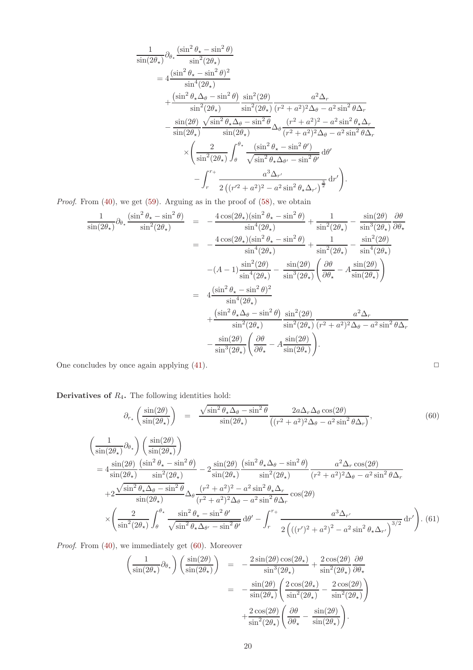$$
\frac{1}{\sin(2\theta_{\star})}\partial_{\theta_{\star}}\frac{(\sin^2\theta_{\star} - \sin^2\theta)}{\sin^2(2\theta_{\star})}
$$
\n
$$
= 4\frac{(\sin^2\theta_{\star} - \sin^2\theta)^2}{\sin^4(2\theta_{\star})}
$$
\n
$$
+ \frac{(\sin^2\theta_{\star}\Delta_{\theta} - \sin^2\theta)}{\sin^2(2\theta_{\star})} \frac{\sin^2(2\theta)}{\sin^2(2\theta_{\star})} \frac{a^2\Delta_r}{(r^2 + a^2)^2\Delta_{\theta} - a^2\sin^2\theta\Delta_r}
$$
\n
$$
- \frac{\sin(2\theta)}{\sin(2\theta_{\star})} \frac{\sqrt{\sin^2\theta_{\star}\Delta_{\theta} - \sin^2\theta}}{\sin(2\theta_{\star})} \Delta_{\theta} \frac{(r^2 + a^2)^2 - a^2\sin^2\theta_{\star}\Delta_r}{(r^2 + a^2)^2\Delta_{\theta} - a^2\sin^2\theta\Delta_r}
$$
\n
$$
\times \left(\frac{2}{\sin^2(2\theta_{\star})}\int_{\theta}^{\theta_{\star}} \frac{(\sin^2\theta_{\star} - \sin^2\theta')}{\sqrt{\sin^2\theta_{\star}\Delta_{\theta'} - \sin^2\theta'}} d\theta'
$$
\n
$$
- \int_{r}^{r+} \frac{a^3\Delta_{r'}}{2\left((r'^2 + a^2)^2 - a^2\sin^2\theta_{\star}\Delta_{r'}\right)^{\frac{3}{2}}} dr' \right).
$$

Proof. From [\(40\)](#page-13-5), we get [\(59\)](#page-18-0). Arguing as in the proof of [\(58\)](#page-17-0), we obtain

$$
\frac{1}{\sin(2\theta_{\star})}\partial_{\theta_{\star}}\frac{(\sin^2\theta_{\star} - \sin^2\theta)}{\sin^2(2\theta_{\star})} = -\frac{4\cos(2\theta_{\star})(\sin^2\theta_{\star} - \sin^2\theta)}{\sin^4(2\theta_{\star})} + \frac{1}{\sin^2(2\theta_{\star})} - \frac{\sin(2\theta)}{\sin^3(2\theta_{\star})}\frac{\partial\theta_{\star}}{\partial\theta_{\star}}
$$

$$
= -\frac{4\cos(2\theta_{\star})(\sin^2\theta_{\star} - \sin^2\theta)}{\sin^4(2\theta_{\star})} + \frac{1}{\sin^2(2\theta_{\star})} - \frac{\sin^2(2\theta)}{\sin^4(2\theta_{\star})}
$$

$$
- (A - 1)\frac{\sin^2(2\theta)}{\sin^4(2\theta_{\star})} - \frac{\sin(2\theta)}{\sin^3(2\theta_{\star})} \left(\frac{\partial\theta}{\partial\theta_{\star}} - A\frac{\sin(2\theta)}{\sin(2\theta_{\star})}\right)
$$

$$
= 4\frac{(\sin^2\theta_{\star} - \sin^2\theta)^2}{\sin^4(2\theta_{\star})}
$$

$$
+ \frac{(\sin^2\theta_{\star}\Delta_{\theta} - \sin^2\theta)}{\sin^2(2\theta_{\star})} \frac{\sin^2(2\theta)}{\sin^2(2\theta_{\star})} \frac{a^2\Delta_r}{(r^2 + a^2)^2\Delta_{\theta} - a^2\sin^2\theta\Delta_r}
$$

$$
- \frac{\sin(2\theta)}{\sin^3(2\theta_{\star})} \left(\frac{\partial\theta}{\partial\theta_{\star}} - A\frac{\sin(2\theta)}{\sin(2\theta_{\star})}\right).
$$

One concludes by once again applying  $(41)$ .

**Derivatives of**  $R_4$ **.** The following identities hold:

<span id="page-19-1"></span><span id="page-19-0"></span>
$$
\partial_{r_{\star}}\left(\frac{\sin(2\theta)}{\sin(2\theta_{\star})}\right) = \frac{\sqrt{\sin^{2}\theta_{\star}\Delta_{\theta}-\sin^{2}\theta}}{\sin(2\theta_{\star})}\frac{2a\Delta_{r}\Delta_{\theta}\cos(2\theta)}{\left((r^{2}+a^{2})^{2}\Delta_{\theta}-a^{2}\sin^{2}\theta\Delta_{r}\right)},
$$
\n
$$
\left(\frac{1}{\sin(2\theta_{\star})}\partial_{\theta_{\star}}\right)\left(\frac{\sin(2\theta)}{\sin(2\theta_{\star})}\right)
$$
\n
$$
= 4\frac{\sin(2\theta)}{\sin(2\theta_{\star})}\frac{\left(\sin^{2}\theta_{\star}-\sin^{2}\theta\right)}{\sin^{2}(2\theta_{\star})} - 2\frac{\sin(2\theta)}{\sin(2\theta_{\star})}\frac{\left(\sin^{2}\theta_{\star}\Delta_{\theta}-\sin^{2}\theta\right)}{\sin^{2}(2\theta_{\star})}\frac{a^{2}\Delta_{r}\cos(2\theta)}{\left(r^{2}+a^{2}\right)^{2}\Delta_{\theta}-a^{2}\sin^{2}\theta\Delta_{r}}
$$
\n
$$
+2\frac{\sqrt{\sin^{2}\theta_{\star}\Delta_{\theta}-\sin^{2}\theta}}{\sin(2\theta_{\star})}\Delta_{\theta}\frac{(r^{2}+a^{2})^{2}-a^{2}\sin^{2}\theta_{\star}\Delta_{r}}{\left(r^{2}+a^{2}\right)^{2}\Delta_{\theta}-a^{2}\sin^{2}\theta\Delta_{r}}}\cos(2\theta)
$$
\n
$$
\times \left(\frac{2}{\sin^{2}(2\theta_{\star})}\int_{\theta}^{\theta_{\star}}\frac{\sin^{2}\theta_{\star}-\sin^{2}\theta'}{\sqrt{\sin^{2}\theta_{\star}\Delta_{\theta'}-\sin^{2}\theta'}}\,\mathrm{d}\theta'-\int_{r}^{r_{+}}\frac{a^{3}\Delta_{r'}}{2\left(((r')^{2}+a^{2})^{2}-a^{2}\sin^{2}\theta_{\star}\Delta_{r'}\right)^{3/2}}\,\mathrm{d}r'\right). \tag{61}
$$

Proof. From  $(40)$ , we immediately get  $(60)$ . Moreover

$$
\begin{array}{rcl}\n\left(\frac{1}{\sin(2\theta_{\star})}\partial_{\theta_{\star}}\right)\left(\frac{\sin(2\theta)}{\sin(2\theta_{\star})}\right) & = & -\frac{2\sin(2\theta)\cos(2\theta_{\star})}{\sin^{3}(2\theta_{\star})} + \frac{2\cos(2\theta)}{\sin^{2}(2\theta_{\star})}\frac{\partial\theta_{\star}}{\partial\theta_{\star}} \\
& = & -\frac{\sin(2\theta)}{\sin(2\theta_{\star})}\left(\frac{2\cos(2\theta_{\star})}{\sin^{2}(2\theta_{\star})} - \frac{2\cos(2\theta)}{\sin^{2}(2\theta_{\star})}\right) \\
& & + \frac{2\cos(2\theta)}{\sin^{2}(2\theta_{\star})}\left(\frac{\partial\theta}{\partial\theta_{\star}} - \frac{\sin(2\theta)}{\sin(2\theta_{\star})}\right).\n\end{array}
$$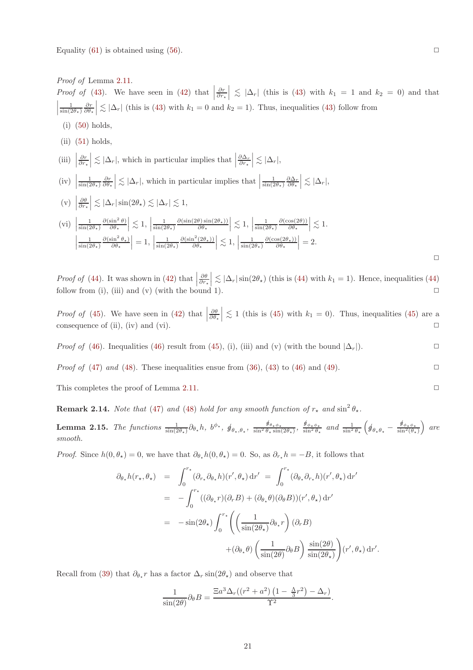Proof of Lemma [2.11.](#page-14-1)

*Proof of* [\(43\)](#page-14-2). We have seen in [\(42\)](#page-14-3) that  $\vert$  $\frac{\partial r}{\partial r_*}\Big| \lesssim |\Delta_r|$  (this is [\(43\)](#page-14-2) with  $k_1 = 1$  and  $k_2 = 0$ ) and that  $\begin{array}{c} \hline \end{array}$  $\frac{1}{\sin(2\theta_\star)}\frac{\partial r}{\partial \theta_\star}\Big|\lesssim |\Delta_r|$  (this is [\(43\)](#page-14-2) with  $k_1=0$  and  $k_2=1$ ). Thus, inequalities (43) follow from

- (i) [\(50\)](#page-15-1) holds,
- $(ii)$  [\(51\)](#page-15-1) holds,
- $(iii)$  $\left| \frac{\partial r}{\partial r_*} \right| \lesssim |\Delta_r|$ , which in particular implies that  $|$  $\frac{\partial \Delta_r}{\partial r_*}\Big|\lesssim |\Delta_r|,$
- $(iv)$  $\frac{1}{\sin(2\theta_\star)} \frac{\partial r}{\partial \theta_\star}$   $\leq |\Delta_r|$ , which in particular implies that  $\Big|$  $\frac{1}{\sin(2\theta_\star)}\frac{\partial \Delta_r}{\partial \theta_\star}\leq |\Delta_r|,$

(v) 
$$
\left| \frac{\partial \theta}{\partial r_*} \right| \lesssim |\Delta_r| \sin(2\theta_\star) \lesssim |\Delta_r| \lesssim 1
$$
,

$$
\begin{aligned}\n\text{(vi)} \quad & \left| \frac{1}{\sin(2\theta_{\star})} \frac{\partial(\sin^2 \theta)}{\partial \theta_{\star}} \right| \lesssim 1, \, \left| \frac{1}{\sin(2\theta_{\star})} \frac{\partial(\sin(2\theta) \sin(2\theta_{\star}))}{\partial \theta_{\star}} \right| \lesssim 1, \, \left| \frac{1}{\sin(2\theta_{\star})} \frac{\partial(\cos(2\theta))}{\partial \theta_{\star}} \right| \lesssim 1, \\
& \left| \frac{1}{\sin(2\theta_{\star})} \frac{\partial(\sin^2 \theta_{\star})}{\partial \theta_{\star}} \right| = 1, \, \left| \frac{1}{\sin(2\theta_{\star})} \frac{\partial(\sin^2(2\theta_{\star}))}{\partial \theta_{\star}} \right| \lesssim 1, \, \left| \frac{1}{\sin(2\theta_{\star})} \frac{\partial(\cos(2\theta_{\star}))}{\partial \theta_{\star}} \right| = 2.\n\end{aligned}
$$

*Proof of* [\(44\)](#page-14-2). It was shown in [\(42\)](#page-14-3) that *Proof of* [\(44\)](#page-14-2). It was shown in (42) that  $\left|\frac{\partial \theta}{\partial r_*}\right| \lesssim |\Delta_r| \sin(2\theta_\star)$  (this is (44) with  $k_1 = 1$ ). Hence, inequalities (44) follow from (i), (iii) and (v) (with the bound 1).

*Proof of* [\(45\)](#page-14-2). We have seen in [\(42\)](#page-14-3) that  $\left| \begin{array}{c} \n\text{C} \n\end{array} \right|$  $\frac{\partial \theta}{\partial \theta_*}$   $\leq 1$  (this is [\(45\)](#page-14-2) with  $k_1 = 0$ ). Thus, inequalities (45) are a consequence of (ii), (iv) and (vi).  $\Box$ 

*Proof of* [\(46\)](#page-14-2). Inequalities [\(46\)](#page-14-2) result from [\(45\)](#page-14-2), (i), (iii) and (v) (with the bound  $|\Delta_r|$ ).

*Proof of* [\(47\)](#page-14-4) and [\(48\)](#page-14-4). These inequalities ensue from [\(36\)](#page-12-1), [\(43\)](#page-14-2) to [\(46\)](#page-14-2) and [\(49\)](#page-15-2).

This completes the proof of Lemma [2.11.](#page-14-1)  $\Box$ 

**Remark 2.14.** Note that [\(47\)](#page-14-4) and [\(48\)](#page-14-4) hold for any smooth function of  $r_{\star}$  and  $\sin^2 \theta_{\star}$ .

<span id="page-20-0"></span>**Lemma 2.15.** The functions  $\frac{1}{\sin(2\theta_\star)}\partial_{\theta_\star}h$ ,  $b^{\phi_\star}$ ,  $\oint_{\theta_\star,\theta_\star}$ ,  $\frac{\oint_{\theta_\star,\phi_\star}}{\sin^2\theta_\star \sin(2\theta_\star)}$ ,  $\frac{\oint_{\phi_\star,\phi_\star}}{\sin^2\theta_\star}$  and  $\frac{1}{\sin^2\theta_\star} \left(\oint_{\theta_\star,\theta_\star} - \frac{\oint_{\phi_\star,\phi_\star}}{\sin^2(\theta_\star)}\right)$  are smooth.

*Proof.* Since  $h(0, \theta_\star) = 0$ , we have that  $\partial_{\theta_\star} h(0, \theta_\star) = 0$ . So, as  $\partial_{r_\star} h = -B$ , it follows that

$$
\partial_{\theta*}h(r_{\star},\theta_{\star}) = \int_0^{r_{\star}} (\partial_{r_{\star}}\partial_{\theta*}h)(r',\theta_{\star}) dr' = \int_0^{r_{\star}} (\partial_{\theta*}\partial_{r_{\star}}h)(r',\theta_{\star}) dr'
$$
  
\n
$$
= -\int_0^{r_{\star}} ((\partial_{\theta*}r)(\partial_rB) + (\partial_{\theta*}\theta)(\partial_{\theta}B))(r',\theta_{\star}) dr'
$$
  
\n
$$
= -\sin(2\theta_{\star}) \int_0^{r_{\star}} \left( \left(\frac{1}{\sin(2\theta_{\star})}\partial_{\theta*}r\right)(\partial_rB) + (\partial_{\theta*}\theta)\left(\frac{1}{\sin(2\theta)}\partial_{\theta}B\right)\frac{\sin(2\theta)}{\sin(2\theta_{\star})} \right)(r',\theta_{\star}) dr'.
$$

Recall from [\(39\)](#page-13-3) that  $\partial_{\theta_{\star}} r$  has a factor  $\Delta_r \sin(2\theta_{\star})$  and observe that

$$
\frac{1}{\sin(2\theta)}\partial_{\theta}B = \frac{\Xi a^3 \Delta_r ((r^2 + a^2) (1 - \frac{\Lambda}{3}r^2) - \Delta_r)}{\Upsilon^2}.
$$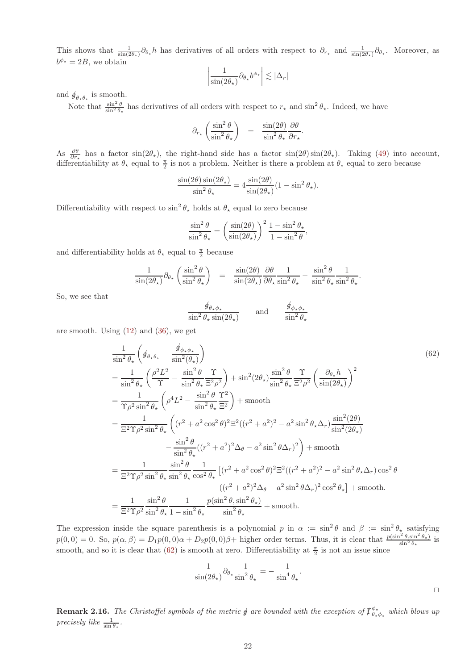This shows that  $\frac{1}{\sin(2\theta_\star)}\partial_{\theta_\star}h$  has derivatives of all orders with respect to  $\partial_{r_\star}$  and  $\frac{1}{\sin(2\theta_\star)}\partial_{\theta_\star}$ . Moreover, as  $b^{\phi_\star} = 2B$ , we obtain

$$
\left|\frac{1}{\sin(2\theta_\star)}\partial_{\theta_\star}b^{\phi_\star}\right| \lesssim |\Delta_r|
$$

and  $\oint_{\theta_\star \theta_\star}$  is smooth.

Note that  $\frac{\sin^2 \theta}{\sin^2 \theta_*}$  has derivatives of all orders with respect to  $r_*$  and  $\sin^2 \theta_*$ . Indeed, we have

$$
\partial_{r_{\star}} \left( \frac{\sin^2 \theta}{\sin^2 \theta_{\star}} \right) = \frac{\sin(2\theta)}{\sin^2 \theta_{\star}} \frac{\partial \theta}{\partial r_{\star}}.
$$

As  $\frac{\partial \theta}{\partial r_*}$  has a factor sin(2 $\theta_*$ ), the right-hand side has a factor sin(2 $\theta$ ) sin(2 $\theta_*$ ). Taking [\(49\)](#page-15-2) into account, differentiability at  $\theta_{\star}$  equal to  $\frac{\pi}{2}$  is not a problem. Neither is there a problem at  $\theta_{\star}$  equal to zero because

$$
\frac{\sin(2\theta)\sin(2\theta_\star)}{\sin^2\theta_\star} = 4\frac{\sin(2\theta)}{\sin(2\theta_\star)}(1-\sin^2\theta_\star).
$$

Differentiability with respect to  $\sin^2 \theta_{\star}$  holds at  $\theta_{\star}$  equal to zero because

$$
\frac{\sin^2 \theta}{\sin^2 \theta_\star} = \left(\frac{\sin(2\theta)}{\sin(2\theta_\star)}\right)^2 \frac{1 - \sin^2 \theta_\star}{1 - \sin^2 \theta},
$$

and differentiability holds at  $\theta_{\star}$  equal to  $\frac{\pi}{2}$  because

$$
\frac{1}{\sin(2\theta_\star)} \partial_{\theta_\star} \left( \frac{\sin^2 \theta}{\sin^2 \theta_\star} \right) = \frac{\sin(2\theta)}{\sin(2\theta_\star)} \frac{\partial \theta}{\partial \theta_\star} \frac{1}{\sin^2 \theta_\star} - \frac{\sin^2 \theta}{\sin^2 \theta_\star} \frac{1}{\sin^2 \theta_\star}
$$

.

So, we see that

$$
\frac{\oint_{\theta_{\star}\phi_{\star}}}{\sin^2 \theta_{\star} \sin(2\theta_{\star})} \quad \text{and} \quad \frac{\oint_{\phi_{\star}\phi_{\star}}}{\sin^2 \theta_{\star}}
$$

are smooth. Using  $(12)$  and  $(36)$ , we get

<span id="page-21-0"></span>
$$
\frac{1}{\sin^2 \theta_{\star}} \left( \oint_{\theta_{\star} \theta_{\star}} - \frac{\oint_{\phi_{\star} \phi_{\star}}}{\sin^2 \theta_{\star}} \right) \tag{62}
$$
\n
$$
= \frac{1}{\sin^2 \theta_{\star}} \left( \frac{\rho^2 L^2}{\Upsilon} - \frac{\sin^2 \theta}{\sin^2 \theta_{\star}} \frac{\Upsilon}{\Xi^2 \rho^2} \right) + \sin^2 (2\theta_{\star}) \frac{\sin^2 \theta}{\sin^2 \theta_{\star}} \frac{\Upsilon}{\Xi^2 \rho^2} \left( \frac{\partial_{\theta_{\star}} h}{\sin(2\theta_{\star})} \right)^2
$$
\n
$$
= \frac{1}{\Upsilon \rho^2 \sin^2 \theta_{\star}} \left( \rho^4 L^2 - \frac{\sin^2 \theta}{\sin^2 \theta_{\star}} \frac{\Upsilon^2}{\Xi^2} \right) + \text{smooth}
$$
\n
$$
= \frac{1}{\Xi^2 \Upsilon \rho^2 \sin^2 \theta_{\star}} \left( (r^2 + a^2 \cos^2 \theta)^2 \Xi^2 ((r^2 + a^2)^2 - a^2 \sin^2 \theta_{\star} \Delta_r) \frac{\sin^2 (2\theta)}{\sin^2 (2\theta_{\star})} - \frac{\sin^2 \theta}{\sin^2 \theta_{\star}} ((r^2 + a^2)^2 \Delta_{\theta} - a^2 \sin^2 \theta_{\star})^2 \right) + \text{smooth}
$$
\n
$$
= \frac{1}{\Xi^2 \Upsilon \rho^2 \sin^2 \theta_{\star}} \frac{\sin^2 \theta}{\sin^2 \theta_{\star}} \frac{1}{\cos^2 \theta_{\star}} \left[ (r^2 + a^2 \cos^2 \theta)^2 \Xi^2 ((r^2 + a^2)^2 - a^2 \sin^2 \theta_{\star} \Delta_r) \cos^2 \theta - ((r^2 + a^2)^2 \Delta_{\theta} - a^2 \sin^2 \theta_{\star})^2 \cos^2 \theta_{\star} \right] + \text{smooth}.
$$
\n
$$
= \frac{1}{\Xi^2 \Upsilon \rho^2 \sin^2 \theta_{\star}} \frac{1}{\sin^2 \theta_{\star}} \frac{1}{1 - \sin^2 \theta_{\star}} \frac{p(\sin^2 \theta, \sin^2 \theta_{\star})}{\sin^2
$$

The expression inside the square parenthesis is a polynomial p in  $\alpha := \sin^2 \theta$  and  $\beta := \sin^2 \theta_{\star}$  satisfying  $p(0,0) = 0$ . So,  $p(\alpha, \beta) = D_1 p(0,0)\alpha + D_2 p(0,0)\beta +$  higher order terms. Thus, it is clear that  $\frac{p(\sin^2 \theta, \sin^2 \theta_*)}{\sin^2 \theta_*}$  is smooth, and so it is clear that [\(62\)](#page-21-0) is smooth at zero. Differentiability at  $\frac{\pi}{2}$  is not an issue since

$$
\frac{1}{\sin(2\theta_\star)} \partial_{\theta_\star} \frac{1}{\sin^2 \theta_\star} = -\frac{1}{\sin^4 \theta_\star}.
$$

 $\Box$ 

**Remark 2.16.** The Christoffel symbols of the metric  $\oint$  are bounded with the exception of  $\int_{\theta}^{\phi_{*}}$  $\frac{\varphi_{\star}}{\theta_{\star}\phi_{\star}}$  which blows up precisely like  $\frac{1}{\sin \theta_{\star}}$ .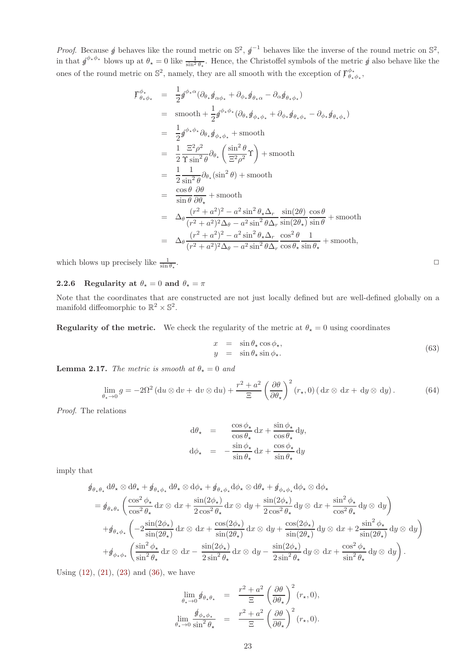*Proof.* Because  $\oint$  behaves like the round metric on  $\mathbb{S}^2$ ,  $\oint^{-1}$  behaves like the inverse of the round metric on  $\mathbb{S}^2$ , in that  $\oint^{\phi_{\star}\phi_{\star}}$  blows up at  $\theta_{\star}=0$  like  $\frac{1}{\sin^2\theta_{\star}}$ . Hence, the Christoffel symbols of the metric  $\oint$  also behave like the ones of the round metric on  $\mathbb{S}^2$ , namely, they are all smooth with the exception of  $\mathcal{F}_{\theta}^{\phi_*}$  $^{\varphi_\star}_{\theta_\star\phi_\star},$ 

$$
\mathcal{F}^{\phi_{\star}}_{\theta_{\star}\phi_{\star}} = \frac{1}{2} g^{\phi_{\star}\alpha} (\partial_{\theta_{\star}} \phi_{\alpha_{\star}} + \partial_{\phi_{\star}} \phi_{\theta_{\star}\alpha} - \partial_{\alpha} \phi_{\theta_{\star}\phi_{\star}})
$$
\n
$$
= \text{smooth} + \frac{1}{2} g^{\phi_{\star}\phi_{\star}} (\partial_{\theta_{\star}} \phi_{\phi_{\star}\phi_{\star}} + \partial_{\phi_{\star}} \phi_{\theta_{\star}\phi_{\star}} - \partial_{\phi_{\star}} \phi_{\theta_{\star}\phi_{\star}})
$$
\n
$$
= \frac{1}{2} g^{\phi_{\star}\phi_{\star}} \partial_{\theta_{\star}} \phi_{\phi_{\star}\phi_{\star}} + \text{smooth}
$$
\n
$$
= \frac{1}{2} \frac{\Xi^{2} \rho^{2}}{\sin^{2} \theta} \partial_{\theta_{\star}} \left( \frac{\sin^{2} \theta}{\Xi^{2} \rho^{2}} \Upsilon \right) + \text{smooth}
$$
\n
$$
= \frac{1}{2} \frac{1}{\sin^{2} \theta} \partial_{\theta_{\star}} (\sin^{2} \theta) + \text{smooth}
$$
\n
$$
= \frac{\cos \theta}{\sin \theta} \frac{\partial \theta}{\partial \theta_{\star}} + \text{smooth}
$$
\n
$$
= \Delta_{\theta} \frac{(r^{2} + a^{2})^{2} - a^{2} \sin^{2} \theta_{\star} \Delta_{r}}{\left(r^{2} + a^{2}\right)^{2} \Delta_{\theta} - a^{2} \sin^{2} \theta_{\star} \Delta_{r}} \frac{\cos^{2} \theta}{\sin(2\theta_{\star})} \frac{1}{\sin \theta} + \text{smooth}
$$
\n
$$
= \Delta_{\theta} \frac{(r^{2} + a^{2})^{2} - a^{2} \sin^{2} \theta_{\star} \Delta_{r}}{\left(r^{2} + a^{2}\right)^{2} \Delta_{\theta} - a^{2} \sin^{2} \theta_{\star} \Delta_{r}} \frac{\cos^{2} \theta}{\cos \theta_{\star}} \frac{1}{\sin \theta_{\star}} + \text{smooth},
$$

which blows up precisely like  $\frac{1}{\sin \theta_{\star}}$ 

## <span id="page-22-0"></span>2.2.6 Regularity at  $\theta_* = 0$  and  $\theta_* = \pi$

Note that the coordinates that are constructed are not just locally defined but are well-defined globally on a manifold diffeomorphic to  $\mathbb{R}^2 \times \mathbb{S}^2$ .

**Regularity of the metric.** We check the regularity of the metric at  $\theta_* = 0$  using coordinates

<span id="page-22-2"></span>
$$
x = \sin \theta_{\star} \cos \phi_{\star}, \n y = \sin \theta_{\star} \sin \phi_{\star}.
$$
\n(63)

**Lemma 2.17.** The metric is smooth at  $\theta_{\star} = 0$  and

<span id="page-22-1"></span>
$$
\lim_{\theta_{\star}\to 0} g = -2\Omega^2 \left( \mathrm{d}u \otimes \mathrm{d}v + \mathrm{d}v \otimes \mathrm{d}u \right) + \frac{r^2 + a^2}{\Xi} \left( \frac{\partial \theta}{\partial \theta_{\star}} \right)^2 \left( r_{\star}, 0 \right) \left( \mathrm{d}x \otimes \mathrm{d}x + \mathrm{d}y \otimes \mathrm{d}y \right). \tag{64}
$$

Proof. The relations

$$
d\theta_{\star} = \frac{\cos \phi_{\star}}{\cos \theta_{\star}} dx + \frac{\sin \phi_{\star}}{\cos \theta_{\star}} dy,
$$
  

$$
d\phi_{\star} = -\frac{\sin \phi_{\star}}{\sin \theta_{\star}} dx + \frac{\cos \phi_{\star}}{\sin \theta_{\star}} dy
$$

imply that

$$
\phi_{\theta_{\star}\theta_{\star}} d\theta_{\star} \otimes d\theta_{\star} + \phi_{\theta_{\star}\phi_{\star}} d\theta_{\star} \otimes d\phi_{\star} + \phi_{\theta_{\star}\phi_{\star}} d\phi_{\star} \otimes d\theta_{\star} + \phi_{\phi_{\star}\phi_{\star}} d\phi_{\star} \otimes d\phi_{\star}
$$
\n
$$
= \phi_{\theta_{\star}\theta_{\star}} \left( \frac{\cos^{2} \phi_{\star}}{\cos^{2} \theta_{\star}} dx \otimes dx + \frac{\sin(2\phi_{\star})}{2 \cos^{2} \theta_{\star}} dx \otimes dy + \frac{\sin(2\phi_{\star})}{2 \cos^{2} \theta_{\star}} dy \otimes dx + \frac{\sin^{2} \phi_{\star}}{\cos^{2} \theta_{\star}} dy \otimes dy \right)
$$
\n
$$
+ \phi_{\theta_{\star}\phi_{\star}} \left( -2 \frac{\sin(2\phi_{\star})}{\sin(2\theta_{\star})} dx \otimes dx + \frac{\cos(2\phi_{\star})}{\sin(2\theta_{\star})} dx \otimes dy + \frac{\cos(2\phi_{\star})}{\sin(2\theta_{\star})} dy \otimes dx + 2 \frac{\sin^{2} \phi_{\star}}{\sin(2\theta_{\star})} dy \otimes dy \right)
$$
\n
$$
+ \phi_{\phi_{\star}\phi_{\star}} \left( \frac{\sin^{2} \phi_{\star}}{\sin^{2} \theta_{\star}} dx \otimes dx - \frac{\sin(2\phi_{\star})}{2 \sin^{2} \theta_{\star}} dx \otimes dy - \frac{\sin(2\phi_{\star})}{2 \sin^{2} \theta_{\star}} dy \otimes dx + \frac{\cos^{2} \phi_{\star}}{\sin^{2} \theta_{\star}} dy \otimes dy \right).
$$

Using  $(12)$ ,  $(21)$ ,  $(23)$  and  $(36)$ , we have

$$
\lim_{\theta_{\star}\to 0} \oint_{\theta_{\star}\theta_{\star}} = \frac{r^2 + a^2}{\Xi} \left(\frac{\partial \theta}{\partial \theta_{\star}}\right)^2 (r_{\star}, 0),
$$
  

$$
\lim_{\theta_{\star}\to 0} \frac{\oint_{\phi_{\star}\phi_{\star}}}{\sin^2 \theta_{\star}} = \frac{r^2 + a^2}{\Xi} \left(\frac{\partial \theta}{\partial \theta_{\star}}\right)^2 (r_{\star}, 0).
$$

. ✷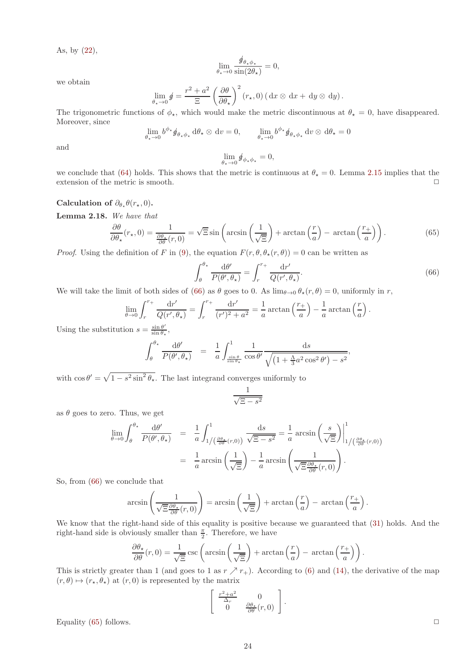As, by [\(22\)](#page-6-2),

$$
\lim_{\theta_\star \to 0} \frac{\oint_{\theta_\star \phi_\star}}{\sin(2\theta_\star)} = 0,
$$

we obtain

$$
\lim_{\theta_{\star}\to 0} \oint = \frac{r^2 + a^2}{\Xi} \left(\frac{\partial \theta}{\partial \theta_{\star}}\right)^2 (r_{\star}, 0) \left(\mathrm{d}x \otimes \mathrm{d}x + \mathrm{d}y \otimes \mathrm{d}y\right).
$$

The trigonometric functions of  $\phi_{\star}$ , which would make the metric discontinuous at  $\theta_{\star} = 0$ , have disappeared. Moreover, since

$$
\lim_{\theta_{\star}\to 0} b^{\phi_{\star}} \mathcal{G}_{\theta_{\star}\phi_{\star}} d\theta_{\star} \otimes dv = 0, \qquad \lim_{\theta_{\star}\to 0} b^{\phi_{\star}} \mathcal{G}_{\theta_{\star}\phi_{\star}} dv \otimes d\theta_{\star} = 0
$$

and

$$
\lim_{\theta_\star \to 0} \oint_{\phi_\star \phi_\star} = 0,
$$

we conclude that [\(64\)](#page-22-1) holds. This shows that the metric is continuous at  $\theta_{\star} = 0$ . Lemma [2.15](#page-20-0) implies that the extension of the metric is smooth.  $\Box$ 

### Calculation of  $\partial_{\theta_{\star}} \theta(r_{\star}, 0)$ .

Lemma 2.18. We have that

<span id="page-23-1"></span>
$$
\frac{\partial \theta}{\partial \theta_{\star}}(r_{\star},0) = \frac{1}{\frac{\partial \theta_{\star}}{\partial \theta}(r,0)} = \sqrt{\Xi} \sin\left(\arcsin\left(\frac{1}{\sqrt{\Xi}}\right) + \arctan\left(\frac{r}{a}\right) - \arctan\left(\frac{r_{+}}{a}\right)\right). \tag{65}
$$

*Proof.* Using the definition of F in [\(9\)](#page-4-2), the equation  $F(r, \theta, \theta_*(r, \theta)) = 0$  can be written as

<span id="page-23-0"></span>
$$
\int_{\theta}^{\theta_{\star}} \frac{\mathrm{d}\theta'}{P(\theta', \theta_{\star})} = \int_{r}^{r_{+}} \frac{\mathrm{d}r'}{Q(r', \theta_{\star})}.
$$
\n(66)

,

We will take the limit of both sides of [\(66\)](#page-23-0) as  $\theta$  goes to 0. As  $\lim_{\theta \to 0} \theta_{\star}(r, \theta) = 0$ , uniformly in r,

$$
\lim_{\theta \to 0} \int_r^{r_+} \frac{dr'}{Q(r', \theta_*)} = \int_r^{r_+} \frac{dr'}{(r')^2 + a^2} = \frac{1}{a} \arctan\left(\frac{r_+}{a}\right) - \frac{1}{a} \arctan\left(\frac{r}{a}\right).
$$

Using the substitution  $s = \frac{\sin \theta'}{\sin \theta_*}$ ,

$$
\int_{\theta}^{\theta_{\star}} \frac{d\theta'}{P(\theta', \theta_{\star})} = \frac{1}{a} \int_{\frac{\sin \theta}{\sin \theta_{\star}}}^1 \frac{1}{\cos \theta'} \frac{ds}{\sqrt{\left(1 + \frac{\Lambda}{3} a^2 \cos^2 \theta'\right) - s^2}}
$$

with  $\cos \theta' = \sqrt{1 - s^2 \sin^2 \theta_\star}$ . The last integrand converges uniformly to

$$
\frac{1}{\sqrt{\Xi - s^2}}
$$

as  $\theta$  goes to zero. Thus, we get

$$
\lim_{\theta \to 0} \int_{\theta}^{\theta_{\star}} \frac{d\theta'}{P(\theta', \theta_{\star})} = \frac{1}{a} \int_{1/(\frac{\partial \theta_{\star}}{\partial \theta}(r, 0))}^1 \frac{ds}{\sqrt{\Xi - s^2}} = \frac{1}{a} \arcsin\left(\frac{s}{\sqrt{\Xi}}\right)\Big|_{1/(\frac{\partial \theta_{\star}}{\partial \theta}(r, 0))}^1
$$
\n
$$
= \frac{1}{a} \arcsin\left(\frac{1}{\sqrt{\Xi}}\right) - \frac{1}{a} \arcsin\left(\frac{1}{\sqrt{\Xi \frac{\partial \theta_{\star}}{\partial \theta}(r, 0)}}\right).
$$

So, from [\(66\)](#page-23-0) we conclude that

$$
\arcsin\left(\frac{1}{\sqrt{\Xi}\frac{\partial \theta_{\star}}{\partial \theta}(r,0)}\right) = \arcsin\left(\frac{1}{\sqrt{\Xi}}\right) + \arctan\left(\frac{r}{a}\right) - \arctan\left(\frac{r_+}{a}\right).
$$

We know that the right-hand side of this equality is positive because we guaranteed that [\(31\)](#page-9-3) holds. And the right-hand side is obviously smaller than  $\frac{\pi}{2}$ . Therefore, we have

$$
\frac{\partial \theta_{\star}}{\partial \theta}(r,0) = \frac{1}{\sqrt{\Xi}} \csc\left(\arcsin\left(\frac{1}{\sqrt{\Xi}}\right) + \arctan\left(\frac{r}{a}\right) - \arctan\left(\frac{r_+}{a}\right)\right).
$$

This is strictly greater than 1 (and goes to 1 as  $r \nearrow r_{+}$ ). According to [\(6\)](#page-4-3) and [\(14\)](#page-5-6), the derivative of the map  $(r, \theta) \mapsto (r_\star, \theta_\star)$  at  $(r, 0)$  is represented by the matrix

$$
\left[\begin{array}{cc} \frac{r^2+a^2}{\Delta_r} & 0\\ 0 & \frac{\partial \theta_\star}{\partial \theta}(r,0) \end{array}\right].
$$

Equality [\(65\)](#page-23-1) follows.  $\Box$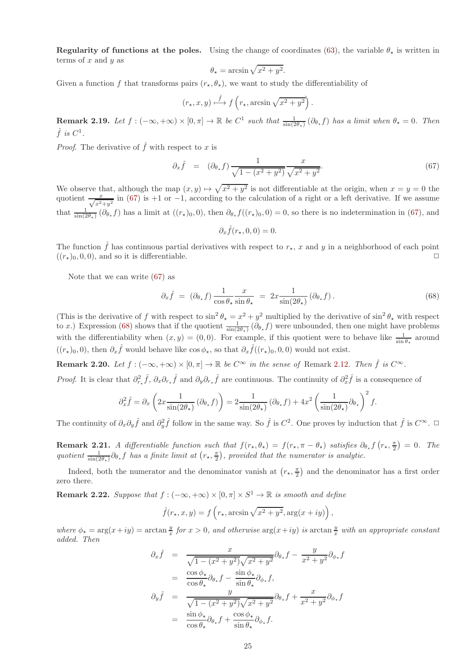Regularity of functions at the poles. Using the change of coordinates [\(63\)](#page-22-2), the variable  $\theta_{\star}$  is written in terms of  $x$  and  $y$  as

$$
\theta_{\star} = \arcsin\sqrt{x^2 + y^2}.
$$

Given a function f that transforms pairs  $(r_{\star}, \theta_{\star})$ , we want to study the differentiability of

$$
(r_\star, x, y) \stackrel{\hat{f}}{\longmapsto} f\left(r_\star, \arcsin \sqrt{x^2 + y^2}\right)
$$

<span id="page-24-0"></span>**Remark 2.19.** Let  $f: (-\infty, +\infty) \times [0, \pi] \to \mathbb{R}$  be  $C^1$  such that  $\frac{1}{\sin(2\theta_\star)} (\partial_{\theta_\star} f)$  has a limit when  $\theta_\star = 0$ . Then  $\hat{f}$  is  $C^1$ .

*Proof.* The derivative of  $\hat{f}$  with respect to x is

<span id="page-24-3"></span>
$$
\partial_x \hat{f} = (\partial_{\theta_x} f) \frac{1}{\sqrt{1 - (x^2 + y^2)}} \frac{x}{\sqrt{x^2 + y^2}}.
$$
\n(67)

.

We observe that, although the map  $(x, y) \mapsto \sqrt{x^2 + y^2}$  is not differentiable at the origin, when  $x = y = 0$  the quotient  $\frac{x}{\sqrt{x^2+y^2}}$  in [\(67\)](#page-24-3) is +1 or -1, according to the calculation of a right or a left derivative. If we assume that  $\frac{1}{\sin(2\theta_\star)}(\partial_{\theta_\star}f)$  has a limit at  $((r_\star)_0, 0)$ , then  $\partial_{\theta_\star}f((r_\star)_0, 0) = 0$ , so there is no indetermination in [\(67\)](#page-24-3), and

$$
\partial_x \hat{f}(r_\star, 0, 0) = 0.
$$

The function  $\hat{f}$  has continuous partial derivatives with respect to  $r_{\star}$ , x and y in a neighborhood of each point  $((r_{\star})_0, 0, 0)$ , and so it is differentiable.

Note that we can write [\(67\)](#page-24-3) as

<span id="page-24-4"></span>
$$
\partial_x \hat{f} = (\partial_{\theta_\star} f) \frac{1}{\cos \theta_\star} \frac{x}{\sin \theta_\star} = 2x \frac{1}{\sin(2\theta_\star)} (\partial_{\theta_\star} f). \tag{68}
$$

(This is the derivative of f with respect to  $\sin^2 \theta_x = x^2 + y^2$  multiplied by the derivative of  $\sin^2 \theta_x$  with respect to x.) Expression [\(68\)](#page-24-4) shows that if the quotient  $\frac{1}{\sin(2\theta_\star)}(\partial_{\theta_\star} f)$  were unbounded, then one might have problems with the differentiability when  $(x, y) = (0, 0)$ . For example, if this quotient were to behave like  $\frac{1}{\sin \theta_{\star}}$  around  $((r_{\star})_0, 0)$ , then  $\partial_x \hat{f}$  would behave like cos  $\phi_{\star}$ , so that  $\partial_x \hat{f}((r_{\star})_0, 0, 0)$  would not exist.

<span id="page-24-1"></span>Remark 2.20. Let  $f: (-\infty, +\infty) \times [0, \pi] \to \mathbb{R}$  be  $C^{\infty}$  in the sense of Remark [2.12](#page-14-5). Then  $\hat{f}$  is  $C^{\infty}$ .

*Proof.* It is clear that  $\partial_{r_{\star}}^2 \hat{f}, \partial_x \partial_{r_{\star}} \hat{f}$  and  $\partial_y \partial_{r_{\star}} \hat{f}$  are continuous. The continuity of  $\partial_x^2 \hat{f}$  is a consequence of

$$
\partial_x^2 \hat{f} = \partial_x \left( 2x \frac{1}{\sin(2\theta_\star)} (\partial_{\theta_\star} f) \right) = 2 \frac{1}{\sin(2\theta_\star)} (\partial_{\theta_\star} f) + 4x^2 \left( \frac{1}{\sin(2\theta_\star)} \partial_{\theta_\star} \right)^2 f.
$$

The continuity of  $\partial_x \partial_y \hat{f}$  and  $\partial_y^2 \hat{f}$  follow in the same way. So  $\hat{f}$  is  $C^2$ . One proves by induction that  $\hat{f}$  is  $C^{\infty}$ .  $\Box$ 

<span id="page-24-2"></span>**Remark 2.21.** A differentiable function such that  $f(r_{\star}, \theta_{\star}) = f(r_{\star}, \pi - \theta_{\star})$  satisfies  $\partial_{\theta_{\star}} f(r_{\star}, \frac{\pi}{2}) = 0$ . The quotient  $\frac{1}{\sin(2\theta_\star)} \partial_{\theta_\star} f$  has a finite limit at  $(r_\star, \frac{\pi}{2})$ , provided that the numerator is analytic.

Indeed, both the numerator and the denominator vanish at  $(r_{\star}, \frac{\pi}{2})$  and the denominator has a first order zero there.

<span id="page-24-5"></span>**Remark 2.22.** Suppose that  $f: (-\infty, +\infty) \times [0, \pi] \times S^1 \to \mathbb{R}$  is smooth and define

$$
\hat{f}(r_\star, x, y) = f\left(r_\star, \arcsin\sqrt{x^2 + y^2}, \arg(x + iy)\right),\,
$$

where  $\phi_{\star} = \arg(x+iy) = \arctan{\frac{y}{x}}$  for  $x > 0$ , and otherwise  $\arg(x+iy)$  is  $\arctan{\frac{y}{x}}$  with an appropriate constant added. Then

$$
\partial_x \hat{f} = \frac{x}{\sqrt{1 - (x^2 + y^2)} \sqrt{x^2 + y^2}} \partial_{\theta_x} f - \frac{y}{x^2 + y^2} \partial_{\phi_x} f
$$
  
\n
$$
= \frac{\cos \phi_x}{\cos \theta_x} \partial_{\theta_x} f - \frac{\sin \phi_x}{\sin \theta_x} \partial_{\phi_x} f,
$$
  
\n
$$
\partial_y \hat{f} = \frac{y}{\sqrt{1 - (x^2 + y^2)} \sqrt{x^2 + y^2}} \partial_{\theta_x} f + \frac{x}{x^2 + y^2} \partial_{\phi_x} f
$$
  
\n
$$
= \frac{\sin \phi_x}{\cos \theta_x} \partial_{\theta_x} f + \frac{\cos \phi_x}{\sin \theta_x} \partial_{\phi_x} f.
$$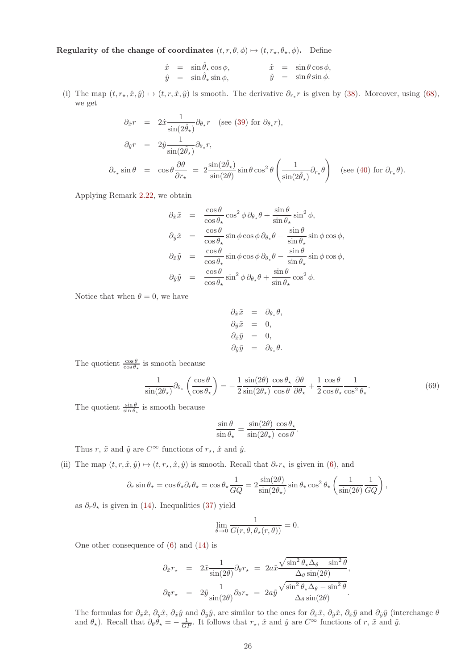Regularity of the change of coordinates  $(t, r, \theta, \phi) \mapsto (t, r_{\star}, \theta_{\star}, \phi)$ . Define

| $\hat{x}$ | $=$ $\sin \theta_{\star} \cos \phi$ , |  | $\tilde{x} = \sin \theta \cos \phi,$ |
|-----------|---------------------------------------|--|--------------------------------------|
| $\hat{y}$ | $=$ $\sin \theta_{\star} \sin \phi$ , |  | $\tilde{y} = \sin \theta \sin \phi.$ |

(i) The map  $(t, r_*, \hat{x}, \hat{y}) \mapsto (t, r, \tilde{x}, \tilde{y})$  is smooth. The derivative  $\partial_{r_*} r$  is given by [\(38\)](#page-13-6). Moreover, using [\(68\)](#page-24-4), we get

$$
\partial_{\hat{x}}r = 2\hat{x} \frac{1}{\sin(2\hat{\theta}_{\star})} \partial_{\theta_{\star}}r \quad \text{(see (39) for } \partial_{\theta_{\star}}r\text{)},
$$
\n
$$
\partial_{\hat{y}}r = 2\hat{y} \frac{1}{\sin(2\hat{\theta}_{\star})} \partial_{\theta_{\star}}r,
$$
\n
$$
\partial_{r_{\star}}\sin\theta = \cos\theta \frac{\partial\theta}{\partial r_{\star}} = 2\frac{\sin(2\hat{\theta}_{\star})}{\sin(2\theta)} \sin\theta \cos^{2}\theta \left(\frac{1}{\sin(2\hat{\theta}_{\star})} \partial_{r_{\star}}\theta\right) \quad \text{(see (40) for } \partial_{r_{\star}}\theta\text{).}
$$

Applying Remark [2.22,](#page-24-5) we obtain

$$
\partial_{\hat{x}} \tilde{x} = \frac{\cos \theta}{\cos \theta_{\star}} \cos^2 \phi \, \partial_{\theta_{\star}} \theta + \frac{\sin \theta}{\sin \theta_{\star}} \sin^2 \phi,
$$
  

$$
\partial_{\hat{y}} \tilde{x} = \frac{\cos \theta}{\cos \theta_{\star}} \sin \phi \cos \phi \, \partial_{\theta_{\star}} \theta - \frac{\sin \theta}{\sin \theta_{\star}} \sin \phi \cos \phi,
$$
  

$$
\partial_{\hat{x}} \tilde{y} = \frac{\cos \theta}{\cos \theta_{\star}} \sin \phi \cos \phi \, \partial_{\theta_{\star}} \theta - \frac{\sin \theta}{\sin \theta_{\star}} \sin \phi \cos \phi,
$$
  

$$
\partial_{\hat{y}} \tilde{y} = \frac{\cos \theta}{\cos \theta_{\star}} \sin^2 \phi \, \partial_{\theta_{\star}} \theta + \frac{\sin \theta}{\sin \theta_{\star}} \cos^2 \phi.
$$

Notice that when  $\theta = 0$ , we have

$$
\partial_{\hat{x}} \tilde{x} = \partial_{\theta_{*}} \theta,
$$
  
\n
$$
\partial_{\hat{y}} \tilde{x} = 0,
$$
  
\n
$$
\partial_{\hat{x}} \tilde{y} = 0,
$$
  
\n
$$
\partial_{\hat{y}} \tilde{y} = \partial_{\theta_{*}} \theta.
$$

The quotient  $\frac{\cos \theta}{\cos \theta_*}$  is smooth because

$$
\frac{1}{\sin(2\theta_\star)} \partial_{\theta_\star} \left( \frac{\cos \theta}{\cos \theta_\star} \right) = -\frac{1}{2} \frac{\sin(2\theta)}{\sin(2\theta_\star)} \frac{\cos \theta_\star}{\cos \theta} \frac{\partial \theta}{\partial \theta_\star} + \frac{1}{2} \frac{\cos \theta}{\cos \theta_\star} \frac{1}{\cos^2 \theta_\star}.
$$
(69)

The quotient  $\frac{\sin \theta}{\sin \theta_{\star}}$  is smooth because

$$
\frac{\sin \theta}{\sin \theta_{\star}} = \frac{\sin(2\theta)}{\sin(2\theta_{\star})} \frac{\cos \theta_{\star}}{\cos \theta}.
$$

Thus r,  $\tilde{x}$  and  $\tilde{y}$  are  $C^{\infty}$  functions of  $r_{\star}$ ,  $\hat{x}$  and  $\hat{y}$ .

(ii) The map  $(t, r, \tilde{x}, \tilde{y}) \mapsto (t, r_{\star}, \hat{x}, \hat{y})$  is smooth. Recall that  $\partial_r r_{\star}$  is given in [\(6\)](#page-4-3), and

$$
\partial_r \sin \theta_\star = \cos \theta_\star \partial_r \theta_\star = \cos \theta_\star \frac{1}{GQ} = 2 \frac{\sin(2\theta)}{\sin(2\theta_\star)} \sin \theta_\star \cos^2 \theta_\star \left( \frac{1}{\sin(2\theta)} \frac{1}{GQ} \right),
$$

as  $\partial_r \theta_\star$  is given in [\(14\)](#page-5-6). Inequalities [\(37\)](#page-12-0) yield

$$
\lim_{\theta \to 0} \frac{1}{G(r, \theta, \theta_\star(r, \theta))} = 0.
$$

One other consequence of [\(6\)](#page-4-3) and [\(14\)](#page-5-6) is

$$
\partial_{\tilde{x}} r_{\star} = 2 \tilde{x} \frac{1}{\sin(2\theta)} \partial_{\theta} r_{\star} = 2 a \tilde{x} \frac{\sqrt{\sin^2 \theta_{\star} \Delta_{\theta} - \sin^2 \theta}}{\Delta_{\theta} \sin(2\theta)},
$$
  

$$
\partial_{\tilde{y}} r_{\star} = 2 \tilde{y} \frac{1}{\sin(2\theta)} \partial_{\theta} r_{\star} = 2 a \tilde{y} \frac{\sqrt{\sin^2 \theta_{\star} \Delta_{\theta} - \sin^2 \theta}}{\Delta_{\theta} \sin(2\theta)}.
$$

The formulas for  $\partial_{\tilde{x}}\hat{x}, \partial_{\tilde{y}}\hat{y}, \partial_{\tilde{x}}\hat{y}$  and  $\partial_{\tilde{y}}\hat{y}$ , are similar to the ones for  $\partial_{\tilde{x}}\tilde{x}, \partial_{\tilde{y}}\tilde{y}$  and  $\partial_{\tilde{y}}\tilde{y}$  (interchange  $\theta$ and  $\theta_{\star}$ ). Recall that  $\partial_{\theta} \dot{\theta}_{\star} = -\frac{1}{GP}$ . It follows that  $r_{\star}$ ,  $\hat{x}$  and  $\hat{y}$  are  $C^{\infty}$  functions of  $r$ ,  $\tilde{x}$  and  $\tilde{y}$ .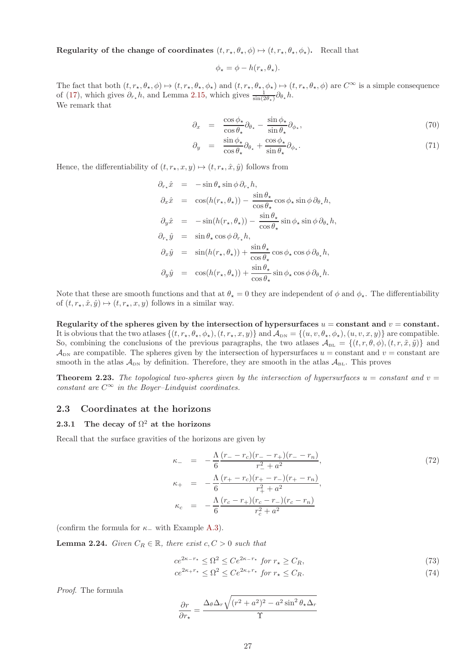Regularity of the change of coordinates  $(t, r_\star, \theta_\star, \phi) \mapsto (t, r_\star, \theta_\star, \phi_\star)$ . Recall that

$$
\phi_\star = \phi - h(r_\star, \theta_\star).
$$

The fact that both  $(t, r_\star, \theta_\star, \phi) \mapsto (t, r_\star, \theta_\star, \phi_\star)$  and  $(t, r_\star, \theta_\star, \phi_\star) \mapsto (t, r_\star, \theta_\star, \phi)$  are  $C^\infty$  is a simple consequence of [\(17\)](#page-6-3), which gives  $\partial_{r_*} h$ , and Lemma [2.15,](#page-20-0) which gives  $\frac{1}{\sin(2\theta_*)} \partial_{\theta_*} h$ . We remark that

$$
\partial_x = \frac{\cos \phi_\star}{\cos \theta_\star} \partial_{\theta_\star} - \frac{\sin \phi_\star}{\sin \theta_\star} \partial_{\phi_\star},\tag{70}
$$

$$
\partial_y = \frac{\sin \phi_\star}{\cos \theta_\star} \partial_{\theta_\star} + \frac{\cos \phi_\star}{\sin \theta_\star} \partial_{\phi_\star}.
$$
\n(71)

Hence, the differentiability of  $(t, r_\star, x, y) \mapsto (t, r_\star, \hat{x}, \hat{y})$  follows from

$$
\partial_{r*}\hat{x} = -\sin\theta_{\star}\sin\phi \partial_{r_{\star}}h,
$$
  
\n
$$
\partial_{x}\hat{x} = \cos(h(r_{\star},\theta_{\star})) - \frac{\sin\theta_{\star}}{\cos\theta_{\star}}\cos\phi_{\star}\sin\phi \partial_{\theta_{\star}}h,
$$
  
\n
$$
\partial_{y}\hat{x} = -\sin(h(r_{\star},\theta_{\star})) - \frac{\sin\theta_{\star}}{\cos\theta_{\star}}\sin\phi_{\star}\sin\phi \partial_{\theta_{\star}}h,
$$
  
\n
$$
\partial_{r*}\hat{y} = \sin\theta_{\star}\cos\phi \partial_{r_{\star}}h,
$$
  
\n
$$
\partial_{x}\hat{y} = \sin(h(r_{\star},\theta_{\star})) + \frac{\sin\theta_{\star}}{\cos\theta_{\star}}\cos\phi_{\star}\cos\phi \partial_{\theta_{\star}}h,
$$
  
\n
$$
\partial_{y}\hat{y} = \cos(h(r_{\star},\theta_{\star})) + \frac{\sin\theta_{\star}}{\cos\theta_{\star}}\sin\phi_{\star}\cos\phi \partial_{\theta_{\star}}h.
$$

Note that these are smooth functions and that at  $\theta_* = 0$  they are independent of  $\phi$  and  $\phi_*$ . The differentiability of  $(t, r_\star, \hat{x}, \hat{y}) \mapsto (t, r_\star, x, y)$  follows in a similar way.

Regularity of the spheres given by the intersection of hypersurfaces  $u = constant$  and  $v = constant$ . It is obvious that the two atlases  $\{(t, r_*, \theta_*, \phi_*), (t, r_*, x, y)\}$  and  $\mathcal{A}_{DN} = \{(u, v, \theta_*, \phi_*), (u, v, x, y)\}$  are compatible. So, combining the conclusions of the previous paragraphs, the two atlases  $\mathcal{A}_{BL} = \{(t, r, \theta, \phi), (t, r, \tilde{x}, \tilde{y})\}$  and  $\mathcal{A}_{\text{DN}}$  are compatible. The spheres given by the intersection of hypersurfaces  $u =$  constant and  $v =$  constant are smooth in the atlas  $\mathcal{A}_{DN}$  by definition. Therefore, they are smooth in the atlas  $\mathcal{A}_{BL}$ . This proves

<span id="page-26-2"></span>**Theorem 2.23.** The topological two-spheres given by the intersection of hypersurfaces  $u = constant$  and  $v =$ constant are  $C^{\infty}$  in the Boyer–Lindquist coordinates.

## <span id="page-26-1"></span><span id="page-26-0"></span>2.3 Coordinates at the horizons

## 2.3.1 The decay of  $\Omega^2$  at the horizons

Recall that the surface gravities of the horizons are given by

<span id="page-26-4"></span>
$$
\kappa_{-} = -\frac{\Lambda}{6} \frac{(r_{-} - r_{c})(r_{-} - r_{+})(r_{-} - r_{n})}{r_{-}^2 + a^2},
$$
\n
$$
\kappa_{+} = -\frac{\Lambda}{6} \frac{(r_{+} - r_{c})(r_{+} - r_{-})(r_{+} - r_{n})}{r_{+}^2 + a^2},
$$
\n
$$
\kappa_{c} = -\frac{\Lambda}{6} \frac{(r_{c} - r_{+})(r_{c} - r_{-})(r_{c} - r_{n})}{r_{c}^2 + a^2}
$$
\n(72)

(confirm the formula for  $\kappa_$  with Example [A.3\)](#page-42-0).

**Lemma 2.24.** Given  $C_R \in \mathbb{R}$ , there exist  $c, C > 0$  such that

<span id="page-26-3"></span>
$$
ce^{2\kappa_{-}r_{\star}} \leq \Omega^2 \leq Ce^{2\kappa_{-}r_{\star}} \text{ for } r_{\star} \geq C_R,\tag{73}
$$

$$
ce^{2\kappa_+ r_\star} \le \Omega^2 \le Ce^{2\kappa_+ r_\star} \text{ for } r_\star \le C_R. \tag{74}
$$

Proof. The formula

$$
\frac{\partial r}{\partial r_*} = \frac{\Delta_\theta \Delta_r \sqrt{(r^2 + a^2)^2 - a^2 \sin^2 \theta_* \Delta_r}}{\Upsilon}
$$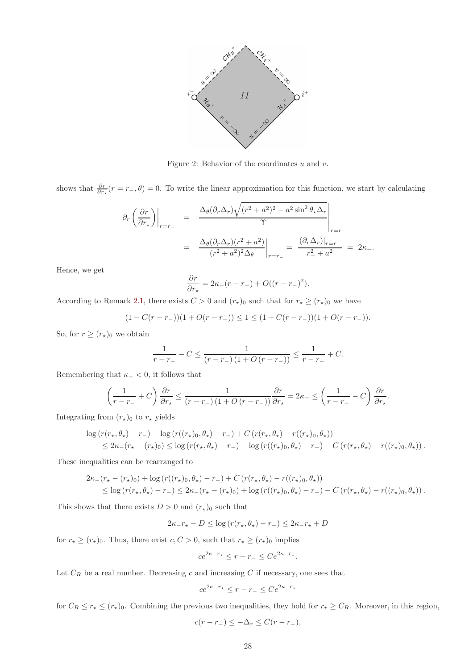

Figure 2: Behavior of the coordinates  $u$  and  $v$ .

shows that  $\frac{\partial r}{\partial r_*}(r = r_-, \theta) = 0$ . To write the linear approximation for this function, we start by calculating

$$
\partial_r \left( \frac{\partial r}{\partial r_\star} \right) \Big|_{r=r_-} = \frac{\Delta_\theta(\partial_r \Delta_r) \sqrt{(r^2 + a^2)^2 - a^2 \sin^2 \theta_\star \Delta_r}}{\Upsilon} \Big|_{r=r_-} \n= \frac{\Delta_\theta(\partial_r \Delta_r) (r^2 + a^2)}{(r^2 + a^2)^2 \Delta_\theta} \Big|_{r=r_-} = \frac{(\partial_r \Delta_r) \Big|_{r=r_-}}{r_-^2 + a^2} = 2\kappa_-.
$$

Hence, we get

$$
\frac{\partial r}{\partial r_*} = 2\kappa_-(r - r_-) + O((r - r_-)^2).
$$

According to Remark [2.1,](#page-5-7) there exists  $C > 0$  and  $(r_{\star})_0$  such that for  $r_{\star} \ge (r_{\star})_0$  we have

$$
(1 - C(r - r-))(1 + O(r - r-)) \le 1 \le (1 + C(r - r-))(1 + O(r - r-)).
$$

So, for  $r \ge (r_*)_0$  we obtain

$$
\frac{1}{r-r_{-}} - C \le \frac{1}{(r-r_{-})\left(1 + O(r-r_{-})\right)} \le \frac{1}{r-r_{-}} + C.
$$

Remembering that  $\kappa$  – < 0, it follows that

$$
\left(\frac{1}{r-r_{-}}+C\right)\frac{\partial r}{\partial r_{\star}}\leq\frac{1}{\left(r-r_{-}\right)\left(1+O\left(r-r_{-}\right)\right)}\frac{\partial r}{\partial r_{\star}}=2\kappa_{-}\leq\left(\frac{1}{r-r_{-}}-C\right)\frac{\partial r}{\partial r_{\star}}.
$$

Integrating from  $(r_{\star})_0$  to  $r_{\star}$  yields

$$
\log (r(r_{\star}, \theta_{\star}) - r_{-}) - \log (r((r_{\star})_{0}, \theta_{\star}) - r_{-}) + C (r(r_{\star}, \theta_{\star}) - r((r_{\star})_{0}, \theta_{\star}))
$$
  
\n
$$
\leq 2\kappa_{-}(r_{\star} - (r_{\star})_{0}) \leq \log (r(r_{\star}, \theta_{\star}) - r_{-}) - \log (r((r_{\star})_{0}, \theta_{\star}) - r_{-}) - C (r(r_{\star}, \theta_{\star}) - r((r_{\star})_{0}, \theta_{\star})).
$$

These inequalities can be rearranged to

$$
2\kappa_{-}(r_{\star} - (r_{\star})_{0}) + \log (r((r_{\star})_{0}, \theta_{\star}) - r_{-}) + C (r(r_{\star}, \theta_{\star}) - r((r_{\star})_{0}, \theta_{\star}))
$$
  
\n
$$
\leq \log (r(r_{\star}, \theta_{\star}) - r_{-}) \leq 2\kappa_{-}(r_{\star} - (r_{\star})_{0}) + \log (r((r_{\star})_{0}, \theta_{\star}) - r_{-}) - C (r(r_{\star}, \theta_{\star}) - r((r_{\star})_{0}, \theta_{\star})).
$$

This shows that there exists  $D > 0$  and  $(r_{\star})_0$  such that

$$
2\kappa_{-}r_{\star} - D \le \log\left(r(r_{\star}, \theta_{\star}) - r_{-}\right) \le 2\kappa_{-}r_{\star} + D
$$

for  $r_{\star} \ge (r_{\star})_0$ . Thus, there exist  $c, C > 0$ , such that  $r_{\star} \ge (r_{\star})_0$  implies

$$
ce^{2\kappa-r_{\star}} \le r - r_- \le Ce^{2\kappa-r_{\star}}.
$$

Let  $C_R$  be a real number. Decreasing c and increasing C if necessary, one sees that

$$
ce^{2\kappa_r} \le r - r_- \le Ce^{2\kappa_r} \kappa
$$

for  $C_R \le r_* \le (r_*)_0$ . Combining the previous two inequalities, they hold for  $r_* \ge C_R$ . Moreover, in this region,

$$
c(r - r_-) \leq -\Delta_r \leq C(r - r_-),
$$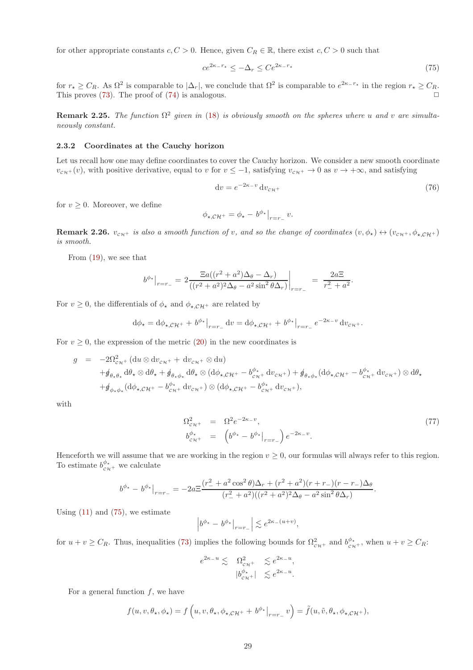for other appropriate constants  $c, C > 0$ . Hence, given  $C_R \in \mathbb{R}$ , there exist  $c, C > 0$  such that

<span id="page-28-1"></span>
$$
ce^{2\kappa - r_{\star}} \le -\Delta_r \le Ce^{2\kappa - r_{\star}} \tag{75}
$$

for  $r_{\star} \geq C_R$ . As  $\Omega^2$  is comparable to  $|\Delta_r|$ , we conclude that  $\Omega^2$  is comparable to  $e^{2\kappa_r}$  in the region  $r_{\star} \geq C_R$ . This proves  $(73)$ . The proof of  $(74)$  is analogous.

**Remark 2.25.** The function  $\Omega^2$  given in [\(18\)](#page-6-4) is obviously smooth on the spheres where u and v are simultaneously constant.

#### <span id="page-28-0"></span>2.3.2 Coordinates at the Cauchy horizon

Let us recall how one may define coordinates to cover the Cauchy horizon. We consider a new smooth coordinate  $v_{\text{c}H+}(v)$ , with positive derivative, equal to v for  $v \leq -1$ , satisfying  $v_{\text{c}H+}(v)$  as  $v \to +\infty$ , and satisfying

<span id="page-28-2"></span>
$$
dv = e^{-2\kappa_{-}v} dv_{c\mathcal{H}^{+}}
$$
\n(76)

.

for  $v \geq 0$ . Moreover, we define

$$
\phi_{\star,\mathcal{CH}^+} = \phi_{\star} - b^{\phi_{\star}}|_{r=r_-} v.
$$

**Remark 2.26.**  $v_{c} + i s$  also a smooth function of v, and so the change of coordinates  $(v, \phi_{\star}) \leftrightarrow (v_{c} + i \phi_{\star})$ is smooth.

From [\(19\)](#page-6-4), we see that

$$
b^{\phi_{\star}}|_{r=r_{-}} = 2 \frac{\Xi a((r^2 + a^2)\Delta_{\theta} - \Delta_r)}{((r^2 + a^2)^2 \Delta_{\theta} - a^2 \sin^2 \theta \Delta_r)}\Big|_{r=r_{-}} = \frac{2a\Xi}{r_{-}^2 + a^2}
$$

For  $v \geq 0$ , the differentials of  $\phi_{\star}$  and  $\phi_{\star, \mathcal{CH}^+}$  are related by

$$
\mathrm{d}\phi_{\star} = \mathrm{d}\phi_{\star,\mathcal{CH}^+} + b^{\phi_{\star}}\big|_{r=r_-} \mathrm{d}v = \mathrm{d}\phi_{\star,\mathcal{CH}^+} + b^{\phi_{\star}}\big|_{r=r_-} e^{-2\kappa_{-}v} \mathrm{d}v_{\mathcal{CH}^+}.
$$

For  $v \geq 0$ , the expression of the metric [\(20\)](#page-6-5) in the new coordinates is

$$
g = -2\Omega_{c\mu^+}^2 (\mathrm{d}u \otimes \mathrm{d}v_{c\mu^+} + \mathrm{d}v_{c\mu^+} \otimes \mathrm{d}u)
$$
  
+  $\oint_{\theta_*\theta_*} d\theta_* \otimes d\theta_* + \oint_{\theta_*\phi_*} d\theta_* \otimes (d\phi_{\star,c\mu^+} - b_{c\mu^+}^{\phi_{\star}} \mathrm{d}v_{c\mu^+}) + \oint_{\theta_*\phi_*} (d\phi_{\star,c\mu^+} - b_{c\mu^+}^{\phi_{\star}} \mathrm{d}v_{c\mu^+}) \otimes d\theta_{\star} +  $\oint_{\phi_*\phi_*} (d\phi_{\star,c\mu^+} - b_{c\mu^+}^{\phi_{\star}} \mathrm{d}v_{c\mu^+}) \otimes (d\phi_{\star,c\mu^+} - b_{c\mu^+}^{\phi_{\star}} \mathrm{d}v_{c\mu^+}),$$ 

with

<span id="page-28-3"></span>
$$
\Omega_{c\mathcal{H}^+}^2 = \Omega^2 e^{-2\kappa - v},
$$
\n
$$
b_{c\mathcal{H}^+}^{\phi_\star} = \left( b^{\phi_\star} - b^{\phi_\star} \big|_{r = r_-} \right) e^{-2\kappa - v}.
$$
\n(77)

Henceforth we will assume that we are working in the region  $v \geq 0$ , our formulas will always refer to this region. To estimate  $b_{c\mathcal{H}^+}^{\phi_*}$  we calculate

$$
b^{\phi_{\star}} - b^{\phi_{\star}}|_{r=r_{-}} = -2a\Xi \frac{(r_{-}^{2} + a^{2}\cos^{2}\theta)\Delta_{r} + (r^{2} + a^{2})(r + r_{-})(r - r_{-})\Delta_{\theta}}{(r_{-}^{2} + a^{2})((r^{2} + a^{2})^{2}\Delta_{\theta} - a^{2}\sin^{2}\theta\Delta_{r})}.
$$

Using  $(11)$  and  $(75)$ , we estimate

$$
\left| b^{\phi_\star} - b^{\phi_\star} \right|_{r = r_-} \leq e^{2\kappa_-(u+v)},
$$

for  $u + v \geq C_R$ . Thus, inequalities [\(73\)](#page-26-3) implies the following bounds for  $\Omega_{c\mu^+}^2$  and  $b_{c\mu^+}^{\phi^*}$ , when  $u + v \geq C_R$ :

$$
e^{2\kappa_- u} \lesssim \Omega_{\mathcal{CH}^+}^2 \lesssim e^{2\kappa_- u},
$$
  

$$
|b_{\mathcal{CH}^+}^{\phi_*}| \lesssim e^{2\kappa_- u}.
$$

For a general function  $f$ , we have

$$
f(u, v, \theta_{\star}, \phi_{\star}) = f\left(u, v, \theta_{\star}, \phi_{\star, \mathcal{CH}^+} + b^{\phi_{\star}}\big|_{r=r_-} v\right) = \tilde{f}(u, \tilde{v}, \theta_{\star}, \phi_{\star, \mathcal{CH}^+}),
$$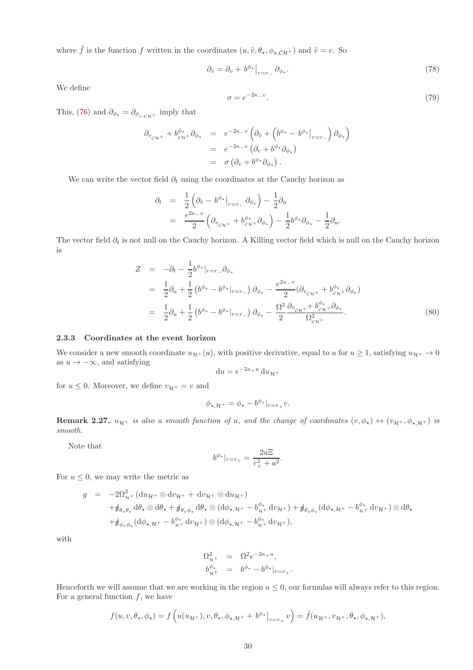where  $\tilde{f}$  is the function f written in the coordinates  $(u, \tilde{v}, \theta_{\star}, \phi_{\star, C} \mu_{\star})$  and  $\tilde{v} = v$ . So

<span id="page-29-3"></span>
$$
\partial_{\tilde{v}} = \partial_v + b^{\phi_\star}\big|_{r=r_-} \partial_{\phi_\star}.\tag{78}
$$

We define

<span id="page-29-2"></span>
$$
\sigma = e^{-2\kappa_{-}v}.\tag{79}
$$

This, [\(76\)](#page-28-2) and  $\partial_{\phi_{\star}} = \partial_{\phi_{\star, \mathcal{CH}^+}}$  imply that

$$
\partial_{v_{\mathcal{CH}^{+}}} + b^{\phi_{\star}}_{\mathcal{CH}^{+}} \partial_{\phi_{\star}} = e^{-2\kappa_{-}v} \left( \partial_{\tilde{v}} + \left( b^{\phi_{\star}} - b^{\phi_{\star}} \middle|_{r=r_{-}} \right) \partial_{\phi_{\star}} \right)
$$
  

$$
= e^{-2\kappa_{-}v} \left( \partial_{v} + b^{\phi_{\star}} \partial_{\phi_{\star}} \right)
$$
  

$$
= \sigma \left( \partial_{v} + b^{\phi_{\star}} \partial_{\phi_{\star}} \right).
$$

We can write the vector field  $\partial_t$  using the coordinates at the Cauchy horizon as

$$
\partial_t = \frac{1}{2} \left( \partial_{\tilde{v}} - b^{\phi_\star} \big|_{r=r_-} \partial_{\phi_\star} \right) - \frac{1}{2} \partial_u
$$
  
= 
$$
\frac{e^{2\kappa_{-v}}}{2} \left( \partial_{v_{\mathcal{CH}^+}} + b^{\phi_\star}_{\mathcal{CH}^+} \partial_{\phi_\star} \right) - \frac{1}{2} b^{\phi_\star} \partial_{\phi_\star} - \frac{1}{2} \partial_u.
$$

The vector field  $\partial_t$  is not null on the Cauchy horizon. A Killing vector field which is null on the Cauchy horizon is

<span id="page-29-1"></span>
$$
Z = -\partial_t - \frac{1}{2} b^{\phi_\star} |_{r=r_-} \partial_{\phi_\star}
$$
  
\n
$$
= \frac{1}{2} \partial_u + \frac{1}{2} \left( b^{\phi_\star} - b^{\phi_\star} |_{r=r_-} \right) \partial_{\phi_\star} - \frac{e^{2\kappa_- v}}{2} (\partial_{v_{\mathcal{CH}^+}} + b^{\phi_\star}_{\mathcal{CH}^+} \partial_{\phi_\star})
$$
  
\n
$$
= \frac{1}{2} \partial_u + \frac{1}{2} \left( b^{\phi_\star} - b^{\phi_\star} |_{r=r_-} \right) \partial_{\phi_\star} - \frac{\Omega^2}{2} \frac{\partial_{v_{\mathcal{CH}^+}} + b^{\phi_\star}_{\mathcal{CH}^+} \partial_{\phi_\star}}{\Omega_{\mathcal{CH}^+}^2}.
$$
\n(80)

## <span id="page-29-0"></span>2.3.3 Coordinates at the event horizon

We consider a new smooth coordinate  $u_{\mathcal{H}^+}(u)$ , with positive derivative, equal to u for  $u \geq 1$ , satisfying  $u_{\mathcal{H}^+} \to 0$ as  $u \to -\infty$ , and satisfying

$$
\mathrm{d}u = e^{-2\kappa + u} \, \mathrm{d}u_{\mathcal{H}^+}
$$

for  $u \leq 0$ . Moreover, we define  $v_{\mathcal{H}^+} = v$  and

$$
\phi_{\star,\mathcal{H}^+} = \phi_{\star} - b^{\phi_{\star}}|_{r=r_+}v.
$$

**Remark 2.27.**  $u_{\mathcal{H}^+}$  is also a smooth function of u, and the change of coordinates  $(v, \phi_\star) \leftrightarrow (v_{\mathcal{H}^+}, \phi_{\star, \mathcal{H}^+})$  is smooth.

Note that

$$
b^{\phi_\star}|_{r=r_+} = \frac{2a\Xi}{r_+^2 + a^2}.
$$

For  $u \leq 0$ , we may write the metric as

$$
g = -2\Omega_{\mathcal{H}^+}^2 (du_{\mathcal{H}^+} \otimes dv_{\mathcal{H}^+} + dv_{\mathcal{H}^+} \otimes du_{\mathcal{H}^+})
$$
  
+  $\oint_{\theta_*\theta_*} d\theta_* \otimes d\theta_* + \oint_{\theta_*\phi_*} d\theta_* \otimes (d\phi_{*,\mathcal{H}^+} - b_{\mathcal{H}^+}^{\phi_*} dv_{\mathcal{H}^+}) + \oint_{\theta_*\phi_*} (d\phi_{*,\mathcal{H}^+} - b_{\mathcal{H}^+}^{\phi_*} dv_{\mathcal{H}^+}) \otimes d\theta_*+  $\oint_{\phi_*\phi_*} (d\phi_{*,\mathcal{H}^+} - b_{\mathcal{H}^+}^{\phi_*} dv_{\mathcal{H}^+}) \otimes (d\phi_{*,\mathcal{H}^+} - b_{\mathcal{H}^+}^{\phi_*} dv_{\mathcal{H}^+}),$$ 

with

$$
\begin{array}{rcl} \Omega^2_{\mathcal{H}^+} & = & \Omega^2 e^{-2\kappa_+ u}, \\ b^{\phi_\star}_{\mathcal{H}^+} & = & b^{\phi_\star} - b^{\phi_\star}|_{r=r_+}. \end{array}
$$

Henceforth we will assume that we are working in the region  $u \leq 0$ , our formulas will always refer to this region. For a general function  $f$ , we have

$$
f(u, v, \theta_\star, \phi_\star) = f\left(u(u_{\mathcal{H}^+}), v, \theta_\star, \phi_{\star, \mathcal{H}^+} + b^{\phi_\star}\big|_{r=r_+} v\right) = \tilde{f}(u_{\mathcal{H}^+}, v_{\mathcal{H}^+}, \theta_\star, \phi_{\star, \mathcal{H}^+}),
$$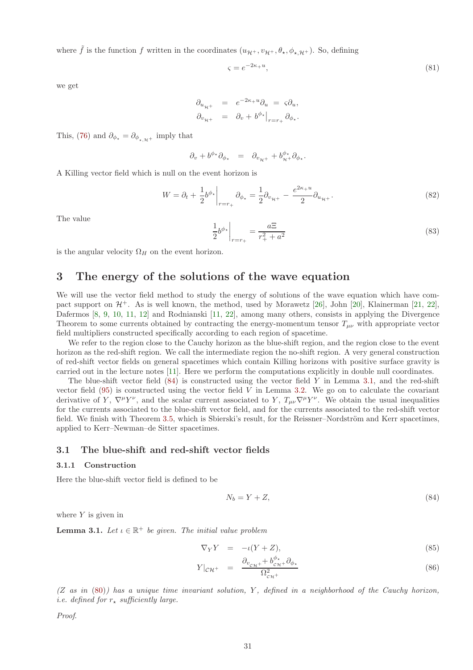where  $\tilde{f}$  is the function f written in the coordinates  $(u_{\mathcal{H}^+}, v_{\mathcal{H}^+}, \theta_\star, \phi_{\star, \mathcal{H}^+})$ . So, defining

<span id="page-30-7"></span>
$$
\varsigma = e^{-2\kappa_+ u},\tag{81}
$$

we get

$$
\begin{array}{rcl}\n\partial_{u_{\mathcal{H}^+}} & = & e^{-2\kappa_+ u} \partial_u = \varsigma \partial_u, \\
\partial_{v_{\mathcal{H}^+}} & = & \partial_v + b^{\phi_\star} \big|_{r = r_+} \partial_{\phi_\star}.\n\end{array}
$$

This, [\(76\)](#page-28-2) and  $\partial_{\phi_{\star}} = \partial_{\phi_{\star}} \psi_{\star} + \psi_{\star}$  imply that

$$
\partial_v + b^{\phi_\star} \partial_{\phi_\star} = \partial_{v_{\mathcal{H}^+}} + b^{\phi_\star}_{\mathcal{H}^+} \partial_{\phi_\star}.
$$

A Killing vector field which is null on the event horizon is

<span id="page-30-6"></span>
$$
W = \partial_t + \frac{1}{2} b^{\phi_\star} \bigg|_{r = r_+} \partial_{\phi_\star} = \frac{1}{2} \partial_{v_{\mathcal{H}^+}} - \frac{e^{2\kappa + u}}{2} \partial_{u_{\mathcal{H}^+}}.
$$
 (82)

The value

<span id="page-30-8"></span>
$$
\frac{1}{2}b^{\phi_{\star}}\Big|_{r=r_{+}} = \frac{a\Xi}{r_{+}^{2} + a^{2}}\tag{83}
$$

<span id="page-30-0"></span>is the angular velocity  $\Omega_H$  on the event horizon.

# 3 The energy of the solutions of the wave equation

We will use the vector field method to study the energy of solutions of the wave equation which have compact support on  $\mathcal{H}^+$ . As is well known, the method, used by Morawetz [\[26\]](#page-55-4), John [\[20\]](#page-54-11), Klainerman [\[21,](#page-54-12) [22\]](#page-54-13), Dafermos [\[8,](#page-54-14) [9,](#page-54-3) [10,](#page-54-15) [11,](#page-54-16) [12\]](#page-54-17) and Rodnianski [\[11,](#page-54-16) [22\]](#page-54-13), among many others, consists in applying the Divergence Theorem to some currents obtained by contracting the energy-momentum tensor  $T_{\mu\nu}$  with appropriate vector field multipliers constructed specifically according to each region of spacetime.

We refer to the region close to the Cauchy horizon as the blue-shift region, and the region close to the event horizon as the red-shift region. We call the intermediate region the no-shift region. A very general construction of red-shift vector fields on general spacetimes which contain Killing horizons with positive surface gravity is carried out in the lecture notes [\[11\]](#page-54-16). Here we perform the computations explicitly in double null coordinates.

The blue-shift vector field  $(84)$  is constructed using the vector field Y in Lemma [3.1,](#page-30-4) and the red-shift vector field  $(95)$  is constructed using the vector field V in Lemma [3.2.](#page-33-2) We go on to calculate the covariant derivative of Y,  $\nabla^{\mu}Y^{\nu}$ , and the scalar current associated to Y,  $T_{\mu\nu}\nabla^{\mu}Y^{\nu}$ . We obtain the usual inequalities for the currents associated to the blue-shift vector field, and for the currents associated to the red-shift vector field. We finish with Theorem [3.5,](#page-37-1) which is Sbierski's result, for the Reissner–Nordström and Kerr spacetimes, applied to Kerr–Newman–de Sitter spacetimes.

#### <span id="page-30-2"></span><span id="page-30-1"></span>3.1 The blue-shift and red-shift vector fields

#### 3.1.1 Construction

Here the blue-shift vector field is defined to be

<span id="page-30-3"></span>
$$
N_b = Y + Z,\tag{84}
$$

where  $Y$  is given in

<span id="page-30-4"></span>**Lemma 3.1.** Let  $\iota \in \mathbb{R}^+$  be given. The initial value problem

<span id="page-30-5"></span>
$$
\nabla_Y Y = -\iota(Y + Z), \tag{85}
$$

$$
Y|_{\mathcal{CH}^+} = \frac{\partial_{v_{\mathcal{CH}^+}} + b_{\mathcal{CH}^+}^{\phi_\star} \partial_{\phi_\star}}{\Omega_{\mathcal{CH}^+}^2} \tag{86}
$$

 $(Z \text{ as in } (80))$  $(Z \text{ as in } (80))$  $(Z \text{ as in } (80))$  has a unique time invariant solution, Y, defined in a neighborhood of the Cauchy horizon, *i.e.* defined for  $r_{\star}$  sufficiently large.

Proof.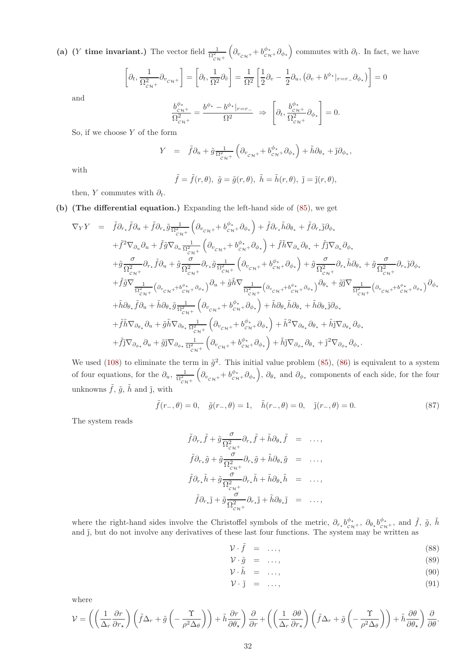(a) (*Y* time invariant.) The vector field  $\frac{1}{\Omega_{\mathcal{CH}^+}^2}$  $\left(\partial_{v_{\mathcal{CH}^+}}+b^{\phi_\star}_{c_{\mathcal{H}^+}}\partial_{\phi_\star}\right)$  commutes with  $\partial_t$ . In fact, we have

$$
\left[\partial_t, \frac{1}{\Omega_{\mathcal{CH}^+}^2} \partial_{v_{\mathcal{CH}^+}}\right] = \left[\partial_t, \frac{1}{\Omega^2} \partial_{\tilde{v}}\right] = \frac{1}{\Omega^2} \left[\frac{1}{2} \partial_v - \frac{1}{2} \partial_u, \left(\partial_v + b^{\phi_\star}\vert_{r=r_-} \partial_{\phi_\star}\right)\right] = 0
$$

and

$$
\frac{b_{\scriptscriptstyle{CH^{+}}}^{\phi_{\star}}}{\Omega_{\scriptscriptstyle{CH^{+}}}^2}=\frac{b^{\phi_{\star}}-b^{\phi_{\star}}|_{r=r_{-}}}{\Omega^2}\;\Rightarrow\;\left[\partial_t,\frac{b_{\scriptscriptstyle{CH^{+}}}^{\phi_{\star}}}{\Omega_{\scriptscriptstyle{CH^{+}}}^2}\partial_{\phi_{\star}}\right]=0.
$$

So, if we choose  $Y$  of the form

$$
Y = \tilde{f}\partial_u + \tilde{g}\frac{1}{\Omega_{\mathcal{CH}^+}^2} \left(\partial_{v_{\mathcal{CH}^+}} + b_{\mathcal{CH}^+}^{\phi_\star} \partial_{\phi_\star}\right) + \tilde{h}\partial_{\theta_\star} + \tilde{j}\partial_{\phi_\star},
$$

with

$$
\tilde{f} = \tilde{f}(r, \theta), \ \tilde{g} = \tilde{g}(r, \theta), \ \tilde{h} = \tilde{h}(r, \theta), \ \tilde{j} = \tilde{j}(r, \theta),
$$

then, Y commutes with  $\partial_t$ .

## (b) (The differential equation.) Expanding the left-hand side of [\(85\)](#page-30-5), we get

$$
\nabla_{Y}Y = \tilde{f}\partial_{r_{*}}\tilde{f}\partial_{u} + \tilde{f}\partial_{r_{*}}\tilde{g}\frac{1}{\Omega_{cH^{+}}} \left(\partial_{v_{CH^{+}}} + b_{CH^{+}}^{\phi_{*}}\partial_{\phi_{*}}\right) + \tilde{f}\partial_{r_{*}}\tilde{h}\partial_{\theta_{*}} + \tilde{f}\partial_{r_{*}}\tilde{j}\partial_{\phi_{*}} \n+ \tilde{f}^{2}\nabla_{\partial_{u}}\partial_{u} + \tilde{f}\tilde{g}\nabla_{\partial_{u}}\frac{1}{\Omega_{cH^{+}}} \left(\partial_{v_{CH^{+}}} + b_{CH^{+}}^{\phi_{*}}\partial_{\phi_{*}}\right) + \tilde{f}\tilde{h}\nabla_{\partial_{u}}\partial_{\theta_{*}} + \tilde{f}\tilde{j}\nabla_{\partial_{u}}\partial_{\phi_{*}} \n+ \tilde{g}\frac{\sigma}{\Omega_{cH^{+}}} \partial_{r_{*}}\tilde{f}\partial_{u} + \tilde{g}\frac{\sigma}{\Omega_{cH^{+}}} \partial_{r_{*}}\tilde{g}\frac{1}{\Omega_{cH^{+}}} \left(\partial_{v_{CH^{+}}} + b_{CH^{+}}^{\phi_{*}}\partial_{\phi_{*}}\right) + \tilde{g}\frac{\sigma}{\Omega_{cH^{+}}} \partial_{r_{*}}\tilde{h}\partial_{\theta_{*}} + \tilde{g}\frac{\sigma}{\Omega_{cH^{+}}} \partial_{r_{*}}\tilde{j}\partial_{\phi_{*}} \n+ \tilde{f}\tilde{g}\nabla_{\frac{1}{\Omega_{cH^{+}}} \left(\partial_{v_{CH^{+}}} + b_{CH^{+}}^{\phi_{*}}\partial_{\phi_{*}}\right)} \partial_{u} + \tilde{g}\tilde{h}\nabla_{\frac{1}{\Omega_{cH^{+}}} \left(\partial_{v_{CH^{+}}} + b_{CH^{+}}^{\phi_{*}}\partial_{\phi_{*}}\right)} \partial_{\phi_{*}} + \tilde{g}\tilde{j}\nabla_{\frac{1}{\Omega_{cH^{+}}} \left(\partial_{v_{CH^{+}}} + b_{CH^{+}}^{\phi_{*}}\partial_{\phi_{*}}\right)} \partial_{\phi_{*}} \n+ \tilde{f}\tilde{h}\nabla_{\partial_{\theta_{*}}}\tilde{f}\partial_{u} +
$$

We used [\(108\)](#page-40-0) to eliminate the term in  $\tilde{g}^2$ . This initial value problem [\(85\)](#page-30-5), [\(86\)](#page-30-5) is equivalent to a system of four equations, for the  $\partial_u$ ,  $\frac{1}{\Omega_{\mathcal{CH}^+}^2}$  $(\partial_{v_{\mathcal{CH}+}} + b^{\phi_\star}_{\mathcal{CH}+} \partial_{\phi_\star})$ ,  $\partial_{\theta_\star}$  and  $\partial_{\phi_\star}$  components of each side, for the four unknowns  $\tilde{f}$ ,  $\tilde{g}$ ,  $\tilde{h}$  and  $\tilde{g}$ , with

<span id="page-31-1"></span>
$$
\tilde{f}(r_-, \theta) = 0, \quad \tilde{g}(r_-, \theta) = 1, \quad \tilde{h}(r_-, \theta) = 0, \quad \tilde{j}(r_-, \theta) = 0.
$$
\n(87)

The system reads

$$
\tilde{f}\partial_{r_{\star}}\tilde{f} + \tilde{g}\frac{\sigma}{\Omega_{\text{cut}}^2} \partial_{r_{\star}}\tilde{f} + \tilde{h}\partial_{\theta_{\star}}\tilde{f} = \dots, \n\tilde{f}\partial_{r_{\star}}\tilde{g} + \tilde{g}\frac{\sigma}{\Omega_{\text{cut}}^2} \partial_{r_{\star}}\tilde{g} + \tilde{h}\partial_{\theta_{\star}}\tilde{g} = \dots, \n\tilde{f}\partial_{r_{\star}}\tilde{h} + \tilde{g}\frac{\sigma}{\Omega_{\text{cut}}^2} \partial_{r_{\star}}\tilde{h} + \tilde{h}\partial_{\theta_{\star}}\tilde{h} = \dots, \n\tilde{f}\partial_{r_{\star}}\tilde{J} + \tilde{g}\frac{\sigma}{\Omega_{\text{cut}}^2} \partial_{r_{\star}}\tilde{J} + \tilde{h}\partial_{\theta_{\star}}\tilde{J} = \dots,
$$

where the right-hand sides involve the Christoffel symbols of the metric,  $\partial_{r*} b^{\phi*}_{c\pi i}$ ,  $\partial_{\theta*} b^{\phi*}_{c\pi i}$ , and  $\tilde{f}$ ,  $\tilde{g}$ ,  $\tilde{h}$ and  $\tilde{j}$ , but do not involve any derivatives of these last four functions. The system may be written as

<span id="page-31-0"></span>
$$
\mathcal{V} \cdot \tilde{f} = \dots,\tag{88}
$$

$$
\mathcal{V} \cdot \tilde{g} = \dots,\tag{89}
$$

$$
\mathcal{V} \cdot \tilde{h} = \dots, \tag{90}
$$

$$
\mathcal{V} \cdot \tilde{\mathbf{j}} = \dots, \tag{91}
$$

where

$$
\mathcal{V} = \left( \left( \frac{1}{\Delta_r} \frac{\partial r}{\partial r_{\star}} \right) \left( \tilde{f} \Delta_r + \tilde{g} \left( -\frac{\Upsilon}{\rho^2 \Delta_\theta} \right) \right) + \tilde{h} \frac{\partial r}{\partial \theta_{\star}} \right) \frac{\partial}{\partial r} + \left( \left( \frac{1}{\Delta_r} \frac{\partial \theta}{\partial r_{\star}} \right) \left( \tilde{f} \Delta_r + \tilde{g} \left( -\frac{\Upsilon}{\rho^2 \Delta_\theta} \right) \right) + \tilde{h} \frac{\partial \theta}{\partial \theta_{\star}} \right) \frac{\partial}{\partial \theta}.
$$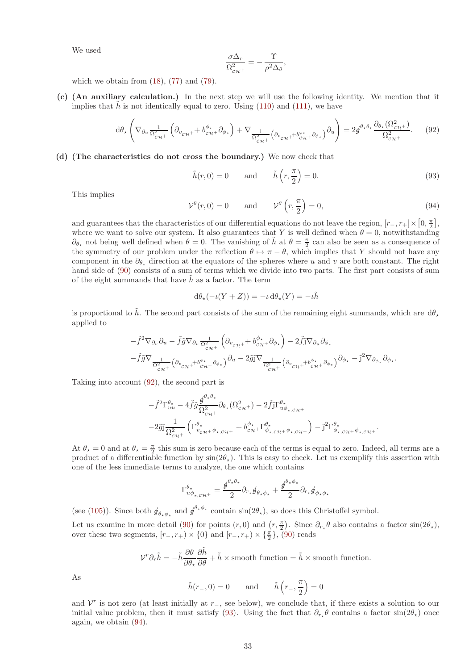We used

$$
\frac{\sigma\Delta_r}{\Omega_{\mathcal{CH}^+}^2}=-\frac{\Upsilon}{\rho^2\Delta_\theta},
$$

which we obtain from  $(18)$ ,  $(77)$  and  $(79)$ .

(c) (An auxiliary calculation.) In the next step we will use the following identity. We mention that it implies that  $\hat{h}$  is not identically equal to zero. Using [\(110\)](#page-41-1) and [\(111\)](#page-41-1), we have

<span id="page-32-0"></span>
$$
d\theta_{\star} \left( \nabla_{\partial_u} \frac{1}{\Omega_{\mathcal{CH}^+}^2} \left( \partial_{v_{\mathcal{CH}^+}} + b^{\phi_{\star}}_{\mathcal{CH}^+} \partial_{\phi_{\star}} \right) + \nabla_{\frac{1}{\Omega_{\mathcal{CH}^+}^2}} \left( \partial_{v_{\mathcal{CH}^+}} + b^{\phi_{\star}}_{\mathcal{CH}^+} \partial_{\phi_{\star}} \right) \partial_u \right) = 2g^{\theta_{\star}\theta_{\star}} \frac{\partial_{\theta_{\star}}(\Omega_{\mathcal{CH}^+}^2)}{\Omega_{\mathcal{CH}^+}^2}.
$$
 (92)

(d) (The characteristics do not cross the boundary.) We now check that

<span id="page-32-1"></span>
$$
\tilde{h}(r,0) = 0
$$
 and  $\tilde{h}\left(r, \frac{\pi}{2}\right) = 0.$  (93)

This implies

<span id="page-32-2"></span>
$$
\mathcal{V}^{\theta}(r,0) = 0 \quad \text{and} \quad \mathcal{V}^{\theta}\left(r, \frac{\pi}{2}\right) = 0, \tag{94}
$$

and guarantees that the characteristics of our differential equations do not leave the region,  $[r_-, r_+] \times [0, \frac{\pi}{2}],$ where we want to solve our system. It also guarantees that Y is well defined when  $\theta = 0$ , notwithstanding  $\partial_{\theta_{\star}}$  not being well defined when  $\theta = 0$ . The vanishing of  $\tilde{h}$  at  $\theta = \frac{\pi}{2}$  can also be seen as a consequence of the symmetry of our problem under the reflection  $\theta \mapsto \pi - \theta$ , which implies that Y should not have any component in the  $\partial_{\theta_*}$  direction at the equators of the spheres where u and v are both constant. The right hand side of [\(90\)](#page-31-0) consists of a sum of terms which we divide into two parts. The first part consists of sum of the eight summands that have  $h$  as a factor. The term

$$
d\theta_{\star}(-\iota(Y+Z)) = -\iota d\theta_{\star}(Y) = -\iota \tilde{h}
$$

is proportional to  $\tilde{h}$ . The second part consists of the sum of the remaining eight summands, which are  $d\theta_{\star}$ applied to

$$
-\tilde{f}^{2}\nabla_{\partial_{u}}\partial_{u} - \tilde{f}\tilde{g}\nabla_{\partial_{u}}\frac{1}{\Omega_{\mathcal{CH}^{+}}^{2}}\left(\partial_{v_{\mathcal{CH}^{+}}}+b^{\phi_{\star}}_{\mathcal{CH}^{+}}\partial_{\phi_{\star}}\right) - 2\tilde{f}\tilde{j}\nabla_{\partial_{u}}\partial_{\phi_{\star}}-\tilde{f}\tilde{g}\nabla_{\frac{1}{\Omega_{\mathcal{CH}^{+}}}(\partial_{v_{\mathcal{CH}^{+}}}+b^{\phi_{\star}}_{\mathcal{CH}^{+}}\partial_{\phi_{\star}})}\partial_{u} - 2\tilde{g}\tilde{j}\nabla_{\frac{1}{\Omega_{\mathcal{CH}^{+}}}(\partial_{v_{\mathcal{CH}^{+}}}+b^{\phi_{\star}}_{\mathcal{CH}^{+}}\partial_{\phi_{\star}})}\partial_{\phi_{\star}} - \tilde{j}^{2}\nabla_{\partial_{\phi_{\star}}}\partial_{\phi_{\star}}.
$$

Taking into account [\(92\)](#page-32-0), the second part is

$$
-\tilde{f}^{2}\Gamma_{uu}^{\theta_{\star}}-4\tilde{f}\tilde{g}\frac{\mathcal{g}^{\theta_{\star}\theta_{\star}}}{\Omega_{\text{CH}^{+}}^{2}}\partial_{\theta_{\star}}(\Omega_{\text{CH}^{+}}^{2})-2\tilde{f}\tilde{j}\Gamma_{u\phi_{\star,\text{CH}^{+}}}^{\theta_{\star}}\\-2\tilde{g}\tilde{j}\frac{1}{\Omega_{\text{CH}^{+}}^{2}}\left(\Gamma_{v_{\text{CH}^{+}}\phi_{\star,\text{CH}^{+}}}^{\theta_{\star}}+b_{\text{CH}^{+}}^{\phi_{\star}}\Gamma_{\phi_{\star,\text{CH}^{+}}\phi_{\star,\text{CH}^{+}}}^{\theta_{\star}}\right)-\tilde{j}^{2}\Gamma_{\phi_{\star,\text{CH}^{+}}\phi_{\star,\text{CH}^{+}}}^{\theta_{\star}}.
$$

At  $\theta_{\star} = 0$  and at  $\theta_{\star} = \frac{\pi}{2}$  this sum is zero because each of the terms is equal to zero. Indeed, all terms are a product of a differentiable function by  $\sin(2\theta_{\star})$ . This is easy to check. Let us exemplify this assertion with one of the less immediate terms to analyze, the one which contains

$$
\Gamma^{\theta_\star}_{u\phi_{\star,C\mathcal{H}^+}} = \frac{\mathscr{g}^{\theta_\star\theta_\star}}{2} \partial_{r_\star} \mathscr{g}_{\theta_\star\phi_\star} + \frac{\mathscr{g}^{\theta_\star\phi_\star}}{2} \partial_{r_\star} \mathscr{g}_{\phi_\star\phi_\star}
$$

(see [\(105\)](#page-39-0)). Since both  $\oint_{\theta_*\phi_*}$  and  $\oint_{\theta_*}^{\theta_*\phi_*}$  contain  $\sin(2\theta_*)$ , so does this Christoffel symbol.

Let us examine in more detail [\(90\)](#page-31-0) for points  $(r, 0)$  and  $(r, \frac{\pi}{2})$ . Since  $\partial_{r_*} \theta$  also contains a factor  $\sin(2\theta_*)$ , over these two segments,  $[r_-, r_+] \times \{0\}$  and  $[r_-, r_+] \times \{\frac{\pi}{2}\},\$  [\(90\)](#page-31-0) reads

$$
\mathcal{V}^r \partial_r \tilde{h} = -\tilde{h} \frac{\partial \theta}{\partial \theta_\star} \frac{\partial \tilde{h}}{\partial \theta} + \tilde{h} \times \text{smooth function} = \tilde{h} \times \text{smooth function}.
$$

As

$$
\tilde{h}(r_-,0) = 0
$$
 and  $\tilde{h}\left(r_-, \frac{\pi}{2}\right) = 0$ 

and  $\mathcal{V}^r$  is not zero (at least initially at  $r_$ , see below), we conclude that, if there exists a solution to our initial value problem, then it must satisfy [\(93\)](#page-32-1). Using the fact that  $\partial_{r_*}\theta$  contains a factor  $\sin(2\theta_*)$  once again, we obtain [\(94\)](#page-32-2).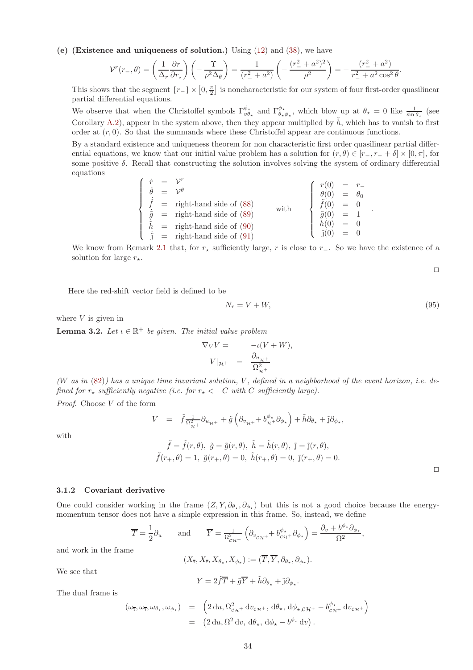(e) (Existence and uniqueness of solution.) Using [\(12\)](#page-5-5) and [\(38\)](#page-13-6), we have

$$
\mathcal{V}^r(r_-, \theta) = \left(\frac{1}{\Delta_r} \frac{\partial r}{\partial r_*}\right) \left(-\frac{\Upsilon}{\rho^2 \Delta_\theta}\right) = \frac{1}{(r_-^2 + a^2)} \left(-\frac{(r_-^2 + a^2)^2}{\rho^2}\right) = -\frac{(r_-^2 + a^2)}{r_-^2 + a^2 \cos^2 \theta}
$$

This shows that the segment  $\{r_-\}\times[0,\frac{\pi}{2}]$  is noncharacteristic for our system of four first-order quasilinear partial differential equations.

We observe that when the Christoffel symbols  $\Gamma^{\phi_\star}_{v\theta_\star}$  and  $\Gamma^{\phi_\star}_{\theta_\star\phi_\star}$ , which blow up at  $\theta_\star = 0$  like  $\frac{1}{\sin \theta_\star}$  (see Corollary [A.2\)](#page-40-1), appear in the system above, then they appear multiplied by  $\tilde{h}$ , which has to vanish to first order at  $(r, 0)$ . So that the summands where these Christoffel appear are continuous functions.

By a standard existence and uniqueness theorem for non characteristic first order quasilinear partial differential equations, we know that our initial value problem has a solution for  $(r, \theta) \in [r_-, r_- + \delta] \times [0, \pi]$ , for some positive  $\delta$ . Recall that constructing the solution involves solving the system of ordinary differential equations

|  | $\theta$    | $= \mathcal{V}^{\theta}$      |      | $r(0) = r_{-}$<br>$\theta(0) = \theta_{0}$ |       |  |
|--|-------------|-------------------------------|------|--------------------------------------------|-------|--|
|  |             | $=$ right-hand side of $(88)$ | with |                                            | $= 0$ |  |
|  | $\tilde{q}$ | $=$ right-hand side of $(89)$ |      |                                            |       |  |
|  | $\hbar$     |                               |      |                                            |       |  |
|  |             | $=$ right-hand side of $(90)$ |      | $\tilde{I}(0) = 0$                         |       |  |
|  |             | $=$ right-hand side of $(91)$ |      |                                            |       |  |

We know from Remark [2.1](#page-5-7) that, for  $r_{\star}$  sufficiently large, r is close to r−. So we have the existence of a solution for large  $r_{\star}$ .

 $\Box$ 

.

Here the red-shift vector field is defined to be

<span id="page-33-1"></span>
$$
N_r = V + W,\t\t(95)
$$

where  $V$  is given in

<span id="page-33-2"></span>**Lemma 3.2.** Let  $\iota \in \mathbb{R}^+$  be given. The initial value problem

$$
\nabla_V V = -\iota(V + W),
$$
  

$$
V|_{\mathcal{H}^+} = \frac{\partial_{u_{\mathcal{H}^+}}}{\Omega_{\mathcal{H}^+}^2}
$$

(W as in  $(82)$ ) has a unique time invariant solution, V, defined in a neighborhood of the event horizon, i.e. defined for  $r_{\star}$  sufficiently negative (i.e. for  $r_{\star} < -C$  with C sufficiently large).

Proof. Choose V of the form

$$
V = \tilde{f} \frac{1}{\Omega_{\mathcal{H}^+}^2} \partial_{u_{\mathcal{H}^+}} + \tilde{g} \left( \partial_{v_{\mathcal{H}^+}} + b_{\mathcal{H}^+}^{\phi_*} \partial_{\phi_*} \right) + \tilde{h} \partial_{\theta_*} + \tilde{j} \partial_{\phi_*},
$$

with

$$
\tilde{f} = \tilde{f}(r,\theta), \ \tilde{g} = \tilde{g}(r,\theta), \ \tilde{h} = \tilde{h}(r,\theta), \ \tilde{j} = \tilde{j}(r,\theta),
$$

$$
\tilde{f}(r_+,\theta) = 1, \ \tilde{g}(r_+,\theta) = 0, \ \tilde{h}(r_+,\theta) = 0, \ \tilde{j}(r_+,\theta) = 0.
$$

 $\Box$ 

#### <span id="page-33-0"></span>3.1.2 Covariant derivative

One could consider working in the frame  $(Z, Y, \partial_{\theta_\star}, \partial_{\phi_\star})$  but this is not a good choice because the energymomentum tensor does not have a simple expression in this frame. So, instead, we define

$$
\overline{T} = \frac{1}{2}\partial_u \quad \text{and} \quad \overline{Y} = \frac{1}{\Omega_{\mathcal{CH}^+}^2} \left( \partial_{v_{\mathcal{CH}^+}} + b_{\mathcal{CH}^+}^{\phi_\star} \partial_{\phi_\star} \right) = \frac{\partial_v + b^{\phi_\star} \partial_{\phi_\star}}{\Omega^2},
$$

and work in the frame

$$
(X_{\overline{\tau}}, X_{\overline{\tau}}, X_{\theta_{\star}}, X_{\phi_{\star}}) := (\overline{T}, \overline{Y}, \partial_{\theta_{\star}}, \partial_{\phi_{\star}}).
$$

We see that

$$
Y = 2\tilde{f}\overline{T} + \tilde{g}\overline{Y} + \tilde{h}\partial_{\theta_{\star}} + \tilde{j}\partial_{\phi_{\star}}.
$$

The dual frame is

$$
\begin{array}{rcl}\n(\omega_{\overline{r}}, \omega_{\overline{r}}, \omega_{\theta_\star}, \omega_{\phi_\star}) & = & \left(2 \, \mathrm{d} u, \Omega_{c\mathcal{H}^+}^2 \, \mathrm{d} v_{c\mathcal{H}^+}, \, \mathrm{d} \theta_\star, \, \mathrm{d} \phi_{\star, \mathcal{CH}^+} - b_{c\mathcal{H}^+}^{\phi_\star} \, \mathrm{d} v_{c\mathcal{H}^+}\right) \\
& = & \left(2 \, \mathrm{d} u, \Omega^2 \, \mathrm{d} v, \, \mathrm{d} \theta_\star, \, \mathrm{d} \phi_\star - b^{\phi_\star} \, \mathrm{d} v\right).\n\end{array}
$$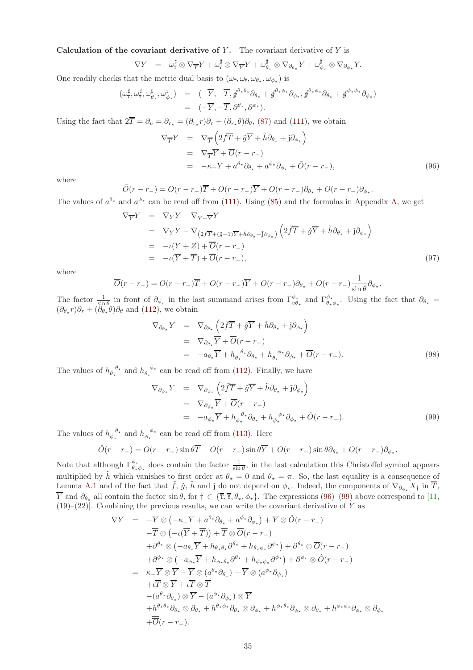Calculation of the covariant derivative of  $Y$ . The covariant derivative of  $Y$  is

$$
\nabla Y = \omega_{\overline{\tau}}^{\sharp} \otimes \nabla_{\overline{T}} Y + \omega_{\overline{\tau}}^{\sharp} \otimes \nabla_{\overline{Y}} Y + \omega_{\theta_{\star}}^{\sharp} \otimes \nabla_{\partial_{\theta_{\star}}} Y + \omega_{\phi_{\star}}^{\sharp} \otimes \nabla_{\partial_{\phi_{\star}}} Y.
$$

One readily checks that the metric dual basis to  $(\omega_{\overline{x}}, \omega_{\overline{y}}, \omega_{\theta_*}, \omega_{\phi_*})$  is

$$
\begin{array}{rcl}\n(\omega_{\overline{\tau}}^{\sharp}, \omega_{\theta_{\star}}^{\sharp}, \omega_{\theta_{\star}}^{\sharp}, \omega_{\phi_{\star}}^{\sharp}) & = & (-\overline{Y}, -\overline{T}, \mathbf{g}^{\theta_{\star}\theta_{\star}} \partial_{\theta_{\star}} + \mathbf{g}^{\theta_{\star}\phi_{\star}} \partial_{\phi_{\star}}, \mathbf{g}^{\theta_{\star}\phi_{\star}} \partial_{\theta_{\star}} + \mathbf{g}^{\phi_{\star}\phi_{\star}} \partial_{\phi_{\star}}) \\
& = & (-\overline{Y}, -\overline{T}, \partial^{\theta_{\star}}, \partial^{\phi_{\star}}).\n\end{array}
$$

Using the fact that  $2T = \partial_u = \partial_{r_*} = (\partial_{r_*} r)\partial_r + (\partial_{r_*} \theta)\partial_\theta$ , [\(87\)](#page-31-1) and [\(111\)](#page-41-1), we obtain

<span id="page-34-0"></span>
$$
\nabla_{\overline{T}} Y = \nabla_{\overline{T}} \left( 2 \tilde{f} \overline{T} + \tilde{g} \overline{Y} + \tilde{h} \partial_{\theta_{\star}} + \tilde{j} \partial_{\phi_{\star}} \right)
$$
  
\n
$$
= \nabla_{\overline{T}} \overline{Y} + \overline{O}(r - r_{-})
$$
  
\n
$$
= -\kappa_{-} \overline{Y} + a^{\theta_{\star}} \partial_{\theta_{\star}} + a^{\phi_{\star}} \partial_{\phi_{\star}} + \tilde{O}(r - r_{-}),
$$
\n(96)

where

$$
\tilde{O}(r-r_{-}) = O(r-r_{-})\overline{T} + O(r-r_{-})\overline{Y} + O(r-r_{-})\partial_{\theta_{\star}} + O(r-r_{-})\partial_{\phi_{\star}}.
$$
  
The values of  $a^{\theta_{\star}}$  and  $a^{\phi_{\star}}$  can be read off from (111). Using (85) and the formulas in Appendix A, we get

$$
\nabla_{\overline{Y}} Y = \nabla_Y Y - \nabla_{Y - \overline{Y}} Y
$$

$$
= \nabla_Y Y - \nabla_{(2\tilde{f}\overline{T} + (\tilde{g}-1)\overline{Y} + \tilde{h}\partial_{\theta_\star} + \tilde{j}\partial_{\phi_\star})} \left( 2\tilde{f}\overline{T} + \tilde{g}\overline{Y} + \tilde{h}\partial_{\theta_\star} + \tilde{j}\partial_{\phi_\star} \right)
$$
  
\n
$$
= -\iota(Y + Z) + \overline{O}(r - r_{-})
$$
  
\n
$$
= -\iota(\overline{Y} + \overline{T}) + \overline{O}(r - r_{-}), \qquad (97)
$$

where

$$
\overline{O}(r-r_{-}) = O(r-r_{-})\overline{T} + O(r-r_{-})\overline{Y} + O(r-r_{-})\partial_{\theta_{\star}} + O(r-r_{-})\frac{1}{\sin\theta}\partial_{\phi_{\star}}.
$$

The factor  $\frac{1}{\sin \theta}$  in front of  $\partial_{\phi_{\star}}$  in the last summand arises from  $\Gamma^{\phi_{\star}}_{v \theta_{\star}}$  and  $\Gamma^{\phi_{\star}}_{\theta_{\star} \phi_{\star}}$ . Using the fact that  $\partial_{\theta_{\star}} =$  $(\partial_{\theta_*} r)\partial_r + (\partial_{\theta_*} \theta)\partial_{\theta}$  and [\(112\)](#page-41-2), we obtain

$$
\nabla_{\partial_{\theta_{\star}}} Y = \nabla_{\partial_{\theta_{\star}}} \left( 2 \tilde{f} \overline{T} + \tilde{g} \overline{Y} + \tilde{h} \partial_{\theta_{\star}} + \tilde{g} \partial_{\phi_{\star}} \right)
$$
\n
$$
= \nabla_{\partial_{\theta_{\star}}} \overline{Y} + \overline{O}(r - r_{-})
$$
\n
$$
= -a_{\theta_{\star}} \overline{Y} + h_{\theta_{\star}}^{\theta_{\star}} \partial_{\theta_{\star}} + h_{\theta_{\star}}^{\phi_{\star}} \partial_{\phi_{\star}} + \overline{O}(r - r_{-}). \tag{98}
$$

The values of  $h_{\theta_{\star}}^{\theta_{\star}}$  and  $h_{\theta_{\star}}^{\phi_{\star}}$  can be read off from [\(112\)](#page-41-2). Finally, we have

<span id="page-34-1"></span>
$$
\nabla_{\partial_{\phi_{\star}}} Y = \nabla_{\partial_{\phi_{\star}}} \left( 2 \tilde{f} \overline{T} + \tilde{g} \overline{Y} + \tilde{h} \partial_{\theta_{\star}} + \tilde{j} \partial_{\phi_{\star}} \right)
$$
\n
$$
= \nabla_{\partial_{\phi_{\star}}} \overline{Y} + \overline{O}(r - r_{-})
$$
\n
$$
= -a_{\phi_{\star}} \overline{Y} + h_{\phi_{\star}}^{\theta_{\star}} \partial_{\theta_{\star}} + h_{\phi_{\star}}^{\phi_{\star}} \partial_{\phi_{\star}} + \hat{O}(r - r_{-}). \tag{99}
$$

The values of  $h_{\phi_{\star}}^{\theta_{\star}}$  and  $h_{\phi_{\star}}^{\phi_{\star}}$  can be read off from [\(113\)](#page-41-3). Here

$$
\hat{O}(r-r_{-}) = O(r-r_{-})\sin\theta\overline{T} + O(r-r_{-})\sin\theta\overline{Y} + O(r-r_{-})\sin\theta\partial_{\theta_{\star}} + O(r-r_{-})\partial_{\phi_{\star}}.
$$

Note that although  $\Gamma^{\phi_\star}_{\theta_\star\phi_\star}$  does contain the factor  $\frac{1}{\sin\theta}$ , in the last calculation this Christoffel symbol appears multiplied by  $\tilde{h}$  which vanishes to first order at  $\theta_{\star} = 0$  and  $\theta_{\star} = \pi$ . So, the last equality is a consequence of Lemma [A.1](#page-40-2) and of the fact that  $\tilde{f}$ ,  $\tilde{g}$ ,  $\tilde{h}$  and  $\tilde{f}$  do not depend on  $\phi_{\star}$ . Indeed, the components of  $\nabla_{\partial_{\phi_{\star}}} X_{\dagger}$  in  $\overline{T}$ ,  $\overline{Y}$  and  $\partial_{\theta_{\star}}$  all contain the factor sin  $\theta$ , for  $\dagger \in {\overline{T}, \overline{Y}, \theta_{\star}, \phi_{\star}}$ . The expressions [\(96\)](#page-34-0)–[\(99\)](#page-34-1) above correspond to [\[11,](#page-54-16)  $(19)-(22)$ . Combining the previous results, we can write the covariant derivative of Y as

$$
\nabla Y = -\overline{Y} \otimes (-\kappa_{-} \overline{Y} + a^{\theta_{*}} \partial_{\theta_{*}} + a^{\phi_{*}} \partial_{\phi_{*}}) + \overline{Y} \otimes \tilde{O}(r - r_{-})
$$
  
\n
$$
- \overline{T} \otimes (-\iota(\overline{Y} + \overline{T})) + \overline{T} \otimes \overline{O}(r - r_{-})
$$
  
\n
$$
+ \partial^{\theta_{*}} \otimes (-a_{\theta_{*}} \overline{Y} + h_{\theta_{*}\theta_{*}} \partial^{\theta_{*}} + h_{\theta_{*}\phi_{*}} \partial^{\phi_{*}}) + \partial^{\theta_{*}} \otimes \overline{O}(r - r_{-})
$$
  
\n
$$
+ \partial^{\phi_{*}} \otimes (-a_{\phi_{*}} \overline{Y} + h_{\phi_{*}\theta_{*}} \partial^{\theta_{*}} + h_{\phi_{*}\phi_{*}} \partial^{\phi_{*}}) + \partial^{\phi_{*}} \otimes \hat{O}(r - r_{-})
$$
  
\n
$$
= \kappa_{-} \overline{Y} \otimes \overline{Y} - \overline{Y} \otimes (a^{\theta_{*}} \partial_{\theta_{*}}) - \overline{Y} \otimes (a^{\phi_{*}} \partial_{\phi_{*}})
$$
  
\n
$$
+ \iota \overline{T} \otimes \overline{Y} + \iota \overline{T} \otimes \overline{T}
$$
  
\n
$$
- (a^{\theta_{*}} \partial_{\theta_{*}}) \otimes \overline{Y} - (a^{\phi_{*}} \partial_{\phi_{*}}) \otimes \overline{Y}
$$
  
\n
$$
+ h^{\theta_{*}\theta_{*}} \partial_{\theta_{*}} \otimes \partial_{\theta_{*}} + h^{\theta_{*}\phi_{*}} \partial_{\theta_{*}} \otimes \partial_{\theta_{*}} + h^{\phi_{*}\theta_{*}} \partial_{\phi_{*}} \otimes \partial_{\theta_{*}} + h^{\phi_{*}\phi_{*}} \partial_{\phi_{*}} \otimes \partial_{\phi_{*}}
$$
  
\n
$$
+ \overline{\overline{O}}(r - r_{-}).
$$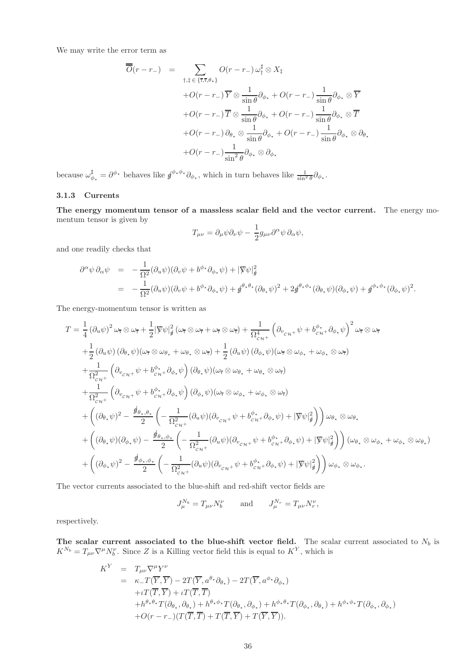We may write the error term as

$$
\overline{\overline{O}}(r-r_{-}) = \sum_{\dagger, \dagger \in \{\overline{\tau}, \overline{\tau}, \theta_{\star}\}} O(r-r_{-}) \omega_{\dagger}^{\sharp} \otimes X_{\ddagger} \n+ O(r-r_{-}) \overline{Y} \otimes \frac{1}{\sin \theta} \partial_{\phi_{\star}} + O(r-r_{-}) \frac{1}{\sin \theta} \partial_{\phi_{\star}} \otimes \overline{Y} \n+ O(r-r_{-}) \overline{T} \otimes \frac{1}{\sin \theta} \partial_{\phi_{\star}} + O(r-r_{-}) \frac{1}{\sin \theta} \partial_{\phi_{\star}} \otimes \overline{T} \n+ O(r-r_{-}) \partial_{\theta_{\star}} \otimes \frac{1}{\sin \theta} \partial_{\phi_{\star}} + O(r-r_{-}) \frac{1}{\sin \theta} \partial_{\phi_{\star}} \otimes \partial_{\theta_{\star}} \n+ O(r-r_{-}) \frac{1}{\sin^{2} \theta} \partial_{\phi_{\star}} \otimes \partial_{\phi_{\star}}
$$

because  $\omega_{\phi_{\star}}^{\sharp} = \partial^{\phi_{\star}}$  behaves like  $\oint^{\phi_{\star}\phi_{\star}} \partial_{\phi_{\star}}$ , which in turn behaves like  $\frac{1}{\sin^2 \theta} \partial_{\phi_{\star}}$ .

## <span id="page-35-0"></span>3.1.3 Currents

The energy momentum tensor of a massless scalar field and the vector current. The energy momentum tensor is given by

$$
T_{\mu\nu} = \partial_{\mu}\psi\partial_{\nu}\psi - \frac{1}{2}g_{\mu\nu}\partial^{\alpha}\psi\,\partial_{\alpha}\psi,
$$

and one readily checks that

$$
\partial^{\alpha} \psi \, \partial_{\alpha} \psi = -\frac{1}{\Omega^{2}} (\partial_{u} \psi)(\partial_{v} \psi + b^{\phi_{\star}} \partial_{\phi_{\star}} \psi) + |\nabla \psi|_{\mathcal{J}}^{2}
$$
\n
$$
= -\frac{1}{\Omega^{2}} (\partial_{u} \psi)(\partial_{v} \psi + b^{\phi_{\star}} \partial_{\phi_{\star}} \psi) + \mathcal{J}^{\theta_{\star} \theta_{\star}} (\partial_{\theta_{\star}} \psi)^{2} + 2 \mathcal{J}^{\theta_{\star} \phi_{\star}} (\partial_{\theta_{\star}} \psi)(\partial_{\phi_{\star}} \psi) + \mathcal{J}^{\phi_{\star} \phi_{\star}} (\partial_{\phi_{\star}} \psi)^{2}.
$$

The energy-momentum tensor is written as

$$
T = \frac{1}{4} (\partial_u \psi)^2 \omega_{\overline{r}} \otimes \omega_{\overline{r}} + \frac{1}{2} |\nabla \psi|_g^2 (\omega_{\overline{r}} \otimes \omega_{\overline{r}} + \omega_{\overline{r}} \otimes \omega_{\overline{r}}) + \frac{1}{\Omega_{\text{cut}}^4} (\partial_{v_{\text{cut}}} \psi + b_{\text{cut}}^{\phi_*} \partial_{\phi_*} \psi)^2 \omega_{\overline{r}} \otimes \omega_{\overline{r}} + \frac{1}{2} (\partial_u \psi) (\partial_{\theta_*} \psi) (\omega_{\overline{r}} \otimes \omega_{\theta_*} + \omega_{\theta_*} \otimes \omega_{\overline{r}}) + \frac{1}{2} (\partial_u \psi) (\partial_{\phi_*} \psi) (\omega_{\overline{r}} \otimes \omega_{\phi_*} + \omega_{\phi_*} \otimes \omega_{\overline{r}}) + \frac{1}{\Omega_{\text{cut}}^2} (\partial_{v_{\text{cut}}} \psi + b_{\text{cut}}^{\phi_*} \partial_{\phi_*} \psi) (\partial_{\theta_*} \psi) (\omega_{\overline{r}} \otimes \omega_{\theta_*} + \omega_{\theta_*} \otimes \omega_{\overline{r}}) + \frac{1}{\Omega_{\text{cut}}^2} (\partial_{v_{\text{cut}}} \psi + b_{\text{cut}}^{\phi_*} \partial_{\phi_*} \psi) (\partial_{\phi_*} \psi) (\omega_{\overline{r}} \otimes \omega_{\phi_*} + \omega_{\phi_*} \otimes \omega_{\overline{r}}) + \left( (\partial_{\theta_*} \psi)^2 - \frac{\oint_{\theta_*, \theta_*}}{2} \left( - \frac{1}{\Omega_{\text{cut}}^2} (\partial_u \psi) (\partial_{v_{\text{cut}}} \psi + b_{\text{cut}}^{\phi_*} \partial_{\phi_*} \psi) + |\nabla \psi|_g^2 \right) \right) \omega_{\theta_*} \otimes \omega_{\theta_*} + \left( (\partial_{\theta_*} \psi) (\partial_{\phi_*} \psi) - \frac{\oint_{\theta_*, \phi_*}}{2} \left( - \frac{1}{\Omega_{\text{cut}}^2} (\partial_u \psi) (\partial_{v_{\text{cut}}} \psi + b_{\text{cut}}^{\phi_*} \partial_{\phi_*} \psi) + |\nabla \psi|_g^2 \
$$

The vector currents associated to the blue-shift and red-shift vector fields are

$$
J_{\mu}^{N_b} = T_{\mu\nu} N_b^{\nu} \quad \text{and} \quad J_{\mu}^{N_r} = T_{\mu\nu} N_r^{\nu},
$$

respectively.

The scalar current associated to the blue-shift vector field. The scalar current associated to  $N_b$  is  $K^{N_b} = T_{\mu\nu} \nabla^{\mu} N^{\nu}_b$ . Since Z is a Killing vector field this is equal to  $K^Y$ , which is

$$
K^{Y} = T_{\mu\nu} \nabla^{\mu} Y^{\nu}
$$
  
\n
$$
= \kappa_{-} T(\overline{Y}, \overline{Y}) - 2T(\overline{Y}, a^{\theta*} \partial_{\theta_{\star}}) - 2T(\overline{Y}, a^{\phi*} \partial_{\phi_{\star}})
$$
  
\n
$$
+ \iota T(\overline{T}, \overline{Y}) + \iota T(\overline{T}, \overline{T})
$$
  
\n
$$
+ h^{\theta_{\star}\theta_{\star}} T(\partial_{\theta_{\star}}, \partial_{\theta_{\star}}) + h^{\theta_{\star}\phi_{\star}} T(\partial_{\theta_{\star}}, \partial_{\phi_{\star}}) + h^{\phi_{\star}\theta_{\star}} T(\partial_{\phi_{\star}}, \partial_{\theta_{\star}}) + h^{\phi_{\star}\phi_{\star}} T(\partial_{\phi_{\star}}, \partial_{\phi_{\star}})
$$
  
\n
$$
+ O(r - r_{-})(T(\overline{T}, \overline{T}) + T(\overline{T}, \overline{Y}) + T(\overline{Y}, \overline{Y})).
$$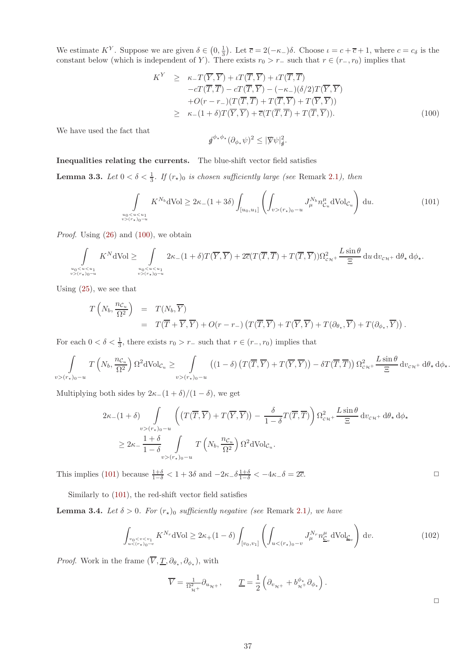We estimate  $K^Y$ . Suppose we are given  $\delta \in (0, \frac{1}{3})$ . Let  $\overline{c} = 2(-\kappa)$ . Choose  $\iota = c + \overline{c} + 1$ , where  $c = c_{\delta}$  is the constant below (which is independent of Y). There exists  $r_0 > r_-\,$  such that  $r \in (r_-, r_0)$  implies that

<span id="page-36-0"></span>
$$
K^{Y} \geq \kappa_{-}T(\overline{Y}, \overline{Y}) + \iota T(\overline{T}, \overline{Y}) + \iota T(\overline{T}, \overline{T})
$$
  
\n
$$
-cT(\overline{T}, \overline{T}) - cT(\overline{T}, \overline{Y}) - (-\kappa_{-})(\delta/2)T(\overline{Y}, \overline{Y})
$$
  
\n
$$
+O(r-r_{-})(T(\overline{T}, \overline{T}) + T(\overline{T}, \overline{Y}) + T(\overline{Y}, \overline{Y}))
$$
  
\n
$$
\geq \kappa_{-}(1+\delta)T(\overline{Y}, \overline{Y}) + \overline{c}(T(\overline{T}, \overline{T}) + T(\overline{T}, \overline{Y})).
$$
 (100)

We have used the fact that

$$
\oint^{\phi_{\star}\phi_{\star}} (\partial_{\phi_{\star}} \psi)^2 \leq |\nabla \psi|_{\not{g}}^2.
$$

## Inequalities relating the currents. The blue-shift vector field satisfies

**Lemma 3.3.** Let  $0 < \delta < \frac{1}{3}$ . If  $(r_{\star})_0$  is chosen sufficiently large (see Remark [2.1](#page-5-7)), then

<span id="page-36-1"></span>
$$
\int_{\substack{u_0 < u < u_1 \\ v > (r_*)_{0} = u}} K^{N_b} dVol \ge 2\kappa_{-}(1+3\delta) \int_{[u_0, u_1]} \left( \int_{v > (r_*)_{0} = u} J^{N_b}_{\mu} n^{\mu}_{\mathcal{C}_u} dVol_{\mathcal{C}_u} \right) du. \tag{101}
$$

Proof. Using  $(26)$  and  $(100)$ , we obtain

$$
\int_{\substack{u_0 < u < u_1 \\ v > (r_\star)_{0} = u}} K^N \mathrm{dVol} \ge \int_{\substack{u_0 < u < u_1 \\ v > (r_\star)_{0} = u}} 2\kappa_{-}(1+\delta)T(\overline{Y}, \overline{Y}) + 2\overline{c}(T(\overline{T}, \overline{T}) + T(\overline{T}, \overline{Y}))\Omega_{c\mathcal{H}^+}^2 \frac{L\sin\theta}{\Xi} \mathrm{d}u \mathrm{d}v_{c\mathcal{H}^+} \mathrm{d}\theta_\star \mathrm{d}\phi_\star.
$$

Using [\(25\)](#page-7-3), we see that

$$
T\left(N_b, \frac{n_{\mathcal{C}_u}}{\Omega^2}\right) = T(N_b, \overline{Y})
$$
  
=  $T(\overline{T} + \overline{Y}, \overline{Y}) + O(r - r_{-}) \left(T(\overline{T}, \overline{Y}) + T(\overline{Y}, \overline{Y}) + T(\partial_{\theta_x}, \overline{Y}) + T(\partial_{\phi_x}, \overline{Y})\right).$ 

For each  $0 < \delta < \frac{1}{3}$ , there exists  $r_0 > r_-\,$  such that  $r \in (r_-, r_0)$  implies that

$$
\int_{v>(r_{\star})_0-u} T\left(N_b, \frac{n_{\mathcal{C}_u}}{\Omega^2}\right) \Omega^2 d\mathrm{Vol}_{\mathcal{C}_u} \geq \int_{v>(r_{\star})_0-u} \left((1-\delta)\left(T(\overline{T}, \overline{Y})+T(\overline{Y}, \overline{Y})\right)-\delta T(\overline{T}, \overline{T})\right) \Omega_{\mathcal{C}\mathcal{H}^+}^2 \frac{L\sin\theta}{\Xi} dv_{\mathcal{C}\mathcal{H}^+} d\theta_{\star} d\phi_{\star}.
$$

Multiplying both sides by  $2\kappa_-(1+\delta)/(1-\delta)$ , we get

$$
2\kappa_{-}(1+\delta)\int\limits_{v>(r_{\star})_{0}-u}\left((T(\overline{T},\overline{Y})+T(\overline{Y},\overline{Y}))-\frac{\delta}{1-\delta}T(\overline{T},\overline{T})\right)\Omega_{c\mathcal{H}^{+}}^{2}\frac{L\sin\theta}{\Xi}dv_{c\mathcal{H}^{+}}d\theta_{\star}d\phi_{\star}
$$

$$
\geq 2\kappa_{-}\frac{1+\delta}{1-\delta}\int\limits_{v>(r_{\star})_{0}-u}T\left(N_{b},\frac{nc_{u}}{\Omega^{2}}\right)\Omega^{2}d\mathrm{Vol}_{\mathcal{C}_{u}}.
$$

This implies [\(101\)](#page-36-1) because  $\frac{1+\delta}{1-\delta} < 1+3\delta$  and  $-2\kappa-\delta\frac{1+\delta}{1-\delta} < -4\kappa-\delta = 2\overline{c}$ .

Similarly to [\(101\)](#page-36-1), the red-shift vector field satisfies

**Lemma 3.4.** Let  $\delta > 0$ . For  $(r_{\star})_0$  sufficiently negative (see Remark [2.1](#page-5-7)), we have

<span id="page-36-2"></span>
$$
\int_{\substack{v_0 < v < v_1\\u < (r_*)_0 - v}} K^{N_r} dVol \ge 2\kappa_+(1-\delta) \int_{[v_0, v_1]} \left( \int_{u < (r_*)_0 - v} J^{N_r}_\mu n_{\underline{\mathcal{C}}_v}^{\mu} dVol_{\underline{\mathcal{C}}_v} \right) dv. \tag{102}
$$

*Proof.* Work in the frame  $(V, \underline{T}, \partial_{\theta_{\star}}, \partial_{\phi_{\star}})$ , with

$$
\overline{V} = \frac{1}{\Omega_{_{\mathcal{H}^+}}^2} \partial_{u_{\mathcal{H}^+}} , \qquad \underline{T} = \frac{1}{2} \left( \partial_{v_{\mathcal{H}^+}} + b_{\mathcal{H}^+}^{\phi_*} \partial_{\phi_*} \right) .
$$

 $\Box$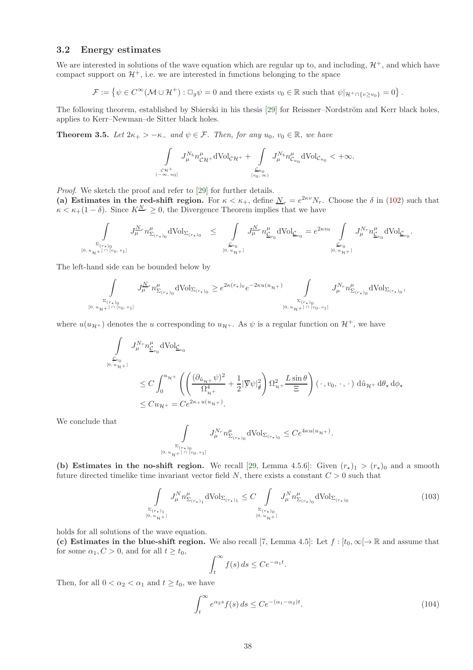## <span id="page-37-0"></span>3.2 Energy estimates

We are interested in solutions of the wave equation which are regular up to, and including,  $\mathcal{H}^+$ , and which have compact support on  $\mathcal{H}^+$ , i.e. we are interested in functions belonging to the space

$$
\mathcal{F} := \left\{ \psi \in C^{\infty}(\mathcal{M} \cup \mathcal{H}^+) : \Box_g \psi = 0 \text{ and there exists } v_0 \in \mathbb{R} \text{ such that } \psi|_{\mathcal{H}^+\cap \{v \geq v_0\}} = 0 \right\}.
$$

The following theorem, established by Sbierski in his thesis [\[29\]](#page-55-0) for Reissner–Nordström and Kerr black holes, applies to Kerr–Newman–de Sitter black holes.

<span id="page-37-1"></span>**Theorem 3.5.** Let  $2\kappa_+ > -\kappa_-$  and  $\psi \in \mathcal{F}$ . Then, for any  $u_0, v_0 \in \mathbb{R}$ , we have

$$
\int\limits_{\substack{\mathcal{C}\mathcal{H}^+\\ (-\infty,\,u_0]}} J^{N_b}_\mu n^\mu_{\mathcal{C}\mathcal{H}^+} \mathrm{d} \mathrm{Vol}_{\mathcal{C}\mathcal{H}^+} + \int\limits_{\substack{\mathcal{L}_{u_0} \\ [v_0,\,\infty)}} J^{N_b}_\mu n^\mu_{\mathcal{C}_{u_0}} \mathrm{d} \mathrm{Vol}_{\mathcal{C}_{u_0}} < +\infty.
$$

Proof. We sketch the proof and refer to [\[29\]](#page-55-0) for further details. (a) Estimates in the red-shift region. For  $\kappa < \kappa_+$ , define  $N_r = e^{2\kappa v} N_r$ . Choose the  $\delta$  in [\(102\)](#page-36-2) such that  $\kappa < \kappa_+(1-\delta)$ . Since  $K^{\underline{N}_r} \geq 0$ , the Divergence Theorem implies that we have

$$
\int\limits_{\sum (r_\star)_0 \atop [0,u_{\mathcal{H}}+ \mathcal{I} \cap \{v_0,v_1\}} J^{\underline{N}}_{\mu} r n^{\underline{\mu}}_{\Sigma_{(r_\star)_0}} \mathrm{dVol}_{\Sigma_{(r_\star)_0}} \hspace{2mm} \leq \hspace{2mm} \int\limits_{\substack{\underline{\mathcal{L}}_{v_0} \\ [0,u_{\mathcal{H}}+ \mathcal{I} \}}} J^{\underline{N}}_{\mu} r n^{\underline{\mu}}_{\underline{\mathcal{C}}_{v_0}} \mathrm{dVol}_{\underline{\mathcal{C}}_{v_0}} = e^{2 \kappa v_0} \int\limits_{\substack{\underline{\mathcal{L}}_{v_0} \\ [0,u_{\mathcal{H}}+ \mathcal{I} \}}} J^{\underline{N}}_{\mu} r n^{\underline{\mu}}_{\underline{\mathcal{C}}_{v_0}} \mathrm{dVol}_{\underline{\mathcal{C}}_{v_0}}.
$$

The left-hand side can be bounded below by

$$
\int_{\sum_{\sum_{(r_{\star})_0}}^{\sum_{(r_{\star})_0}} J_{\mu}^N r n_{\Sigma_{(r_{\star})_0}}^{\mu} dVol_{\Sigma_{(r_{\star})_0}} \ge e^{2\kappa(r_{\star})_0} e^{-2\kappa u(u_{\mathcal{H}}+)} \int_{\Sigma_{(r_{\star})_0}} J_{\mu}^N r n_{\Sigma_{(r_{\star})_0}}^{\mu} dVol_{\Sigma_{(r_{\star})_0}}
$$

where  $u(u_{\mathcal{H}+})$  denotes the u corresponding to  $u_{\mathcal{H}+}$ . As  $\psi$  is a regular function on  $\mathcal{H}^+$ , we have

$$
\int_{\mathcal{L}_{v_0}} J^{\mathcal{N}_r}_{\mu} n^{\mu}_{\underline{\mathcal{L}}_{v_0}} d\text{Vol}_{\underline{\mathcal{L}}_{v_0}}\n\n\leq C \int_{0}^{u_{\mathcal{H}^+}} \left( \left( \frac{(\partial_{\tilde{u}_{\mathcal{H}^+}} \psi)^2}{\Omega_{\mathcal{H}^+}^4} + \frac{1}{2} |\nabla \psi|_{\mathcal{Y}}^2 \right) \Omega_{\mathcal{H}^+}^2 \frac{L \sin \theta}{\Xi} \right) (\cdot, v_0, \cdot, \cdot) d\tilde{u}_{\mathcal{H}^+} d\theta_{\star} d\phi_{\star}\n\n\leq Cu_{\mathcal{H}^+} = Ce^{2\kappa_+ u(u_{\mathcal{H}^+})}.
$$

We conclude that

$$
\int\limits_{\sum_{(r_\star)\atop [0,u_{\mathcal{H}}+\square\cap [v_0,\,v_1]}} J^{N_r}_\mu n^\mu_{\Sigma_{(r_\star)_0}}\, \mathrm{dVol}_{\Sigma_{(r_\star)_0}} \leq Ce^{4\kappa u(u_{\mathcal{H}}+)}.
$$

(b) Estimates in the no-shift region. We recall [\[29,](#page-55-0) Lemma 4.5.6]: Given  $(r_*)_1 > (r_*)_0$  and a smooth future directed timelike time invariant vector field N, there exists a constant  $C > 0$  such that

<span id="page-37-2"></span>
$$
\int_{\Sigma_{(r_{\star})_{1}}} J_{\mu}^{N} n_{\Sigma_{(r_{\star})_{1}}}^{\mu} dVol_{\Sigma_{(r_{\star})_{1}}} \leq C \int_{\Sigma_{(r_{\star})_{0}}} J_{\mu}^{N} n_{\Sigma_{(r_{\star})_{0}}}^{\mu} dVol_{\Sigma_{(r_{\star})_{0}}} \tag{103}
$$

holds for all solutions of the wave equation.

(c) Estimates in the blue-shift region. We also recall [\[7,](#page-54-7) Lemma 4.5]: Let  $f : [t_0, \infty) \to \mathbb{R}$  and assume that for some  $\alpha_1, C > 0$ , and for all  $t \ge t_0$ ,

$$
\int_t^{\infty} f(s) \, ds \leq Ce^{-\alpha_1 t}.
$$

Then, for all  $0 < \alpha_2 < \alpha_1$  and  $t \ge t_0$ , we have

<span id="page-37-3"></span>
$$
\int_{t}^{\infty} e^{\alpha_2 s} f(s) ds \le C e^{-(\alpha_1 - \alpha_2)t}.
$$
\n(104)

,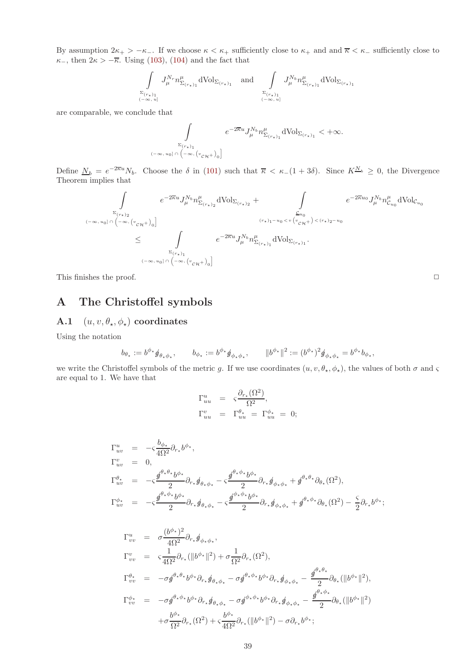By assumption  $2\kappa_+ > -\kappa_-$ . If we choose  $\kappa < \kappa_+$  sufficiently close to  $\kappa_+$  and and  $\overline{\kappa} < \kappa_-$  sufficiently close to  $\kappa_-,$  then  $2\kappa > -\overline{\kappa}$ . Using [\(103\)](#page-37-2), [\(104\)](#page-37-3) and the fact that

$$
\int_{\Sigma_{(r_{\star})_1}} J_{\mu}^{N_r} n_{\Sigma_{(r_{\star})_1}}^{\mu} dVol_{\Sigma_{(r_{\star})_1}} \text{ and } \int_{\Sigma_{(r_{\star})_1}} J_{\mu}^{N_b} n_{\Sigma_{(r_{\star})_1}}^{\mu} dVol_{\Sigma_{(r_{\star})_1}}
$$

are comparable, we conclude that

$$
\int\limits_{\Sigma_{(r_{\star})_{1}}\atop{(\mathcal{L}\infty,u_{0}]\,\cap\, \left(-\infty,\, \left(v_{\mathcal{CH}}+ \right)_{0}\right]}}e^{-2\overline{\kappa}u}J_{\mu}^{N_{b}}n_{\Sigma_{(r_{\star})_{1}}}^{\mu}\mathrm{dVol}_{\Sigma_{(r_{\star})_{1}}}<+\infty.
$$

Define  $N_b = e^{-2\overline{\kappa}u}N_b$ . Choose the  $\delta$  in [\(101\)](#page-36-1) such that  $\overline{\kappa} < \kappa_-(1+3\delta)$ . Since  $K_{\infty}^N \geq 0$ , the Divergence Theorem implies that

$$
\begin{array}{lcl} \displaystyle\int\limits_{\Sigma_{(r_{\star})_2}} e^{-2\overline{\kappa}u} J^{{N_b}}_{\mu}n^{\mu}_{\Sigma_{(r_{\star})_2}}\mathrm{dVol}_{\Sigma_{(r_{\star})_2}}+& \displaystyle\int\limits_{\mathcal{L}_{u_0}} e^{-2\overline{\kappa}u_0} J^{{N_b}}_{\mu}n^{\mu}_{\mathcal{C}_{u_0}}\mathrm{dVol}_{\mathcal{C}_{u_0}} \\ \hspace{2cm} &\leq& \displaystyle\int\limits_{\Sigma_{(r_{\star})_1}} e^{-2\overline{\kappa}u} J^{{N_b}}_{\mu}n^{\mu}_{\Sigma_{(r_{\star})_1}}\mathrm{dVol}_{\Sigma_{(r_{\star})_1}}. \end{array}
$$

This finishes the proof.  $\Box$ 

# <span id="page-38-0"></span>A The Christoffel symbols

# <span id="page-38-1"></span>A.1  $(u, v, \theta_{\star}, \phi_{\star})$  coordinates

Using the notation

$$
b_{\theta_{\star}} := b^{\phi_{\star}} \mathbf{y}_{\theta_{\star} \phi_{\star}}, \qquad b_{\phi_{\star}} := b^{\phi_{\star}} \mathbf{y}_{\phi_{\star} \phi_{\star}}, \qquad ||b^{\phi_{\star}}||^2 := (b^{\phi_{\star}})^2 \mathbf{y}_{\phi_{\star} \phi_{\star}} = b^{\phi_{\star}} b_{\phi_{\star}},
$$

we write the Christoffel symbols of the metric g. If we use coordinates  $(u, v, \theta_{\star}, \phi_{\star})$ , the values of both  $\sigma$  and  $\varsigma$ are equal to 1. We have that

$$
\Gamma_{uu}^{u} = \varsigma \frac{\partial_{r_{\star}}(\Omega^2)}{\Omega^2}, \n\Gamma_{uu}^{v} = \Gamma_{uu}^{\theta_{\star}} = \Gamma_{uu}^{\phi_{\star}} = 0;
$$

$$
\Gamma_{uv}^{u} = -\varsigma \frac{b_{\phi_{\star}}}{4\Omega^{2}} \partial_{r_{\star}} b^{\phi_{\star}},
$$
\n
$$
\Gamma_{uv}^{v} = 0,
$$
\n
$$
\Gamma_{uv}^{\theta_{\star}} = -\varsigma \frac{g^{\theta_{\star}\theta_{\star}} b^{\phi_{\star}}}{2} \partial_{r_{\star}} \phi_{\theta_{\star}\phi_{\star}} - \varsigma \frac{g^{\theta_{\star}\phi_{\star}} b^{\phi_{\star}}}{2} \partial_{r_{\star}} \phi_{\phi_{\star}\phi_{\star}} + g^{\theta_{\star}\theta_{\star}} \partial_{\theta_{\star}} (\Omega^{2}),
$$
\n
$$
\Gamma_{uv}^{\phi_{\star}} = -\varsigma \frac{g^{\theta_{\star}\phi_{\star}} b^{\phi_{\star}}}{2} \partial_{r_{\star}} \phi_{\theta_{\star}\phi_{\star}} - \varsigma \frac{g^{\phi_{\star}\phi_{\star}} b^{\phi_{\star}}}{2} \partial_{r_{\star}} \phi_{\phi_{\star}\phi_{\star}} + g^{\theta_{\star}\phi_{\star}} \partial_{\theta_{\star}} (\Omega^{2}) - \frac{\varsigma}{2} \partial_{r_{\star}} b^{\phi_{\star}};
$$

$$
\Gamma_{vv}^{u} = \sigma \frac{(b^{\phi_{*}})^{2}}{4\Omega^{2}} \partial_{r_{*}} \phi_{\phi_{*}\phi_{*}},
$$
\n
$$
\Gamma_{vv}^{v} = \zeta \frac{1}{4\Omega^{2}} \partial_{r_{*}} (\Vert b^{\phi_{*}} \Vert^{2}) + \sigma \frac{1}{\Omega^{2}} \partial_{r_{*}} (\Omega^{2}),
$$
\n
$$
\Gamma_{vv}^{\theta_{*}} = -\sigma \phi^{\theta_{*}\theta_{*}} b^{\phi_{*}} \partial_{r_{*}} \phi_{\theta_{*}\phi_{*}} - \sigma \phi^{\theta_{*}\phi_{*}} b^{\phi_{*}} \partial_{r_{*}} \phi_{\phi_{*}\phi_{*}} - \frac{\phi^{\theta_{*}\theta_{*}}}{2} \partial_{\theta_{*}} (\Vert b^{\phi_{*}} \Vert^{2}),
$$
\n
$$
\Gamma_{vv}^{\phi_{*}} = -\sigma \phi^{\theta_{*}\phi_{*}} b^{\phi_{*}} \partial_{r_{*}} \phi_{\theta_{*}\phi_{*}} - \sigma \phi^{\phi_{*}\phi_{*}} b^{\phi_{*}} \partial_{r_{*}} \phi_{\phi_{*}\phi_{*}} - \frac{\phi^{\theta_{*}\phi_{*}}}{2} \partial_{\theta_{*}} (\Vert b^{\phi_{*}} \Vert^{2})
$$
\n
$$
+ \sigma \frac{b^{\phi_{*}}}{\Omega^{2}} \partial_{r_{*}} (\Omega^{2}) + \zeta \frac{b^{\phi_{*}}}{4\Omega^{2}} \partial_{r_{*}} (\Vert b^{\phi_{*}} \Vert^{2}) - \sigma \partial_{r_{*}} b^{\phi_{*}};
$$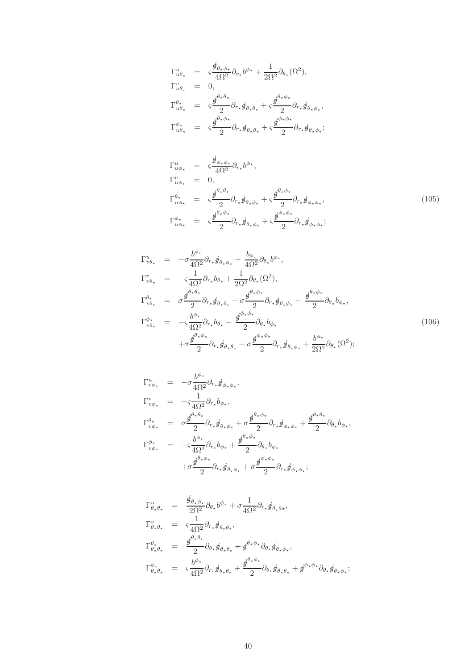$$
\begin{array}{rcl} \Gamma_{u\theta_{\star}}^{u} & = & \varsigma \frac{\oint_{\theta_{\star}\phi_{\star}}}{4\Omega^{2}}\partial_{r_{\star}}b^{\phi_{\star}}+\frac{1}{2\Omega^{2}}\partial_{\theta_{\star}}(\Omega^{2}),\\ \Gamma_{u\theta_{\star}}^{v} & = & 0,\\ \Gamma_{u\theta_{\star}}^{\theta_{\star}} & = & \varsigma \frac{\oint_{\theta_{\star}\theta_{\star}}^{\theta_{\star}\theta_{\star}}}{2}\partial_{r_{\star}}\oint_{\theta_{\star}\theta_{\star}}+\varsigma \frac{\oint_{\theta_{\star}\phi_{\star}}^{\theta_{\star}\phi_{\star}}}{2}\partial_{r_{\star}}\oint_{\theta_{\star}\phi_{\star}},\\ \Gamma_{u\theta_{\star}}^{\phi_{\star}} & = & \varsigma \frac{\oint_{\theta_{\star}\phi_{\star}}^{\theta_{\star}\phi_{\star}}}{2}\partial_{r_{\star}}\oint_{\theta_{\star}\theta_{\star}}+\varsigma \frac{\oint_{\theta_{\star}\phi_{\star}}^{\theta_{\star}\phi_{\star}}}{2}\partial_{r_{\star}}\oint_{\theta_{\star}\phi_{\star}}; \end{array}
$$

<span id="page-39-0"></span>
$$
\Gamma^{u}_{u\phi_{\star}} = \zeta^{\oint_{\phi_{\star}\phi_{\star}}} \partial_{r_{\star}} b^{\phi_{\star}},
$$
\n
$$
\Gamma^{v}_{u\phi_{\star}} = 0,
$$
\n
$$
\Gamma^{\theta}_{u\phi_{\star}} = \zeta^{\oint_{\phi_{\star}\theta_{\star}}} \partial_{r_{\star}} \oint_{\theta_{\star}\phi_{\star}} + \zeta^{\oint_{\phi_{\star}\phi_{\star}}} \partial_{r_{\star}} \oint_{\phi_{\star}\phi_{\star}},
$$
\n
$$
\Gamma^{\phi_{\star}}_{u\phi_{\star}} = \zeta^{\oint_{\phi_{\star}\phi_{\star}}} \partial_{r_{\star}} \oint_{\theta_{\star}\phi_{\star}} + \zeta^{\oint_{\phi_{\star}\phi_{\star}}} \partial_{r_{\star}} \oint_{\phi_{\star}\phi_{\star}};
$$
\n
$$
(105)
$$

<span id="page-39-1"></span>
$$
\Gamma^{u}_{\nu\theta_{\star}} = -\sigma \frac{b^{\phi_{\star}}}{4\Omega^{2}} \partial_{r_{\star}} \phi_{\theta_{\star}\phi_{\star}} - \frac{b_{\phi_{\star}}}{4\Omega^{2}} \partial_{\theta_{\star}} b^{\phi_{\star}}, \n\Gamma^{v}_{\nu\theta_{\star}} = -\varsigma \frac{1}{4\Omega^{2}} \partial_{r_{\star}} b_{\theta_{\star}} + \frac{1}{2\Omega^{2}} \partial_{\theta_{\star}} (\Omega^{2}), \n\Gamma^{\theta_{\star}}_{\nu\theta_{\star}} = \sigma \frac{g^{\theta_{\star}\theta_{\star}}}{2} \partial_{r_{\star}} \phi_{\theta_{\star}\theta_{\star}} + \sigma \frac{g^{\theta_{\star}\phi_{\star}}}{2} \partial_{r_{\star}} \phi_{\theta_{\star}\phi_{\star}} - \frac{g^{\theta_{\star}\phi_{\star}}}{2} \partial_{\theta_{\star}} b_{\phi_{\star}}, \n\Gamma^{\phi_{\star}}_{\nu\theta_{\star}} = -\varsigma \frac{b^{\phi_{\star}}}{4\Omega^{2}} \partial_{r_{\star}} b_{\theta_{\star}} - \frac{g^{\phi_{\star}\phi_{\star}}}{2} \partial_{\theta_{\star}} b_{\phi_{\star}} \n+ \sigma \frac{g^{\theta_{\star}\phi_{\star}}}{2} \partial_{r_{\star}} g_{\theta_{\star}\theta_{\star}} + \sigma \frac{g^{\phi_{\star}\phi_{\star}}}{2} \partial_{r_{\star}} g_{\theta_{\star}\phi_{\star}} + \frac{b^{\phi_{\star}}}{2\Omega^{2}} \partial_{\theta_{\star}} (\Omega^{2});
$$
\n(106)

$$
\Gamma^{u}_{\psi\phi_{\star}} = -\sigma \frac{b^{\phi_{\star}}}{4\Omega^{2}} \partial_{r_{\star}} \phi_{\phi_{\star}\phi_{\star}},
$$
\n
$$
\Gamma^{v}_{v\phi_{\star}} = -\varsigma \frac{1}{4\Omega^{2}} \partial_{r_{\star}} b_{\phi_{\star}},
$$
\n
$$
\Gamma^{{\theta}_{v\phi_{\star}}}_{v\phi_{\star}} = \sigma \frac{\mathcal{g}^{\theta_{\star}\theta_{\star}}}{2} \partial_{r_{\star}} \mathcal{g}_{\theta_{\star}\phi_{\star}} + \sigma \frac{\mathcal{g}^{\theta_{\star}\phi_{\star}}}{2} \partial_{r_{\star}} \mathcal{g}_{\phi_{\star}\phi_{\star}} + \frac{\mathcal{g}^{\theta_{\star}\theta_{\star}}}{2} \partial_{\theta_{\star}} b_{\phi_{\star}},
$$
\n
$$
\Gamma^{\phi_{\star}}_{v\phi_{\star}} = -\varsigma \frac{b^{\phi_{\star}}}{4\Omega^{2}} \partial_{r_{\star}} b_{\phi_{\star}} + \frac{\mathcal{g}^{\theta_{\star}\phi_{\star}}}{2} \partial_{\theta_{\star}} b_{\phi_{\star}}
$$
\n
$$
+ \sigma \frac{\mathcal{g}^{\theta_{\star}\phi_{\star}}}{2} \partial_{r_{\star}} \mathcal{g}_{\theta_{\star}\phi_{\star}} + \sigma \frac{\mathcal{g}^{\phi_{\star}\phi_{\star}}}{2} \partial_{r_{\star}} \mathcal{g}_{\phi_{\star}\phi_{\star}};
$$

$$
\begin{array}{rcl}\n\Gamma_{\theta_{\star}\theta_{\star}}^{u} & = & \frac{\oint_{\theta_{\star}\phi_{\star}} \partial_{\theta_{\star}} b^{\phi_{\star}} + \sigma \frac{1}{4\Omega^{2}} \partial_{r_{\star}} \oint_{\theta_{\star}\theta_{\star}}, \\
\Gamma_{\theta_{\star}\theta_{\star}}^{v} & = & \zeta \frac{1}{4\Omega^{2}} \partial_{r_{\star}} \oint_{\theta_{\star}\theta_{\star}}, \\
\Gamma_{\theta_{\star}\theta_{\star}}^{\theta_{\star}} & = & \frac{\oint_{\theta_{\star}\theta_{\star}} \partial_{\theta_{\star}} \oint_{\theta_{\star}\theta_{\star}} + \oint_{\theta_{\star}\phi_{\star}} \partial_{\theta_{\star}} \oint_{\theta_{\star}\phi_{\star}}, \\
\Gamma_{\theta_{\star}\theta_{\star}}^{\phi_{\star}} & = & \zeta \frac{b^{\phi_{\star}}}{4\Omega^{2}} \partial_{r_{\star}} \oint_{\theta_{\star}\theta_{\star}} + \frac{\oint_{\theta_{\star}\phi_{\star}} \partial_{\theta_{\star}} \oint_{\theta_{\star}\theta_{\star}} + \oint_{\theta_{\star}\phi_{\star}} \partial_{\theta_{\star}} \oint_{\theta_{\star}\phi_{\star}}\n\end{array}
$$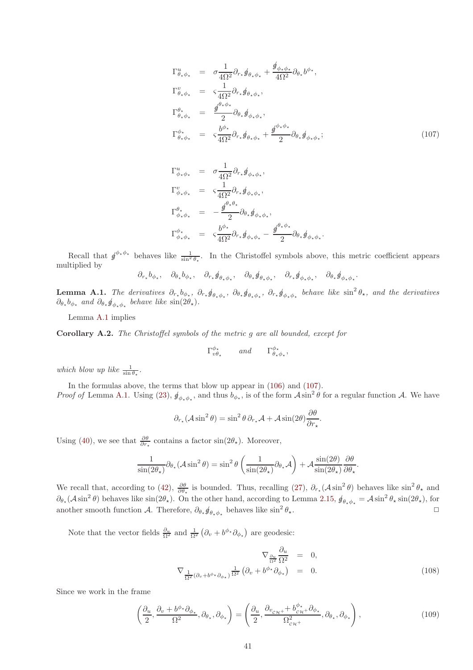<span id="page-40-3"></span>
$$
\Gamma_{\theta_{\star}\phi_{\star}}^{u} = \sigma \frac{1}{4\Omega^{2}} \partial_{r_{\star}} \phi_{\theta_{\star}\phi_{\star}} + \frac{\phi_{\phi_{\star}\phi_{\star}}}{4\Omega^{2}} \partial_{\theta_{\star}} b^{\phi_{\star}},
$$
\n
$$
\Gamma_{\theta_{\star}\phi_{\star}}^{v} = \varsigma \frac{1}{4\Omega^{2}} \partial_{r_{\star}} \phi_{\theta_{\star}\phi_{\star}},
$$
\n
$$
\Gamma_{\theta_{\star}\phi_{\star}}^{\theta_{\star}} = \frac{\phi^{\theta_{\star}\phi_{\star}}}{2} \partial_{\theta_{\star}} \phi_{\phi_{\star}\phi_{\star}},
$$
\n
$$
\Gamma_{\theta_{\star}\phi_{\star}}^{\phi_{\star}} = \varsigma \frac{b^{\phi_{\star}}}{4\Omega^{2}} \partial_{r_{\star}} \phi_{\theta_{\star}\phi_{\star}} + \frac{\phi^{\phi_{\star}\phi_{\star}}}{2} \partial_{\theta_{\star}} \phi_{\phi_{\star}\phi_{\star}};
$$
\n(107)

$$
\Gamma^{u}_{\phi_{\star}\phi_{\star}} = \sigma \frac{1}{4\Omega^{2}} \partial_{r_{\star}} \phi_{\phi_{\star}\phi_{\star}},
$$
\n
$$
\Gamma^{v}_{\phi_{\star}\phi_{\star}} = \varsigma \frac{1}{4\Omega^{2}} \partial_{r_{\star}} \phi_{\phi_{\star}\phi_{\star}},
$$
\n
$$
\Gamma^{\theta}_{\phi_{\star}\phi_{\star}} = - \frac{\underline{\theta}^{\theta_{\star}\theta_{\star}}}{2} \partial_{\theta_{\star}} \underline{\theta}_{\phi_{\star}\phi_{\star}},
$$
\n
$$
\Gamma^{\phi_{\star}}_{\phi_{\star}\phi_{\star}} = \varsigma \frac{b^{\phi_{\star}}}{4\Omega^{2}} \partial_{r_{\star}} \underline{\theta}_{\phi_{\star}\phi_{\star}} - \frac{\underline{\theta}^{\theta_{\star}\phi_{\star}}}{2} \partial_{\theta_{\star}} \underline{\theta}_{\phi_{\star}\phi_{\star}}.
$$

Recall that  $\oint^{\phi_{\star}\phi_{\star}}$  behaves like  $\frac{1}{\sin^2\theta_{\star}}$ . In the Christoffel symbols above, this metric coefficient appears multiplied by  $\delta$ 

$$
\partial_{r*}b_{\phi*}, \quad \partial_{\theta*}b_{\phi*}, \quad \partial_{r*} \mathcal{J}_{\theta*\phi*}, \quad \partial_{\theta*} \mathcal{J}_{\theta*\phi*}, \quad \partial_{r*} \mathcal{J}_{\phi*\phi*}, \quad \partial_{\theta*} \mathcal{J}_{\phi*\phi*}.
$$

<span id="page-40-2"></span>**Lemma A.1.** The derivatives  $\partial_{r_{\star}}b_{\phi_{\star}}, \partial_{r_{\star}}\oint_{\theta_{\star}}\phi_{\star}, \partial_{\theta_{\star}}\oint_{\theta_{\star}}\phi_{\star}, \partial_{r_{\star}}\oint_{\phi_{\star}}\phi_{\star}$  behave like  $\sin^2\theta_{\star}$ , and the derivatives  $\partial_{\theta_{\star}}b_{\phi_{\star}}$  and  $\partial_{\theta_{\star}}\oint_{\phi_{\star}\phi_{\star}}$  behave like  $\sin(2\theta_{\star})$ .

Lemma [A.1](#page-40-2) implies

<span id="page-40-1"></span>Corollary A.2. The Christoffel symbols of the metric g are all bounded, except for

$$
\Gamma^{\phi_\star}_{v\theta_\star} \qquad and \qquad \Gamma^{\phi_\star}_{\theta_\star\phi_\star}
$$

,

which blow up like  $\frac{1}{\sin \theta_{\star}}$ .

In the formulas above, the terms that blow up appear in [\(106\)](#page-39-1) and [\(107\)](#page-40-3). Proof of Lemma [A.1.](#page-40-2) Using [\(23\)](#page-6-2),  $\oint_{\phi_\star\phi_\star}$ , and thus  $b_{\phi_\star}$ , is of the form  $\mathcal{A}\sin^2\theta$  for a regular function  $\mathcal{A}$ . We have

$$
\partial_{r_{\star}}(\mathcal{A}\sin^2\theta) = \sin^2\theta \,\partial_{r_{\star}}\mathcal{A} + \mathcal{A}\sin(2\theta)\frac{\partial\theta}{\partial r_{\star}}.
$$

Using [\(40\)](#page-13-5), we see that  $\frac{\partial \theta}{\partial r_*}$  contains a factor sin(2 $\theta_*$ ). Moreover,

$$
\frac{1}{\sin(2\theta_\star)}\partial_{\theta_\star}(\mathcal{A}\sin^2\theta) = \sin^2\theta \left(\frac{1}{\sin(2\theta_\star)}\partial_{\theta_\star}\mathcal{A}\right) + \mathcal{A}\frac{\sin(2\theta)}{\sin(2\theta_\star)}\frac{\partial\theta}{\partial\theta_\star}.
$$

We recall that, according to [\(42\)](#page-14-3),  $\frac{\partial \theta}{\partial \theta_{\star}}$  is bounded. Thus, recalling [\(27\)](#page-8-2),  $\partial_{r_{\star}}(\mathcal{A}\sin^2\theta)$  behaves like  $\sin^2\theta_{\star}$  and  $\partial_{\theta_{\star}}(\mathcal{A}\sin^2\theta)$  behaves like  $\sin(2\theta_{\star})$ . On the other hand, according to Lemma [2.15,](#page-20-0)  $\oint_{\theta_{\star}\phi_{\star}} = \mathcal{A}\sin^2\theta_{\star}\sin(2\theta_{\star})$ , for another smooth function A. Therefore,  $\partial_{\theta_*} \oint_{\theta_* \phi_*}$  behaves like  $\sin^2$  $\theta_{\star}$ .

Note that the vector fields  $\frac{\partial_u}{\Omega^2}$  and  $\frac{1}{\Omega^2}(\partial_v + b^{\phi_\star}\partial_{\phi_\star})$  are geodesic:

<span id="page-40-0"></span>
$$
\nabla_{\frac{\partial_u}{\Omega^2}} \frac{\partial_u}{\Omega^2} = 0,
$$
\n
$$
\nabla_{\frac{1}{\Omega^2}(\partial_v + b^{\phi_\star} \partial_{\phi_\star})} \frac{1}{\Omega^2} \left( \partial_v + b^{\phi_\star} \partial_{\phi_\star} \right) = 0.
$$
\n(108)

Since we work in the frame

<span id="page-40-4"></span>
$$
\left(\frac{\partial_u}{2}, \frac{\partial_v + b^{\phi_\star}\partial_{\phi_\star}}{\Omega^2}, \partial_{\theta_\star}, \partial_{\phi_\star}\right) = \left(\frac{\partial_u}{2}, \frac{\partial_{v_{\mathcal{CH}}} + b^{\phi_\star}_{\mathcal{CH}}\partial_{\phi_\star}}{\Omega^2_{\mathcal{CH}^+}}, \partial_{\theta_\star}, \partial_{\phi_\star}\right),\tag{109}
$$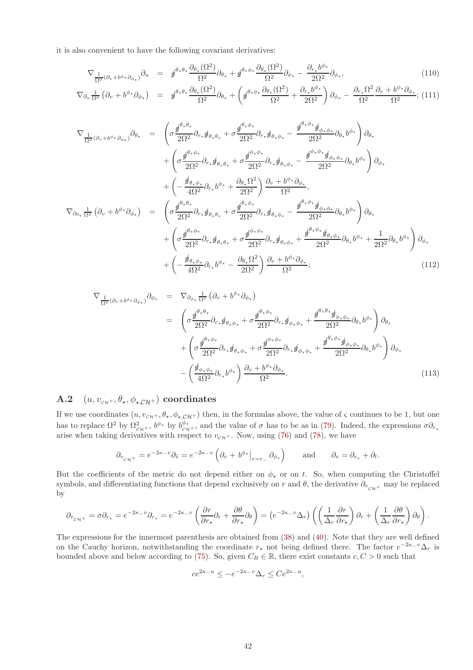it is also convenient to have the following covariant derivatives:

<span id="page-41-1"></span>
$$
\nabla_{\frac{1}{\Omega^{2}}(\partial_{v}+b^{\phi_{\star}}\partial_{\phi_{\star}})}\partial_{u} = \mathscr{g}^{\theta_{\star}\theta_{\star}}\frac{\partial_{\theta_{\star}}(\Omega^{2})}{\Omega^{2}}\partial_{\theta_{\star}} + \mathscr{g}^{\theta_{\star}\phi_{\star}}\frac{\partial_{\theta_{\star}}(\Omega^{2})}{\Omega^{2}}\partial_{\phi_{\star}} - \frac{\partial_{r_{\star}}b^{\phi_{\star}}}{2\Omega^{2}}\partial_{\phi_{\star}},
$$
\n(110)

$$
\nabla_{\partial_u} \frac{1}{\Omega^2} \left( \partial_v + b^{\phi_\star} \partial_{\phi_\star} \right) = g^{\theta_\star \theta_\star} \frac{\partial_{\theta_\star} (\Omega^2)}{\Omega^2} \partial_{\theta_\star} + \left( g^{\theta_\star \phi_\star} \frac{\partial_{\theta_\star} (\Omega^2)}{\Omega^2} + \frac{\partial_{r_\star} b^{\phi_\star}}{2\Omega^2} \right) \partial_{\phi_\star} - \frac{\partial_{r_\star} \Omega^2}{\Omega^2} \frac{\partial_v + b^{\phi_\star} \partial_{\phi_\star}}{\Omega^2}; \ (111)
$$

<span id="page-41-2"></span>
$$
\nabla_{\frac{1}{\Omega^{2}}(\partial_{v}+b^{\phi_{\star}}\partial_{\phi_{\star}})}\partial_{\theta_{\star}} = \left(\sigma \frac{\theta^{\theta_{\star}\theta_{\star}}}{2\Omega^{2}}\partial_{r_{\star}}\theta_{\theta_{\star}\theta_{\star}} + \sigma \frac{\theta^{\theta_{\star}\phi_{\star}}}{2\Omega^{2}}\partial_{r_{\star}}\theta_{\theta_{\star}\phi_{\star}} - \frac{\theta^{\theta_{\star}\phi_{\star}}\theta_{\phi_{\star}\phi_{\star}}}{2\Omega^{2}}\partial_{\theta_{\star}}b^{\phi_{\star}}\right)\partial_{\theta_{\star}} \n+ \left(\sigma \frac{\theta^{\theta_{\star}\phi_{\star}}}{2\Omega^{2}}\partial_{r_{\star}}\theta_{\theta_{\star}\theta_{\star}} + \sigma \frac{\theta^{\phi_{\star}\phi_{\star}}}{2\Omega^{2}}\partial_{r_{\star}}\theta_{\theta_{\star}\phi_{\star}} - \frac{\theta^{\phi_{\star}\phi_{\star}}\theta_{\phi_{\star}\phi_{\star}}}{2\Omega^{2}}\partial_{\theta_{\star}}b^{\phi_{\star}}\right)\partial_{\phi_{\star}} \n+ \left(-\frac{\theta_{\theta_{\star}\phi_{\star}}}{4\Omega^{2}}\partial_{r_{\star}}b^{\phi_{\star}} + \frac{\partial_{\theta_{\star}}\Omega^{2}}{2\Omega^{2}}\right)\frac{\partial_{v}+b^{\phi_{\star}}\partial_{\theta_{\star}}}{\Omega^{2}},
$$
\n
$$
\nabla_{\partial_{\theta_{\star}}\frac{1}{\Omega^{2}}}\left(\partial_{v}+b^{\phi_{\star}}\partial_{\phi_{\star}}\right) = \left(\sigma \frac{\theta^{\theta_{\star}\theta_{\star}}}{2\Omega^{2}}\partial_{r_{\star}}\theta_{\theta_{\star}\theta_{\star}} + \sigma \frac{\theta^{\theta_{\star}\phi_{\star}}}{2\Omega^{2}}\partial_{r_{\star}}\theta_{\theta_{\star}\phi_{\star}} - \frac{\theta^{\theta_{\star}\phi_{\star}}\theta_{\phi_{\star}\phi_{\star}}}{2\Omega^{2}}\partial_{\theta_{\star}}b^{\phi_{\star}}\right)\partial_{\theta_{\star}} \n+ \left(\sigma \frac{\theta^{\theta_{\star}\phi_{\star}}}{2\Omega^{2}}\partial_{r_{\star}}\theta_{\theta_{\star}\theta_{
$$

<span id="page-41-3"></span>
$$
\nabla_{\frac{1}{\Omega^{2}}(\partial_{v}+b^{\phi*}\partial_{\phi_{\star}})}\partial_{\phi_{\star}} = \nabla_{\partial_{\phi_{\star}}}\frac{1}{\Omega^{2}}\left(\partial_{v}+b^{\phi*}\partial_{\phi_{\star}}\right)
$$
\n
$$
= \left(\sigma \frac{\mathcal{J}^{\theta_{\star}\theta_{\star}}}{2\Omega^{2}}\partial_{r_{\star}}\mathcal{J}_{\theta_{\star}\phi_{\star}} + \sigma \frac{\mathcal{J}^{\theta_{\star}\phi_{\star}}}{2\Omega^{2}}\partial_{r_{\star}}\mathcal{J}_{\phi_{\star}\phi_{\star}} + \frac{\mathcal{J}^{\theta_{\star}\theta_{\star}}\mathcal{J}_{\theta_{\star}\phi_{\star}}}{2\Omega^{2}}\partial_{\theta_{\star}}b^{\phi_{\star}}\right)\partial_{\theta_{\star}}
$$
\n
$$
+ \left(\sigma \frac{\mathcal{J}^{\theta_{\star}\phi_{\star}}}{2\Omega^{2}}\partial_{r_{\star}}\mathcal{J}_{\theta_{\star}\phi_{\star}} + \sigma \frac{\mathcal{J}^{\theta_{\star}\phi_{\star}}}{2\Omega^{2}}\partial_{r_{\star}}\mathcal{J}_{\phi_{\star}\phi_{\star}} + \frac{\mathcal{J}^{\theta_{\star}\phi_{\star}}\mathcal{J}_{\theta_{\star}\phi_{\star}}}{2\Omega^{2}}\partial_{\theta_{\star}}b^{\phi_{\star}}\right)\partial_{\phi_{\star}}
$$
\n
$$
- \left(\frac{\mathcal{J}_{\phi_{\star}\phi_{\star}}}{4\Omega^{2}}\partial_{r_{\star}}b^{\phi_{\star}}\right)\frac{\partial_{v}+b^{\phi_{\star}}\partial_{\phi_{\star}}}{\Omega^{2}}.
$$
\n(113)

# <span id="page-41-0"></span>A.2  $(u, v_{c\mu^+}, \theta_\star, \phi_{\star, C\mu^+})$  coordinates

If we use coordinates  $(u, v_{\mathcal{CH}}^+, \theta_\star, \phi_{\star, \mathcal{CH}}^+)$  then, in the formulas above, the value of  $\varsigma$  continues to be 1, but one has to replace  $\Omega^2$  by  $\Omega_{c\mu^+}^2$ ,  $b^{\phi_\star}$  by  $b_{c\mu^+}^{\phi_\star}$ , and the value of  $\sigma$  has to be as in [\(79\)](#page-29-2). Indeed, the expressions  $\sigma \partial_{r_\star}$ arise when taking derivatives with respect to  $v_{c\mathcal{H}^+}$ . Now, using [\(76\)](#page-28-2) and [\(78\)](#page-29-3), we have

$$
\partial_{v_{\mathcal{CH}^+}} = e^{-2\kappa_{-}v} \partial_{\tilde{v}} = e^{-2\kappa_{-}v} \left( \partial_v + b^{\phi_\star} \big|_{r=r_{-}} \partial_{\phi_\star} \right) \quad \text{and} \quad \partial_v = \partial_{r_\star} + \partial_t.
$$

But the coefficients of the metric do not depend either on  $\phi_{\star}$  or on t. So, when computing the Christoffel symbols, and differentiating functions that depend exclusively on r and  $\theta$ , the derivative  $\partial_{v_{\mathcal{CH}^+}}$  may be replaced by

$$
\partial_{v_{\mathcal{CH}^+}} = \sigma \partial_{r_{\star}} = e^{-2\kappa_{-}v} \partial_{r_{\star}} = e^{-2\kappa_{-}v} \left( \frac{\partial r}{\partial r_{\star}} \partial_r + \frac{\partial \theta}{\partial r_{\star}} \partial_{\theta} \right) = \left( e^{-2\kappa_{-}v} \Delta_r \right) \left( \left( \frac{1}{\Delta_r} \frac{\partial r}{\partial r_{\star}} \right) \partial_r + \left( \frac{1}{\Delta_r} \frac{\partial \theta}{\partial r_{\star}} \right) \partial_{\theta} \right).
$$

The expressions for the innermost parenthesis are obtained from [\(38\)](#page-13-6) and [\(40\)](#page-13-5). Note that they are well defined on the Cauchy horizon, notwithstanding the coordinate  $r<sub>\star</sub>$  not being defined there. The factor  $e^{-2\kappa_{-}v}\Delta_{r}$  is bounded above and below according to [\(75\)](#page-28-1). So, given  $C_R \in \mathbb{R}$ , there exist constants  $c, C > 0$  such that

$$
ce^{2\kappa_- u} \le -e^{-2\kappa_- v} \Delta_r \le Ce^{2\kappa_- u},
$$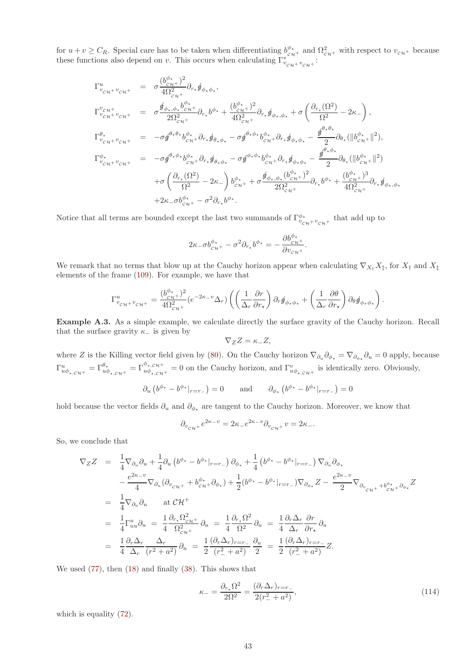for  $u + v \geq C_R$ . Special care has to be taken when differentiating  $b^{\phi_*}_{c\pi^+}$  and  $\Omega_{c\pi^+}^2$  with respect to  $v_{c\pi^+}$  because these functions also depend on v. This occurs when calculating  $\Gamma_{v_{\mathcal{CH}^+}v_{\mathcal{CH}^+}}^*$ :

$$
\Gamma_{v_{CH}+v_{CH}+}^{u} = \sigma \frac{(b_{CH}^{\phi*})^{2}}{4\Omega_{CH}^{2}} \partial_{r*} \phi_{\phi_{\star}\phi_{\star}},
$$
\n
$$
\Gamma_{v_{CH}+v_{CH}+}^{v} = \sigma \frac{\phi_{\phi_{\star},\phi_{\star}} b_{\phi_{\star}^{\phi_{\star}}}}{2\Omega_{CH}^{2}} \partial_{r*} b^{\phi_{\star}} + \frac{(b_{CH}^{\phi_{\star}})^{2}}{4\Omega_{CH}^{2}} \partial_{r*} \phi_{\phi_{\star},\phi_{\star}} + \sigma \left(\frac{\partial_{r_{\star}}(\Omega^{2})}{\Omega^{2}} - 2\kappa_{-}\right),
$$
\n
$$
\Gamma_{v_{CH}+v_{CH}+}^{\theta_{\star}} = -\sigma \phi^{\theta_{\star}\theta_{\star}} b_{\phi_{\star}^{\phi_{\star}}} \partial_{r*} \phi_{\theta_{\star}\phi_{\star}} - \sigma \phi^{\theta_{\star}\phi_{\star}} b_{\phi_{\star}^{\phi_{\star}}} \partial_{r*} \phi_{\phi_{\star}\phi_{\star}} - \frac{\phi^{\theta_{\star}\theta_{\star}}}{2} \partial_{\theta_{\star}} (\|b_{CH}^{\phi_{\star}}\|^{2}),
$$
\n
$$
\Gamma_{v_{CH}+v_{CH}+}^{\phi_{\star}} = -\sigma \phi^{\theta_{\star}\phi_{\star}} b_{CH}^{\phi_{\star}} \partial_{r*} \phi_{\theta_{\star}\phi_{\star}} - \sigma \phi^{\phi_{\star}\phi_{\star}} b_{CH}^{\phi_{\star}} \partial_{r*} \phi_{\phi_{\star}\phi_{\star}} - \frac{\phi^{\theta_{\star}\phi_{\star}}}{2} \partial_{\theta_{\star}} (\|b_{CH}^{\phi_{\star}}\|^{2})
$$
\n
$$
+ \sigma \left(\frac{\partial_{r_{\star}}(\Omega^{2})}{\Omega^{2}} - 2\kappa_{-}\right) b_{CH}^{\phi_{\star}} + \sigma \frac{\phi_{\phi_{\star},\phi_{\star}}(b_{CH}^{\phi_{\star}})^{2}}{2\Omega_{CH}^{2}} \partial_{r_{\star}} b^{\phi_{\star}} + \frac{(b_{CH}^{\phi_{\star}})^{3}}{4\Omega_{CH}^{2}} \partial_{r*} \phi_{\phi_{\star},\phi
$$

Notice that all terms are bounded except the last two summands of  $\Gamma^{\phi_*}_{v_{\mathcal{CH}}+v_{\mathcal{CH}}+}$  that add up to

$$
2\kappa_{-}\sigma b^{\phi_{\star}}_{c\gamma_{+}} - \sigma^2 \partial_{r_{\star}} b^{\phi_{\star}} = -\frac{\partial b^{\phi_{\star}}_{c\gamma_{+}}}{\partial v_{c\gamma_{+}}}.
$$

We remark that no terms that blow up at the Cauchy horizon appear when calculating  $\nabla_{X_+}X_{\ddagger}$ , for  $X_{\ddagger}$  and  $X_{\ddagger}$ elements of the frame [\(109\)](#page-40-4). For example, we have that

$$
\Gamma_{v_{\mathcal{CH}^{+}}v_{\mathcal{CH}^{+}}}^{u} = \frac{(b_{\mathcal{CH}^{+}}^{\phi_{\star}})^{2}}{4\Omega_{\mathcal{CH}^{+}}^{2}} (e^{-2\kappa_{-}v} \Delta_{r}) \left( \left( \frac{1}{\Delta_{r}} \frac{\partial r}{\partial r_{\star}} \right) \partial_{r} \phi_{\phi_{\star} \phi_{\star}} + \left( \frac{1}{\Delta_{r}} \frac{\partial \theta}{\partial r_{\star}} \right) \partial_{\theta} \phi_{\phi_{\star} \phi_{\star}} \right).
$$

<span id="page-42-0"></span>Example A.3. As a simple example, we calculate directly the surface gravity of the Cauchy horizon. Recall that the surface gravity  $\kappa_-\,$  is given by

$$
\nabla_Z Z = \kappa_- Z,
$$

where Z is the Killing vector field given by [\(80\)](#page-29-1). On the Cauchy horizon  $\nabla_{\partial_u}\partial_{\phi_\star} = \nabla_{\partial_{\phi_\star}}\partial_u = 0$  apply, because  $\Gamma^{u}_{u\phi_{\star, \mathcal{CH}^+}} = \Gamma^{\theta_{\star}}_{u\phi_{\star, \mathcal{CH}^+}} = \Gamma^{\phi_{\star, \mathcal{CH}^+}}_{u\phi_{\star, \mathcal{CH}}}$  $u_{\phi_{\star,c} \alpha+}^{w_{\star,c} \alpha+} = 0$  on the Cauchy horizon, and  $\Gamma^v_{u_{\phi_{\star,c} \alpha+}}$  is identically zero. Obviously,

$$
\partial_u (b^{\phi_\star} - b^{\phi_\star}|_{r=r_-}) = 0
$$
 and  $\partial_{\phi_\star} (b^{\phi_\star} - b^{\phi_\star}|_{r=r_-}) = 0$ 

hold because the vector fields  $\partial_u$  and  $\partial_{\phi_*}$  are tangent to the Cauchy horizon. Moreover, we know that

$$
\partial_{v_{\mathcal{CH}^+}}e^{2\kappa_- v}=2\kappa_-e^{2\kappa_- v}\partial_{v_{\mathcal{CH}^+}}v=2\kappa_-.
$$

So, we conclude that

$$
\nabla_{Z}Z = \frac{1}{4}\nabla_{\partial_{u}}\partial_{u} + \frac{1}{4}\partial_{u}\left(b^{\phi_{\star}} - b^{\phi_{\star}}|_{r=r_{-}}\right)\partial_{\phi_{\star}} + \frac{1}{4}\left(b^{\phi_{\star}} - b^{\phi_{\star}}|_{r=r_{-}}\right)\nabla_{\partial_{u}}\partial_{\phi_{\star}} \n- \frac{e^{2\kappa_{-}v}}{4}\nabla_{\partial_{u}}(\partial_{v_{\mathcal{CH}^{+}}} + b^{\phi_{\star}}_{\mathcal{CH}^{+}}\partial_{\phi_{\star}}) + \frac{1}{2}(b^{\phi_{\star}} - b^{\phi_{\star}}|_{r=r_{-}})\nabla_{\partial_{\phi_{\star}}}Z - \frac{e^{2\kappa_{-}v}}{2}\nabla_{\partial_{v_{\mathcal{CH}^{+}}} + b^{\phi_{\star}}_{\mathcal{CH}^{+}}\partial_{\phi_{\star}}}Z \n= \frac{1}{4}\nabla_{\partial_{u}}\partial_{u} \quad \text{at } \mathcal{CH}^{+} \n= \frac{1}{4}\Gamma_{uu}^{u}\partial_{u} = \frac{1}{4}\frac{\partial_{r_{\star}}\Omega_{\mathcal{CH}^{+}}^{2}}{\Omega_{\mathcal{CH}^{+}}^{2}}\partial_{u} = \frac{1}{4}\frac{\partial_{r_{\star}}\Omega^{2}}{\Omega^{2}}\partial_{u} = \frac{1}{4}\frac{\partial_{r}\Delta_{r}}{\Delta_{r}}\frac{\partial r}{\partial r_{\star}}\partial_{u} \n= \frac{1}{4}\frac{\partial_{r}\Delta_{r}}{\Delta_{r}}\frac{\Delta_{r}}{(r^{2} + a^{2})}\partial_{u} = \frac{1}{2}\frac{(\partial_{r}\Delta_{r})_{r=r_{-}}}{(r_{-}^{2} + a^{2})}\frac{\partial_{u}}{2} = \frac{1}{2}\frac{(\partial_{r}\Delta_{r})_{r=r_{-}}}{(r_{-}^{2} + a^{2})}Z.
$$

We used [\(77\)](#page-28-3), then [\(18\)](#page-6-4) and finally [\(38\)](#page-13-6). This shows that

<span id="page-42-1"></span>
$$
\kappa_{-} = \frac{\partial_{r_{*}} \Omega^{2}}{2\Omega^{2}} = \frac{(\partial_{r} \Delta_{r})_{r=r_{-}}}{2(r_{-}^{2} + a^{2})},\tag{114}
$$

which is equality  $(72)$ .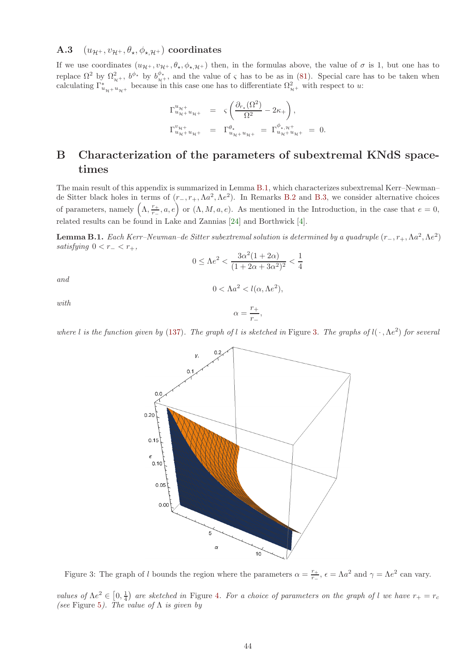## <span id="page-43-0"></span>A.3  $(u_{\mathcal{H}^+}, v_{\mathcal{H}^+}, \theta_\star, \phi_\star, \theta_\star)$  coordinates

If we use coordinates  $(u_{\mathcal{H}^+}, v_{\mathcal{H}^+}, \theta_\star, \phi_\star, \mu_\star)$  then, in the formulas above, the value of  $\sigma$  is 1, but one has to replace  $\Omega^2$  by  $\Omega_{\mathcal{H}^+}^2$ ,  $b^{\phi_\star}$  by  $b^{\phi_\star}_{\mathcal{H}^+}$ , and the value of  $\varsigma$  has to be as in [\(81\)](#page-30-7). Special care has to be taken when calculating  $\Gamma_{u_{\mathcal{H}^+}u_{\mathcal{H}^+}}^*$  because in this case one has to differentiate  $\Omega_{\mathcal{H}^+}^2$  with respect to u:

$$
\begin{array}{rcl} \Gamma^{u_{\mathcal{H}^+}}_{u_{\mathcal{H}^+} u_{\mathcal{H}^+}} &=& \varsigma \left( \frac{\partial_{r_\star}(\Omega^2)}{\Omega^2} - 2 \kappa_+ \right), \\[2mm] \Gamma^{v_{\mathcal{H}^+}}_{u_{\mathcal{H}^+}} u_{\mathcal{H}^+} &=& \Gamma^{\theta_\star}_{u_{\mathcal{H}^+} u_{\mathcal{H}^+}} = \Gamma^{\phi_\star, u^+}_{u_{\mathcal{H}^+} u_{\mathcal{H}^+}} = \, 0. \end{array}
$$

# <span id="page-43-1"></span>B Characterization of the parameters of subextremal KNdS spacetimes

The main result of this appendix is summarized in Lemma [B.1,](#page-43-3) which characterizes subextremal Kerr–Newman– de Sitter black holes in terms of  $(r_-, r_+, \Lambda a^2, \Lambda e^2)$ . In Remarks [B.2](#page-44-0) and [B.3,](#page-45-0) we consider alternative choices of parameters, namely  $(\Lambda, \frac{r_+}{r_+})$  $\left( \frac{r_+}{r_-}, a, e \right)$  or  $(\Lambda, M, a, e)$ . As mentioned in the Introduction, in the case that  $e = 0$ , related results can be found in Lake and Zannias [\[24\]](#page-55-3) and Borthwick [\[4\]](#page-54-8).

<span id="page-43-3"></span>**Lemma B.1.** Each Kerr–Newman–de Sitter subextremal solution is determined by a quadruple  $(r_-, r_+, \Lambda a^2, \Lambda e^2)$ satisfying  $0 < r_- < r_+$ ,

$$
0 \le \Lambda e^2 < \frac{3\alpha^2 (1 + 2\alpha)}{(1 + 2\alpha + 3\alpha^2)^2} < \frac{1}{4}
$$

and

$$
0 < \Lambda a^2 < l(\alpha, \Lambda e^2),
$$

with

$$
\alpha = \frac{r_+}{r_-},
$$

where l is the function given by [\(137\)](#page-49-0). The graph of l is sketched in Figure [3](#page-43-2). The graphs of  $l(\cdot, \Lambda e^2)$  for several



<span id="page-43-2"></span>Figure 3: The graph of l bounds the region where the parameters  $\alpha = \frac{r_+}{r_+}$  $\frac{r_+}{r_-}$ ,  $\epsilon = \Lambda a^2$  and  $\gamma = \Lambda e^2$  can vary.

values of  $\Lambda e^2 \in [0, \frac{1}{4})$  $\Lambda e^2 \in [0, \frac{1}{4})$  $\Lambda e^2 \in [0, \frac{1}{4})$  are sketched in Figure 4. For a choice of parameters on the graph of l we have  $r_+ = r_c$ (see Figure [5](#page-44-2)). The value of  $\Lambda$  is given by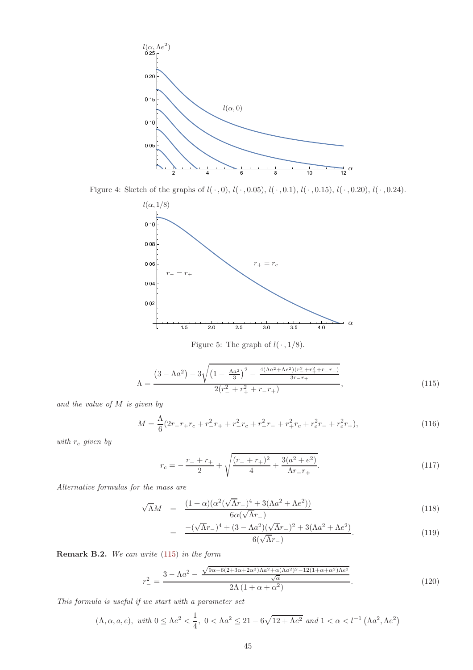

<span id="page-44-1"></span>Figure 4: Sketch of the graphs of  $l(\cdot, 0), l(\cdot, 0.05), l(\cdot, 0.1), l(\cdot, 0.15), l(\cdot, 0.20), l(\cdot, 0.24)$ .



<span id="page-44-2"></span>Figure 5: The graph of  $l(\cdot, 1/8)$ .

<span id="page-44-3"></span>
$$
\Lambda = \frac{\left(3 - \Lambda a^2\right) - 3\sqrt{\left(1 - \frac{\Lambda a^2}{3}\right)^2 - \frac{4(\Lambda a^2 + \Lambda e^2)(r_-^2 + r_+^2 + r_- r_+)}{3r_- r_+}}}{2(r_-^2 + r_+^2 + r_- r_+)},\tag{115}
$$

and the value of M is given by

<span id="page-44-4"></span>
$$
M = \frac{\Lambda}{6}(2r_{-}r_{+}r_{c} + r_{-}^{2}r_{+} + r_{-}^{2}r_{c} + r_{+}^{2}r_{-} + r_{+}^{2}r_{c} + r_{c}^{2}r_{-} + r_{c}^{2}r_{+}),
$$
\n(116)

with  $r_c$  given by

<span id="page-44-7"></span>
$$
r_c = -\frac{r_{-} + r_{+}}{2} + \sqrt{\frac{(r_{-} + r_{+})^2}{4} + \frac{3(a^2 + e^2)}{\Lambda r_{-} r_{+}}}. \tag{117}
$$

Alternative formulas for the mass are

<span id="page-44-5"></span>
$$
\sqrt{\Lambda}M = \frac{(1+\alpha)(\alpha^2(\sqrt{\Lambda}r_-)^4 + 3(\Lambda a^2 + \Lambda e^2))}{6\alpha(\sqrt{\Lambda}r_-)}
$$
\n(118)

$$
= \frac{- (\sqrt{\Lambda}r_{-})^4 + (3 - \Lambda a^2)(\sqrt{\Lambda}r_{-})^2 + 3(\Lambda a^2 + \Lambda e^2)}{6(\sqrt{\Lambda}r_{-})}.
$$
\n(119)

<span id="page-44-0"></span>Remark B.2. We can write [\(115\)](#page-44-3) in the form

<span id="page-44-6"></span>
$$
r_{-}^{2} = \frac{3 - \Lambda a^{2} - \frac{\sqrt{9\alpha - 6(2 + 3\alpha + 2\alpha^{2})\Lambda a^{2} + \alpha(\Lambda a^{2})^{2} - 12(1 + \alpha + \alpha^{2})\Lambda e^{2}}}{2\Lambda(1 + \alpha + \alpha^{2})}}{2\Lambda(1 + \alpha + \alpha^{2})}.
$$
(120)

This formula is useful if we start with a parameter set

$$
(\Lambda, \alpha, a, e), \text{ with } 0 \le \Lambda e^2 < \frac{1}{4}, \ 0 < \Lambda a^2 \le 21 - 6\sqrt{12 + \Lambda e^2} \text{ and } 1 < \alpha < l^{-1} \left(\Lambda a^2, \Lambda e^2\right)
$$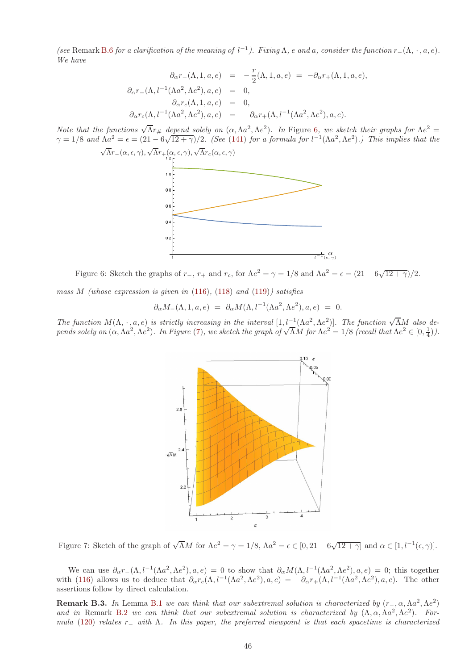(see Remark [B.6](#page-50-0) for a clarification of the meaning of  $l^{-1}$ ). Fixing  $\Lambda$ , e and a, consider the function  $r_-(\Lambda, \cdot, a, e)$ . We have

$$
\partial_{\alpha}r_{-}(\Lambda,1,a,e) = -\frac{r}{2}(\Lambda,1,a,e) = -\partial_{\alpha}r_{+}(\Lambda,1,a,e),
$$
  

$$
\partial_{\alpha}r_{-}(\Lambda,l^{-1}(\Lambda a^2,\Lambda e^2),a,e) = 0,
$$
  

$$
\partial_{\alpha}r_{c}(\Lambda,1,a,e) = 0,
$$
  

$$
\partial_{\alpha}r_{c}(\Lambda,l^{-1}(\Lambda a^2,\Lambda e^2),a,e) = -\partial_{\alpha}r_{+}(\Lambda,l^{-1}(\Lambda a^2,\Lambda e^2),a,e).
$$

Note that the functions  $\sqrt{\Lambda}r_{\#}$  depend solely on  $(\alpha, \Lambda a^2, \Lambda e^2)$ . In Figure [6](#page-45-1), we sketch their graphs for  $\Lambda e^2 =$  $\gamma = 1/8$  and  $\Lambda a^2 = \epsilon = (21 - 6\sqrt{12 + \gamma})/2$ . (See [\(141\)](#page-50-1) for a formula for  $l^{-1}(\Lambda a^2, \Lambda e^2)$ .) This implies that the



<span id="page-45-1"></span>Figure 6: Sketch the graphs of  $r_-, r_+$  and  $r_c$ , for  $\Lambda e^2 = \gamma = 1/8$  and  $\Lambda a^2 = \epsilon = (21 - 6\sqrt{12 + \gamma})/2$ .

mass  $M$  (whose expression is given in [\(116\)](#page-44-4), [\(118\)](#page-44-5) and [\(119\)](#page-44-5)) satisfies

 $\partial_{\alpha}M_{-}(\Lambda,1,a,e) = \partial_{\alpha}M(\Lambda,l^{-1}(\Lambda a^2,\Lambda e^2),a,e) = 0.$ 

The function  $M(\Lambda, \cdot, a, e)$  is strictly increasing in the interval  $[1, l^{-1}(\Lambda a^2, \Lambda e^2)]$ . The function  $\sqrt{\Lambda}M$  also depends solely on  $(\alpha, \Lambda a^2, \Lambda e^2)$ . In Figure [\(7\)](#page-45-2), we sketch the graph of  $\sqrt{\Lambda}M$  for  $\Lambda e^2 = 1/8$  (recall that  $\Lambda e^2 \in [0, \frac{1}{4})$ ).



<span id="page-45-2"></span>Figure 7: Sketch of the graph of  $\sqrt{\Lambda}M$  for  $\Lambda e^2 = \gamma = 1/8$ ,  $\Lambda a^2 = \epsilon \in [0, 21 - 6\sqrt{12 + \gamma}]$  and  $\alpha \in [1, l^{-1}(\epsilon, \gamma)]$ .

We can use  $\partial_{\alpha}r_{-}(\Lambda, l^{-1}(\Lambda a^2, \Lambda e^2), a, e) = 0$  to show that  $\partial_{\alpha}M(\Lambda, l^{-1}(\Lambda a^2, \Lambda e^2), a, e) = 0$ ; this together with [\(116\)](#page-44-4) allows us to deduce that  $\partial_{\alpha} r_c(\Lambda, l^{-1}(\Lambda a^2, \Lambda e^2), a, e) = -\partial_{\alpha} r_+(\Lambda, l^{-1}(\Lambda a^2, \Lambda e^2), a, e)$ . The other assertions follow by direct calculation.

<span id="page-45-0"></span>**Remark B.3.** In Lemma [B.1](#page-43-3) we can think that our subextremal solution is characterized by  $(r_-, \alpha, \Lambda a^2, \Lambda e^2)$ and in Remark [B.2](#page-44-0) we can think that our subextremal solution is characterized by  $(\Lambda, \alpha, \Lambda a^2, \Lambda e^2)$ . For-mula [\(120\)](#page-44-6) relates r− with  $\Lambda$ . In this paper, the preferred viewpoint is that each spacetime is characterized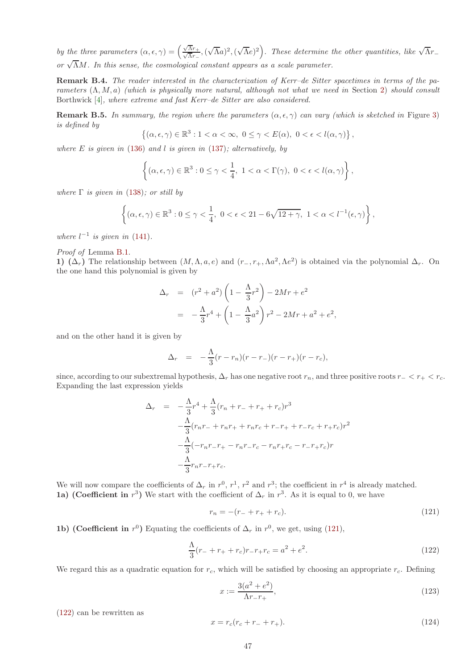by the three parameters  $(\alpha, \epsilon, \gamma) = \left(\frac{\sqrt{\Lambda}r_{+}}{\sqrt{\Lambda}r_{+}}\right)$  $\frac{\overline{\Lambda}r_{+}}{\Lambda r_{-}},(\sqrt{\Lambda}a)^{2},(\sqrt{\Lambda}e)^{2}$ . These determine the other quantities, like  $\sqrt{\Lambda}r_{-}$ or  $\sqrt{\Lambda}M$ . In this sense, the cosmological constant appears as a scale parameter.

Remark B.4. The reader interested in the characterization of Kerr–de Sitter spacetimes in terms of the parameters  $(\Lambda, M, a)$  (which is physically more natural, although not what we need in Section [2\)](#page-3-0) should consult Borthwick [\[4\]](#page-54-8), where extreme and fast Kerr–de Sitter are also considered.

**Remark B.5.** In summary, the region where the parameters  $(\alpha, \epsilon, \gamma)$  can vary (which is sketched in Figure [3\)](#page-43-2) is defined by

$$
\left\{ (\alpha,\epsilon,\gamma) \in \mathbb{R}^3 : 1 < \alpha < \infty, \ 0 \le \gamma < E(\alpha), \ 0 < \epsilon < l(\alpha,\gamma) \right\},\
$$

where E is given in  $(136)$  and l is given in  $(137)$ ; alternatively, by

$$
\left\{(\alpha,\epsilon,\gamma)\in\mathbb{R}^3:0\leq\gamma<\frac{1}{4},\ 1<\alpha<\Gamma(\gamma),\ 0<\epsilon
$$

where  $\Gamma$  is given in [\(138\)](#page-49-3); or still by

$$
\left\{(\alpha,\epsilon,\gamma)\in\mathbb{R}^3:0\leq\gamma<\frac{1}{4},\ 0<\epsilon<21-6\sqrt{12+\gamma},\ 1<\alpha
$$

where  $l^{-1}$  is given in [\(141\)](#page-50-1).

Proof of Lemma [B.1.](#page-43-3)

1) ( $\Delta_r$ ) The relationship between  $(M, \Lambda, a, e)$  and  $(r_-, r_+, \Lambda a^2, \Lambda e^2)$  is obtained via the polynomial  $\Delta_r$ . On the one hand this polynomial is given by

$$
\Delta_r = (r^2 + a^2) \left( 1 - \frac{\Lambda}{3} r^2 \right) - 2Mr + e^2
$$
  
=  $-\frac{\Lambda}{3} r^4 + \left( 1 - \frac{\Lambda}{3} a^2 \right) r^2 - 2Mr + a^2 + e^2$ ,

and on the other hand it is given by

$$
\Delta_r = -\frac{\Lambda}{3}(r - r_n)(r - r_-)(r - r_+)(r - r_c),
$$

since, according to our subextremal hypothesis,  $\Delta_r$  has one negative root  $r_n$ , and three positive roots  $r- < r_+ < r_c$ . Expanding the last expression yields

$$
\Delta_r = -\frac{\Lambda}{3}r^4 + \frac{\Lambda}{3}(r_n + r_- + r_+ + r_c)r^3
$$
  

$$
-\frac{\Lambda}{3}(r_n r_- + r_n r_+ + r_n r_c + r_- r_+ + r_- r_c + r_+ r_c)r^2
$$
  

$$
-\frac{\Lambda}{3}(-r_n r_- r_+ - r_n r_- r_c - r_n r_+ r_c - r_- r_+ r_c)r
$$
  

$$
-\frac{\Lambda}{3}r_n r_- r_+ r_c.
$$

We will now compare the coefficients of  $\Delta_r$  in  $r^0$ ,  $r^1$ ,  $r^2$  and  $r^3$ ; the coefficient in  $r^4$  is already matched. **1a)** (Coefficient in  $r^3$ ) We start with the coefficient of  $\Delta_r$  in  $r^3$ . As it is equal to 0, we have

<span id="page-46-0"></span>
$$
r_n = -(r_- + r_+ + r_c). \tag{121}
$$

**1b)** (Coefficient in  $r^0$ ) Equating the coefficients of  $\Delta_r$  in  $r^0$ , we get, using [\(121\)](#page-46-0),

<span id="page-46-1"></span>
$$
\frac{\Lambda}{3}(r_{-}+r_{+}+r_{c})r_{-}r_{+}r_{c}=a^2+e^2.
$$
\n(122)

We regard this as a quadratic equation for  $r_c$ , which will be satisfied by choosing an appropriate  $r_c$ . Defining

<span id="page-46-2"></span>
$$
x := \frac{3(a^2 + e^2)}{\Lambda r - r_+},\tag{123}
$$

[\(122\)](#page-46-1) can be rewritten as

<span id="page-46-3"></span>
$$
x = r_c(r_c + r_- + r_+). \tag{124}
$$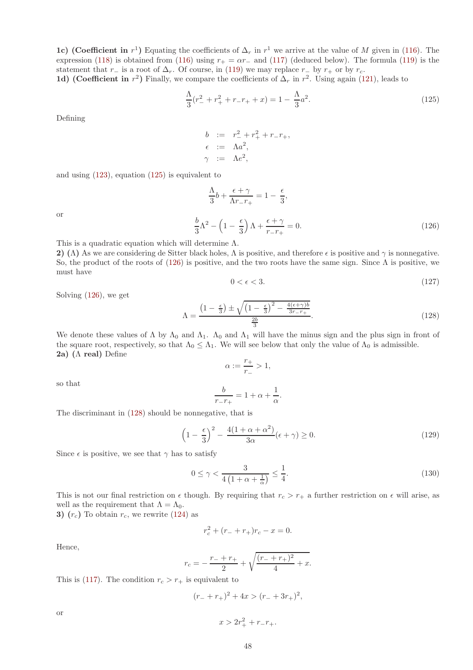1c) (Coefficient in  $r^1$ ) Equating the coefficients of  $\Delta_r$  in  $r^1$  we arrive at the value of M given in [\(116\)](#page-44-4). The expression [\(118\)](#page-44-5) is obtained from [\(116\)](#page-44-4) using  $r_{+} = \alpha r_{-}$  and [\(117\)](#page-44-7) (deduced below). The formula [\(119\)](#page-44-5) is the statement that r− is a root of  $\Delta_r$ . Of course, in [\(119\)](#page-44-5) we may replace r− by r<sub>+</sub> or by r<sub>c</sub>. 1d) (Coefficient in  $r^2$ ) Finally, we compare the coefficients of  $\Delta_r$  in  $r^2$ . Using again [\(121\)](#page-46-0), leads to

<span id="page-47-0"></span>
$$
\frac{\Lambda}{3}(r_{-}^{2} + r_{+}^{2} + r_{-}r_{+} + x) = 1 - \frac{\Lambda}{3}a^{2}.
$$
\n(125)

Defining

$$
b := r_{-}^{2} + r_{+}^{2} + r_{-}r_{+},
$$
  
\n
$$
\epsilon := \Lambda a^{2},
$$
  
\n
$$
\gamma := \Lambda e^{2},
$$

 $\frac{\epsilon + \gamma}{\Lambda r_{-}r_{+}} = 1 - \frac{\epsilon}{3}$ 

 $\frac{1}{3}$ 

Λ

 $\frac{\Lambda}{3}b + \frac{\epsilon + \gamma}{\Lambda r_{-}r_{-}}$ 

and using [\(123\)](#page-46-2), equation [\(125\)](#page-47-0) is equivalent to

or

<span id="page-47-1"></span>
$$
\frac{b}{3}\Lambda^2 - \left(1 - \frac{\epsilon}{3}\right)\Lambda + \frac{\epsilon + \gamma}{r - r_+} = 0.
$$
\n(126)

This is a quadratic equation which will determine  $\Lambda$ .

2) (Λ) As we are considering de Sitter black holes,  $\Lambda$  is positive, and therefore  $\epsilon$  is positive and  $\gamma$  is nonnegative. So, the product of the roots of [\(126\)](#page-47-1) is positive, and the two roots have the same sign. Since  $\Lambda$  is positive, we must have

<span id="page-47-5"></span>
$$
0 < \epsilon < 3. \tag{127}
$$

Solving [\(126\)](#page-47-1), we get

<span id="page-47-2"></span>
$$
\Lambda = \frac{\left(1 - \frac{\epsilon}{3}\right) \pm \sqrt{\left(1 - \frac{\epsilon}{3}\right)^2 - \frac{4(\epsilon + \gamma)b}{3r - r_+}}}{\frac{2b}{3}}.\tag{128}
$$

We denote these values of  $\Lambda$  by  $\Lambda_0$  and  $\Lambda_1$ .  $\Lambda_0$  and  $\Lambda_1$  will have the minus sign and the plus sign in front of the square root, respectively, so that  $\Lambda_0 \leq \Lambda_1$ . We will see below that only the value of  $\Lambda_0$  is admissible. 2a) ( $\Lambda$  real) Define

$$
\alpha := \frac{r_+}{r_-} > 1,
$$

so that

$$
\frac{b}{r_{-}r_{+}} = 1 + \alpha + \frac{1}{\alpha}.
$$

The discriminant in [\(128\)](#page-47-2) should be nonnegative, that is

<span id="page-47-3"></span>
$$
\left(1 - \frac{\epsilon}{3}\right)^2 - \frac{4(1 + \alpha + \alpha^2)}{3\alpha} (\epsilon + \gamma) \ge 0.
$$
\n(129)

Since  $\epsilon$  is positive, we see that  $\gamma$  has to satisfy

<span id="page-47-4"></span>
$$
0 \le \gamma < \frac{3}{4\left(1 + \alpha + \frac{1}{\alpha}\right)} \le \frac{1}{4}.\tag{130}
$$

This is not our final restriction on  $\epsilon$  though. By requiring that  $r_c > r_+$  a further restriction on  $\epsilon$  will arise, as well as the requirement that  $\Lambda = \Lambda_0$ .

3)  $(r_c)$  To obtain  $r_c$ , we rewrite [\(124\)](#page-46-3) as

$$
r_c^2 + (r_- + r_+)r_c - x = 0.
$$

Hence,

$$
r_c = -\frac{r_- + r_+}{2} + \sqrt{\frac{(r_- + r_+)^2}{4} + x}.
$$

This is [\(117\)](#page-44-7). The condition  $r_c > r_+$  is equivalent to

$$
(r_- + r_+)^2 + 4x > (r_- + 3r_+)^2,
$$

or

$$
x > 2r_+^2 + r_-r_+.
$$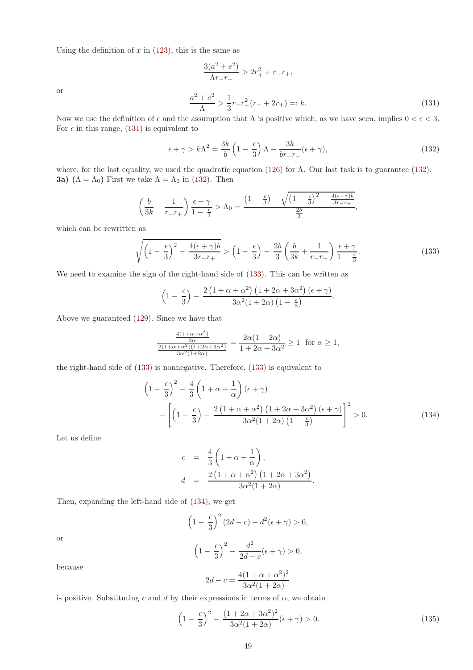Using the definition of  $x$  in [\(123\)](#page-46-2), this is the same as

<span id="page-48-0"></span>
$$
\frac{3(a^2 + e^2)}{\Lambda r_- r_+} > 2r_+^2 + r_- r_+,
$$
  

$$
\frac{a^2 + e^2}{\Lambda} > \frac{1}{3}r_- r_+^2 (r_- + 2r_+) =: k.
$$
 (131)

or

Now we use the definition of  $\epsilon$  and the assumption that  $\Lambda$  is positive which, as we have seen, implies  $0 < \epsilon < 3$ . For  $\epsilon$  in this range, [\(131\)](#page-48-0) is equivalent to

<span id="page-48-1"></span>
$$
\epsilon + \gamma > k\Lambda^2 = \frac{3k}{b} \left( 1 - \frac{\epsilon}{3} \right) \Lambda - \frac{3k}{br_- r_+} (\epsilon + \gamma), \tag{132}
$$

where, for the last equality, we used the quadratic equation [\(126\)](#page-47-1) for  $\Lambda$ . Our last task is to guarantee [\(132\)](#page-48-1). **3a)**  $(\Lambda = \Lambda_0)$  First we take  $\Lambda = \Lambda_0$  in [\(132\)](#page-48-1). Then

$$
\left(\frac{b}{3k} + \frac{1}{r_{-}r_{+}}\right)\frac{\epsilon + \gamma}{1 - \frac{\epsilon}{3}} > \Lambda_0 = \frac{\left(1 - \frac{\epsilon}{3}\right) - \sqrt{\left(1 - \frac{\epsilon}{3}\right)^2 - \frac{4(\epsilon + \gamma)b}{3r_{-}r_{+}}}}{\frac{2b}{3}},
$$

which can be rewritten as

<span id="page-48-2"></span>
$$
\sqrt{\left(1-\frac{\epsilon}{3}\right)^2 - \frac{4(\epsilon+\gamma)b}{3r_{-}r_{+}}} > \left(1-\frac{\epsilon}{3}\right) - \frac{2b}{3}\left(\frac{b}{3k} + \frac{1}{r_{-}r_{+}}\right)\frac{\epsilon+\gamma}{1-\frac{\epsilon}{3}}.\tag{133}
$$

We need to examine the sign of the right-hand side of  $(133)$ . This can be written as

$$
\left(1-\frac{\epsilon}{3}\right)-\frac{2\left(1+\alpha+\alpha^2\right)\left(1+2\alpha+3\alpha^2\right)\left(\epsilon+\gamma\right)}{3\alpha^2(1+2\alpha)\left(1-\frac{\epsilon}{3}\right)}.
$$

Above we guaranteed [\(129\)](#page-47-3). Since we have that

$$
\frac{\frac{4(1+\alpha+\alpha^2)}{3\alpha}}{\frac{2(1+\alpha+\alpha^2)(1+2\alpha+3\alpha^2)}{3\alpha^2(1+2\alpha)}} = \frac{2\alpha(1+2\alpha)}{1+2\alpha+3\alpha^2} \ge 1 \text{ for } \alpha \ge 1,
$$

the right-hand side of [\(133\)](#page-48-2) is nonnegative. Therefore, [\(133\)](#page-48-2) is equivalent to

<span id="page-48-3"></span>
$$
\left(1 - \frac{\epsilon}{3}\right)^2 - \frac{4}{3}\left(1 + \alpha + \frac{1}{\alpha}\right)(\epsilon + \gamma) \n- \left[\left(1 - \frac{\epsilon}{3}\right) - \frac{2\left(1 + \alpha + \alpha^2\right)\left(1 + 2\alpha + 3\alpha^2\right)(\epsilon + \gamma)}{3\alpha^2(1 + 2\alpha)\left(1 - \frac{\epsilon}{3}\right)}\right]^2 > 0.
$$
\n(134)

Let us define

$$
c = \frac{4}{3} \left( 1 + \alpha + \frac{1}{\alpha} \right),
$$
  
\n
$$
d = \frac{2 \left( 1 + \alpha + \alpha^2 \right) \left( 1 + 2\alpha + 3\alpha^2 \right)}{3\alpha^2 (1 + 2\alpha)}.
$$

Then, expanding the left-hand side of [\(134\)](#page-48-3), we get

$$
\left(1 - \frac{\epsilon}{3}\right)^2 (2d - c) - d^2(\epsilon + \gamma) > 0,
$$

or

$$
\left(1 - \frac{\epsilon}{3}\right)^2 - \frac{d^2}{2d - c}(\epsilon + \gamma) > 0,
$$

because

$$
2d - c = \frac{4(1 + \alpha + \alpha^2)^2}{3\alpha^2(1 + 2\alpha)}
$$

is positive. Substituting c and d by their expressions in terms of  $\alpha$ , we obtain

<span id="page-48-4"></span>
$$
\left(1 - \frac{\epsilon}{3}\right)^2 - \frac{(1 + 2\alpha + 3\alpha^2)^2}{3\alpha^2 (1 + 2\alpha)} (\epsilon + \gamma) > 0.
$$
\n(135)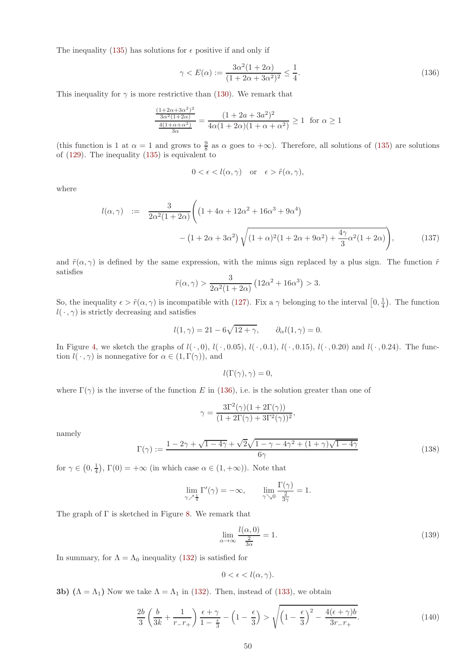The inequality [\(135\)](#page-48-4) has solutions for  $\epsilon$  positive if and only if

<span id="page-49-2"></span>
$$
\gamma < E(\alpha) := \frac{3\alpha^2 (1 + 2\alpha)}{(1 + 2\alpha + 3\alpha^2)^2} \le \frac{1}{4}.\tag{136}
$$

This inequality for  $\gamma$  is more restrictive than [\(130\)](#page-47-4). We remark that

$$
\frac{\frac{(1+2\alpha+3\alpha^2)^2}{3\alpha^2(1+2\alpha)}}{\frac{4(1+\alpha+\alpha^2)}{3\alpha}} = \frac{(1+2a+3a^2)^2}{4\alpha(1+2\alpha)(1+\alpha+\alpha^2)} \ge 1 \text{ for } \alpha \ge 1
$$

(this function is 1 at  $\alpha = 1$  and grows to  $\frac{9}{8}$  as  $\alpha$  goes to  $+\infty$ ). Therefore, all solutions of [\(135\)](#page-48-4) are solutions of [\(129\)](#page-47-3). The inequality [\(135\)](#page-48-4) is equivalent to

$$
0 < \epsilon < l(\alpha, \gamma) \quad \text{or} \quad \epsilon > \tilde{r}(\alpha, \gamma),
$$

where

<span id="page-49-0"></span>
$$
l(\alpha, \gamma) := \frac{3}{2\alpha^2 (1 + 2\alpha)} \left( \left( 1 + 4\alpha + 12\alpha^2 + 16\alpha^3 + 9\alpha^4 \right) - \left( 1 + 2\alpha + 3\alpha^2 \right) \sqrt{(1 + \alpha)^2 (1 + 2\alpha + 9\alpha^2) + \frac{4\gamma}{3} \alpha^2 (1 + 2\alpha)} \right),
$$
(137)

and  $\tilde{r}(\alpha, \gamma)$  is defined by the same expression, with the minus sign replaced by a plus sign. The function  $\tilde{r}$ satisfies

$$
\tilde{r}(\alpha, \gamma) > \frac{3}{2\alpha^2 (1 + 2\alpha)} \left(12\alpha^2 + 16\alpha^3\right) > 3.
$$

So, the inequality  $\epsilon > \tilde{r}(\alpha, \gamma)$  is incompatible with [\(127\)](#page-47-5). Fix a  $\gamma$  belonging to the interval  $[0, \frac{1}{4})$ . The function  $l(\cdot, \gamma)$  is strictly decreasing and satisfies

$$
l(1, \gamma) = 21 - 6\sqrt{12 + \gamma}, \qquad \partial_{\alpha}l(1, \gamma) = 0.
$$

In Figure [4,](#page-44-1) we sketch the graphs of  $l(\cdot, 0)$ ,  $l(\cdot, 0.05)$ ,  $l(\cdot, 0.1)$ ,  $l(\cdot, 0.15)$ ,  $l(\cdot, 0.20)$  and  $l(\cdot, 0.24)$ . The function  $l(\cdot, \gamma)$  is nonnegative for  $\alpha \in (1, \Gamma(\gamma))$ , and

$$
l(\Gamma(\gamma), \gamma) = 0,
$$

where  $\Gamma(\gamma)$  is the inverse of the function E in [\(136\)](#page-49-2), i.e. is the solution greater than one of

$$
\gamma = \frac{3\Gamma^2(\gamma)(1+2\Gamma(\gamma))}{(1+2\Gamma(\gamma)+3\Gamma^2(\gamma))^2}
$$

namely

<span id="page-49-3"></span>
$$
\Gamma(\gamma) := \frac{1 - 2\gamma + \sqrt{1 - 4\gamma} + \sqrt{2}\sqrt{1 - \gamma - 4\gamma^2 + (1 + \gamma)\sqrt{1 - 4\gamma}}}{6\gamma} \tag{138}
$$

,

for  $\gamma \in (0, \frac{1}{4})$ ,  $\Gamma(0) = +\infty$  (in which case  $\alpha \in (1, +\infty)$ ). Note that

$$
\lim_{\gamma \nearrow \frac{1}{4}} \Gamma'(\gamma) = -\infty, \qquad \lim_{\gamma \searrow 0} \frac{\Gamma(\gamma)}{\frac{2}{3\gamma}} = 1.
$$

The graph of  $\Gamma$  is sketched in Figure [8.](#page-50-2) We remark that

<span id="page-49-1"></span>
$$
\lim_{\alpha \to \infty} \frac{l(\alpha, 0)}{\frac{2}{3\alpha}} = 1.
$$
\n(139)

In summary, for  $\Lambda = \Lambda_0$  inequality [\(132\)](#page-48-1) is satisfied for

$$
0 < \epsilon < l(\alpha, \gamma).
$$

**3b)**  $(\Lambda = \Lambda_1)$  Now we take  $\Lambda = \Lambda_1$  in [\(132\)](#page-48-1). Then, instead of [\(133\)](#page-48-2), we obtain

<span id="page-49-4"></span>
$$
\frac{2b}{3}\left(\frac{b}{3k} + \frac{1}{r_1 - r_+}\right)\frac{\epsilon + \gamma}{1 - \frac{\epsilon}{3}} - \left(1 - \frac{\epsilon}{3}\right) > \sqrt{\left(1 - \frac{\epsilon}{3}\right)^2 - \frac{4(\epsilon + \gamma)b}{3r_1 - r_+}}.
$$
\n(140)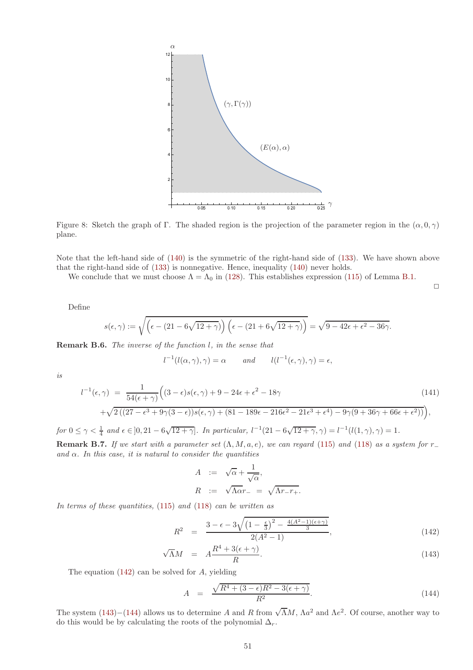

<span id="page-50-2"></span>Figure 8: Sketch the graph of Γ. The shaded region is the projection of the parameter region in the  $(\alpha, 0, \gamma)$ plane.

Note that the left-hand side of [\(140\)](#page-49-4) is the symmetric of the right-hand side of [\(133\)](#page-48-2). We have shown above that the right-hand side of [\(133\)](#page-48-2) is nonnegative. Hence, inequality [\(140\)](#page-49-4) never holds.

We conclude that we must choose  $\Lambda = \Lambda_0$  in [\(128\)](#page-47-2). This establishes expression [\(115\)](#page-44-3) of Lemma [B.1.](#page-43-3)

Define

$$
s(\epsilon,\gamma) := \sqrt{\left(\epsilon - (21 - 6\sqrt{12 + \gamma})\right)\left(\epsilon - (21 + 6\sqrt{12 + \gamma})\right)} = \sqrt{9 - 42\epsilon + \epsilon^2 - 36\gamma}.
$$

<span id="page-50-0"></span>Remark B.6. The inverse of the function l, in the sense that l

$$
^{-1}(l(\alpha,\gamma),\gamma) = \alpha \quad \text{and} \quad l(l^{-1}(\epsilon,\gamma),\gamma) = \epsilon,
$$

is

<span id="page-50-1"></span>
$$
l^{-1}(\epsilon,\gamma) = \frac{1}{54(\epsilon+\gamma)} \Big( (3-\epsilon)s(\epsilon,\gamma) + 9 - 24\epsilon + \epsilon^2 - 18\gamma
$$
\n
$$
+ \sqrt{2((27-\epsilon^3+9\gamma(3-\epsilon))s(\epsilon,\gamma) + (81-189\epsilon-216\epsilon^2-21\epsilon^3+\epsilon^4) - 9\gamma(9+36\gamma+66\epsilon+\epsilon^2))} \Big),
$$
\n
$$
(141)
$$

 $for \ 0 \le \gamma < \frac{1}{4} \ and \ \epsilon \in ]0, 21 - 6\sqrt{12 + \gamma}]$ . In particular,  $l^{-1}(21 - 6\sqrt{12 + \gamma}, \gamma) = l^{-1}(l(1, \gamma), \gamma) = 1$ .

**Remark B.7.** If we start with a parameter set  $(\Lambda, M, a, e)$ , we can regard [\(115\)](#page-44-3) and [\(118\)](#page-44-5) as a system for r− and  $\alpha$ . In this case, it is natural to consider the quantities

$$
A := \sqrt{\alpha} + \frac{1}{\sqrt{\alpha}},
$$
  

$$
R := \sqrt{\Lambda \alpha} r_{-} = \sqrt{\Lambda r_{-} r_{+}}.
$$

In terms of these quantities, [\(115\)](#page-44-3) and [\(118\)](#page-44-5) can be written as

<span id="page-50-3"></span>
$$
R^{2} = \frac{3 - \epsilon - 3\sqrt{\left(1 - \frac{\epsilon}{3}\right)^{2} - \frac{4(A^{2} - 1)(\epsilon + \gamma)}{3}}}{2(A^{2} - 1)},
$$
\n(142)

 $\Box$ 

$$
\sqrt{\Lambda}M = A\frac{R^4 + 3(\epsilon + \gamma)}{R}.\tag{143}
$$

The equation [\(142\)](#page-50-3) can be solved for A, yielding

<span id="page-50-4"></span>
$$
A = \frac{\sqrt{R^4 + (3 - \epsilon)R^2 - 3(\epsilon + \gamma)}}{R^2}.
$$
\n(144)

The system [\(143\)](#page-50-3)−[\(144\)](#page-50-4) allows us to determine A and R from  $\sqrt{\Lambda}M$ ,  $\Lambda a^2$  and  $\Lambda e^2$ . Of course, another way to do this would be by calculating the roots of the polynomial  $\Delta_r$ .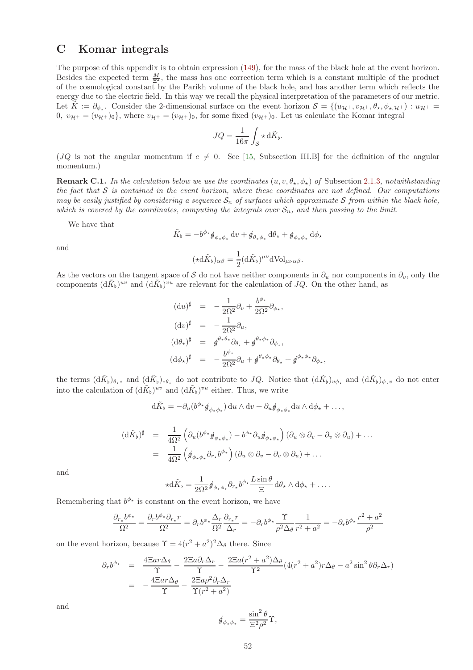# <span id="page-51-0"></span>C Komar integrals

The purpose of this appendix is to obtain expression [\(149\)](#page-53-0), for the mass of the black hole at the event horizon. Besides the expected term  $\frac{M}{\Xi^2}$ , the mass has one correction term which is a constant multiple of the product of the cosmological constant by the Parikh volume of the black hole, and has another term which reflects the energy due to the electric field. In this way we recall the physical interpretation of the parameters of our metric. Let  $\tilde{K} := \partial_{\phi_{\star}}$ . Consider the 2-dimensional surface on the event horizon  $\mathcal{S} = \{(u_{\mathcal{H}^+}, v_{\mathcal{H}^+}, \theta_{\star}, \phi_{\star, \mathcal{H}^+}) : u_{\mathcal{H}^+} =$  $0, v_{\mathcal{H}^+} = (v_{\mathcal{H}^+})_0$ , where  $v_{\mathcal{H}^+} = (v_{\mathcal{H}^+})_0$ , for some fixed  $(v_{\mathcal{H}^+})_0$ . Let us calculate the Komar integral

$$
JQ = \frac{1}{16\pi} \int_{\mathcal{S}} \star \, \mathrm{d}\tilde{K}_{\flat}
$$

.

(JQ is not the angular momentum if  $e \neq 0$ . See [\[15,](#page-54-18) Subsection III.B] for the definition of the angular momentum.)

**Remark C.1.** In the calculation below we use the coordinates  $(u, v, \theta_{\star}, \phi_{\star})$  of Subsection [2.1.3](#page-6-0), notwithstanding the fact that  $S$  is contained in the event horizon, where these coordinates are not defined. Our computations may be easily justified by considering a sequence  $S_n$  of surfaces which approximate S from within the black hole, which is covered by the coordinates, computing the integrals over  $S_n$ , and then passing to the limit.

We have that

$$
\tilde{K}_{\flat} = -b^{\phi_{\star}} \oint_{\phi_{\star} \phi_{\star}} dv + \oint_{\theta_{\star} \phi_{\star}} d\theta_{\star} + \oint_{\phi_{\star} \phi_{\star}} d\phi_{\star}
$$

and

$$
(\star \mathrm{d} \tilde{K}_{\flat})_{\alpha\beta} = \frac{1}{2} (\mathrm{d} \tilde{K}_{\flat})^{\mu\nu} \mathrm{d} \mathrm{Vol}_{\mu\nu\alpha\beta}.
$$

As the vectors on the tangent space of S do not have neither components in  $\partial_u$  nor components in  $\partial_v$ , only the components  $(d\tilde{K}_\flat)^{uv}$  and  $(d\tilde{K}_\flat)^{vu}$  are relevant for the calculation of JQ. On the other hand, as

$$
(du)^{\sharp} = -\frac{1}{2\Omega^{2}}\partial_{v} + \frac{b^{\phi_{\star}}}{2\Omega^{2}}\partial_{\phi_{\star}},
$$
  
\n
$$
(dv)^{\sharp} = -\frac{1}{2\Omega^{2}}\partial_{u},
$$
  
\n
$$
(d\theta_{\star})^{\sharp} = g^{\theta_{\star}\theta_{\star}}\partial_{\theta_{\star}} + g^{\theta_{\star}\phi_{\star}}\partial_{\phi_{\star}},
$$
  
\n
$$
(d\phi_{\star})^{\sharp} = -\frac{b^{\phi_{\star}}}{2\Omega^{2}}\partial_{u} + g^{\theta_{\star}\phi_{\star}}\partial_{\theta_{\star}} + g^{\phi_{\star}\phi_{\star}}\partial_{\phi_{\star}}
$$

the terms  $(d\tilde{K}_{\flat})_{\theta_{\star}}$  and  $(d\tilde{K}_{\flat})_{\ast\theta_{\star}}$  do not contribute to  $JQ$ . Notice that  $(d\tilde{K}_{\flat})_{v\phi_{\star}}$  and  $(d\tilde{K}_{\flat})_{\phi_{\star}v}$  do not enter into the calculation of  $(d\tilde{K}_\flat)^{uv}$  and  $(d\tilde{K}_\flat)^{vu}$  either. Thus, we write

,

$$
\mathrm{d}\tilde{K}_{\flat} = -\partial_{u}(b^{\phi_{\star}}\mathcal{J}_{\phi_{\star}\phi_{\star}})\,\mathrm{d}u\wedge\mathrm{d}v + \partial_{u}\mathcal{J}_{\phi_{\star}\phi_{\star}}\mathrm{d}u\wedge\mathrm{d}\phi_{\star} + \ldots,
$$

$$
\begin{array}{rcl}\n(\mathrm{d}\tilde{K}_{\flat})^{\sharp} & = & \frac{1}{4\Omega^{2}} \left( \partial_{u} (b^{\phi_{\star}} \phi_{\phi_{\star} \phi_{\star}}) - b^{\phi_{\star}} \partial_{u} \phi_{\phi_{\star} \phi_{\star}} \right) \left( \partial_{u} \otimes \partial_{v} - \partial_{v} \otimes \partial_{u} \right) + \dots \\
 & = & \frac{1}{4\Omega^{2}} \left( \phi_{\phi_{\star} \phi_{\star}} \partial_{r_{\star}} b^{\phi_{\star}} \right) \left( \partial_{u} \otimes \partial_{v} - \partial_{v} \otimes \partial_{u} \right) + \dots\n\end{array}
$$

and

$$
\star \mathrm{d}\tilde{K}_{\flat} = \frac{1}{2\Omega^2} \oint_{\phi_{\star}\phi_{\star}} \partial_{r_{\star}} b^{\phi_{\star}} \frac{L \sin \theta}{\Xi} \, \mathrm{d}\theta_{\star} \wedge \mathrm{d}\phi_{\star} + \dots
$$

Remembering that  $b^{\phi_\star}$  is constant on the event horizon, we have

$$
\frac{\partial_{r*}b^{\phi*}}{\Omega^2} = \frac{\partial_r b^{\phi*} \partial_{r*} r}{\Omega^2} = \partial_r b^{\phi*} \frac{\Delta_r}{\Omega^2} \frac{\partial_{r*} r}{\Delta_r} = -\partial_r b^{\phi*} \frac{\Upsilon}{\rho^2 \Delta_\theta} \frac{1}{r^2 + a^2} = -\partial_r b^{\phi*} \frac{r^2 + a^2}{\rho^2}
$$

on the event horizon, because  $\Upsilon = 4(r^2 + a^2)^2 \Delta_{\theta}$  there. Since

$$
\partial_r b^{\phi_{\star}} = \frac{4\Xi a r \Delta_{\theta}}{\Upsilon} - \frac{2\Xi a \partial_r \Delta_r}{\Upsilon} - \frac{2\Xi a (r^2 + a^2) \Delta_{\theta}}{\Upsilon^2} (4(r^2 + a^2) r \Delta_{\theta} - a^2 \sin^2 \theta \partial_r \Delta_r)
$$

$$
= -\frac{4\Xi a r \Delta_{\theta}}{\Upsilon} - \frac{2\Xi a \rho^2 \partial_r \Delta_r}{\Upsilon (r^2 + a^2)}
$$

and

$$
\oint_{\phi_{\star}\phi_{\star}} = \frac{\sin^2\theta}{\Xi^2 \rho^2} \Upsilon,
$$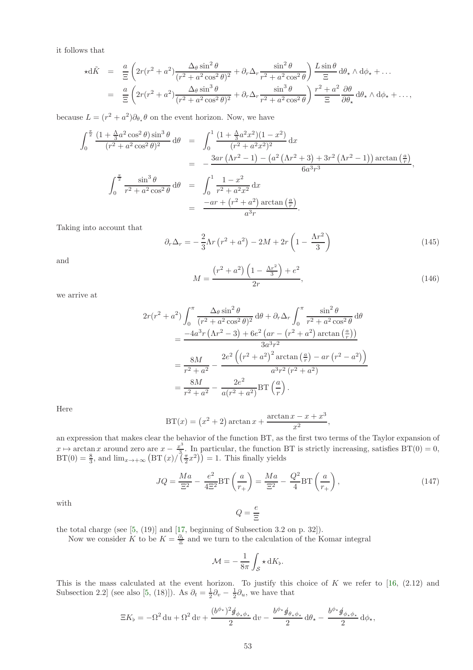it follows that

$$
\star d\tilde{K} = \frac{a}{\Xi} \left( 2r(r^2 + a^2) \frac{\Delta_{\theta} \sin^2 \theta}{(r^2 + a^2 \cos^2 \theta)^2} + \partial_r \Delta_r \frac{\sin^2 \theta}{r^2 + a^2 \cos^2 \theta} \right) \frac{L \sin \theta}{\Xi} d\theta_{\star} \wedge d\phi_{\star} + \dots
$$
  

$$
= \frac{a}{\Xi} \left( 2r(r^2 + a^2) \frac{\Delta_{\theta} \sin^3 \theta}{(r^2 + a^2 \cos^2 \theta)^2} + \partial_r \Delta_r \frac{\sin^3 \theta}{r^2 + a^2 \cos^2 \theta} \right) \frac{r^2 + a^2}{\Xi} \frac{\partial \theta}{\partial \theta_{\star}} d\theta_{\star} \wedge d\phi_{\star} + \dots,
$$

because  $L = (r^2 + a^2) \partial_{\theta_{\star}} \theta$  on the event horizon. Now, we have

$$
\int_0^{\frac{\pi}{2}} \frac{(1+\frac{\Lambda}{3}a^2\cos^2\theta)\sin^3\theta}{(r^2+a^2\cos^2\theta)^2} d\theta = \int_0^1 \frac{(1+\frac{\Lambda}{3}a^2x^2)(1-x^2)}{(r^2+a^2x^2)^2} dx
$$
  
\n
$$
= -\frac{3ar(\Lambda r^2-1) - (a^2(\Lambda r^2+3) + 3r^2(\Lambda r^2-1))\arctan(\frac{a}{r})}{6a^3r^3},
$$
  
\n
$$
\int_0^{\frac{\pi}{2}} \frac{\sin^3\theta}{r^2+a^2\cos^2\theta} d\theta = \int_0^1 \frac{1-x^2}{r^2+a^2x^2} dx
$$
  
\n
$$
= \frac{-ar + (r^2+a^2)\arctan(\frac{a}{r})}{a^3r}.
$$

Taking into account that

<span id="page-52-0"></span>
$$
\partial_r \Delta_r = -\frac{2}{3} \Lambda r \left( r^2 + a^2 \right) - 2M + 2r \left( 1 - \frac{\Lambda r^2}{3} \right) \tag{145}
$$

and

<span id="page-52-1"></span>
$$
M = \frac{\left(r^2 + a^2\right)\left(1 - \frac{\Lambda r^2}{3}\right) + e^2}{2r},\tag{146}
$$

we arrive at

$$
2r(r^2 + a^2) \int_0^{\pi} \frac{\Delta_{\theta} \sin^2 \theta}{(r^2 + a^2 \cos^2 \theta)^2} d\theta + \partial_r \Delta_r \int_0^{\pi} \frac{\sin^2 \theta}{r^2 + a^2 \cos^2 \theta} d\theta
$$
  
= 
$$
\frac{-4a^3r \left(\Lambda r^2 - 3\right) + 6e^2 \left(ar - \left(r^2 + a^2\right) \arctan\left(\frac{a}{r}\right)\right)}{3a^3r^2}
$$
  
= 
$$
\frac{8M}{r^2 + a^2} - \frac{2e^2 \left(\left(r^2 + a^2\right)^2 \arctan\left(\frac{a}{r}\right) - ar \left(r^2 - a^2\right)\right)}{a^3r^2 \left(r^2 + a^2\right)}
$$
  
= 
$$
\frac{8M}{r^2 + a^2} - \frac{2e^2}{a(r^2 + a^2)} \text{BT}\left(\frac{a}{r}\right).
$$

Here

$$
BT(x) = (x2 + 2) \arctan x + \frac{\arctan x - x + x3}{x2},
$$

an expression that makes clear the behavior of the function BT, as the first two terms of the Taylor expansion of  $x \mapsto \arctan x$  around zero are  $x - \frac{x^3}{3}$  $\frac{e^2}{3}$ . In particular, the function BT is strictly increasing, satisfies BT(0) = 0,  $BT(0) = \frac{8}{3}$ , and  $\lim_{x \to +\infty} \left( BT(x) / (\frac{\pi}{2}x^2) \right) = 1$ . This finally yields

<span id="page-52-2"></span>
$$
JQ = \frac{Ma}{\Xi^2} - \frac{e^2}{4\Xi^2} BT\left(\frac{a}{r_+}\right) = \frac{Ma}{\Xi^2} - \frac{Q^2}{4} BT\left(\frac{a}{r_+}\right),\tag{147}
$$

with

$$
Q=\frac{e}{\Xi}
$$

the total charge (see [\[5,](#page-54-19) (19)] and [\[17,](#page-54-10) beginning of Subsection 3.2 on p. 32]).

Now we consider K to be  $K = \frac{\partial_t}{\partial \bar{z}}$  and we turn to the calculation of the Komar integral

$$
\mathcal{M} = -\frac{1}{8\pi} \int_{\mathcal{S}} \star \, \mathrm{d}K_{\flat}.
$$

This is the mass calculated at the event horizon. To justify this choice of  $K$  we refer to  $[16, (2.12)$  and Subsection 2.2] (see also [\[5,](#page-54-19) (18)]). As  $\partial_t = \frac{1}{2}\partial_v - \frac{1}{2}\partial_u$ , we have that

$$
\Xi K_{\flat} = -\Omega^2 du + \Omega^2 dv + \frac{(b^{\phi_{\star}})^2 \oint_{\phi_{\star} \phi_{\star}} dv}{2} - \frac{b^{\phi_{\star}} \oint_{\theta_{\star} \phi_{\star}} d\theta_{\star} - \frac{b^{\phi_{\star}} \oint_{\phi_{\star} \phi_{\star}} d\phi_{\star}}{2} d\phi_{\star},
$$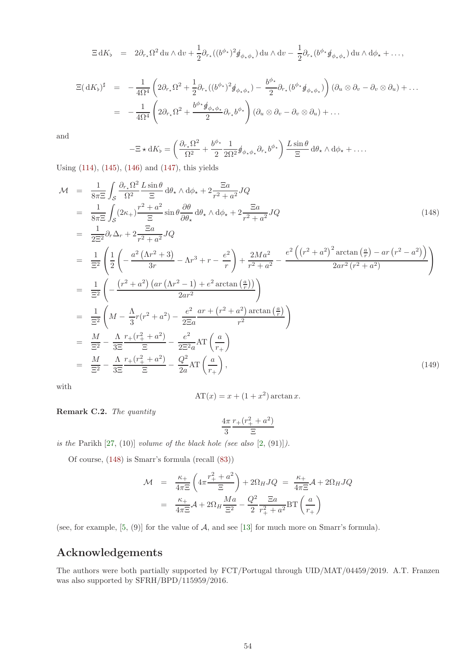$$
\Xi \, dK_{\flat} = 2 \partial_{r_{\star}} \Omega^2 \, du \wedge dv + \frac{1}{2} \partial_{r_{\star}} ((b^{\phi_{\star}})^2 \mathbf{y}_{\phi_{\star} \phi_{\star}}) \, du \wedge dv - \frac{1}{2} \partial_{r_{\star}} (b^{\phi_{\star}} \mathbf{y}_{\phi_{\star} \phi_{\star}}) \, du \wedge d\phi_{\star} + \dots,
$$

$$
\begin{split}\n\Xi(\mathrm{d}K_{\flat})^{\sharp} &= -\frac{1}{4\Omega^{4}} \left( 2\partial_{r_{\star}}\Omega^{2} + \frac{1}{2}\partial_{r_{\star}}((b^{\phi_{\star}})^{2}\mathbf{y}_{\phi_{\star}\phi_{\star}}) - \frac{b^{\phi_{\star}}}{2}\partial_{r_{\star}}(b^{\phi_{\star}}\mathbf{y}_{\phi_{\star}\phi_{\star}}) \right) (\partial_{u} \otimes \partial_{v} - \partial_{v} \otimes \partial_{u}) + \dots \\
&= -\frac{1}{4\Omega^{4}} \left( 2\partial_{r_{\star}}\Omega^{2} + \frac{b^{\phi_{\star}}\mathbf{y}_{\phi_{\star}\phi_{\star}}}{2}\partial_{r_{\star}}b^{\phi_{\star}} \right) (\partial_{u} \otimes \partial_{v} - \partial_{v} \otimes \partial_{u}) + \dots\n\end{split}
$$

and

$$
-\Xi \star dK_{\flat} = \left(\frac{\partial_{r_{\star}}\Omega^{2}}{\Omega^{2}} + \frac{b^{\phi_{\star}}}{2} \frac{1}{2\Omega^{2}} \phi_{\phi_{\star}\phi_{\star}} \partial_{r_{\star}} b^{\phi_{\star}}\right) \frac{L \sin \theta}{\Xi} d\theta_{\star} \wedge d\phi_{\star} + \dots
$$

Using [\(114\)](#page-42-1), [\(145\)](#page-52-0), [\(146\)](#page-52-1) and [\(147\)](#page-52-2), this yields

<span id="page-53-0"></span>
$$
\mathcal{M} = \frac{1}{8\pi\Xi} \int_{S} \frac{\partial_{r_{*}}\Omega^{2}}{\Omega^{2}} \frac{L \sin\theta}{\Xi} d\theta_{*} \wedge d\phi_{*} + 2 \frac{\Xi a}{r^{2} + a^{2}} JQ
$$
\n
$$
= \frac{1}{8\pi\Xi} \int_{S} (2\kappa_{+}) \frac{r^{2} + a^{2}}{\Xi} \sin\theta \frac{\partial\theta}{\partial\theta_{*}} d\theta_{*} \wedge d\phi_{*} + 2 \frac{\Xi a}{r^{2} + a^{2}} JQ
$$
\n
$$
= \frac{1}{2\Xi^{2}} \partial_{r} \Delta_{r} + 2 \frac{\Xi a}{r^{2} + a^{2}} JQ
$$
\n
$$
= \frac{1}{\Xi^{2}} \left( \frac{1}{2} \left( -\frac{a^{2} (\Lambda r^{2} + 3)}{3r} - \Lambda r^{3} + r - \frac{e^{2}}{r} \right) + \frac{2Ma^{2}}{r^{2} + a^{2}} - \frac{e^{2} \left( (r^{2} + a^{2})^{2} \arctan\left(\frac{a}{r}\right) - ar\left(r^{2} - a^{2}\right) \right)}{2ar^{2} (r^{2} + a^{2})} \right)
$$
\n
$$
= \frac{1}{\Xi^{2}} \left( -\frac{(r^{2} + a^{2}) \left( ar\left(\Lambda r^{2} - 1\right) + e^{2} \arctan\left(\frac{a}{r}\right)}{2ar^{2}} \right)
$$
\n
$$
= \frac{1}{\Xi^{2}} \left( M - \frac{\Lambda}{3} r(r^{2} + a^{2}) - \frac{e^{2}}{2\Xi a} \frac{ar + \left(r^{2} + a^{2}\right) \arctan\left(\frac{a}{r}\right)}{r^{2}} \right)
$$
\n
$$
= \frac{M}{\Xi^{2}} - \frac{\Lambda}{3\Xi} \frac{r + \left(r_{+}^{2} + a^{2}\right)}{\Xi} - \frac{e^{2}}{2\Xi^{2} a} \text{AT} \left(\frac{a}{r_{+}}\right)
$$
\n
$$
= \frac{M}{\Xi^{2}} - \frac{\Lambda}{3\Xi} \frac{r + \left(r_{+}^{2} + a^{2}\right)}{\Xi} - \frac{Q^{2}}{2a} \text{AT}
$$

with

$$
AT(x) = x + (1 + x^2) \arctan x.
$$

Remark C.2. The quantity

$$
\frac{4\pi}{3}\frac{r_+(r_+^2+a^2)}{\Xi}
$$

is the Parikh  $[27, (10)]$  volume of the black hole (see also  $[2, (91)]$  $[2, (91)]$ ).

Of course, [\(148\)](#page-53-0) is Smarr's formula (recall [\(83\)](#page-30-8))

$$
\mathcal{M} = \frac{\kappa_+}{4\pi\Xi} \left( 4\pi \frac{r_+^2 + a^2}{\Xi} \right) + 2\Omega_H JQ = \frac{\kappa_+}{4\pi\Xi} \mathcal{A} + 2\Omega_H JQ
$$

$$
= \frac{\kappa_+}{4\pi\Xi} \mathcal{A} + 2\Omega_H \frac{Ma}{\Xi^2} - \frac{Q^2}{2} \frac{\Xi a}{r_+^2 + a^2} \text{BT} \left( \frac{a}{r_+} \right)
$$

(see, for example,  $[5, (9)]$  for the value of  $A$ , and see [\[13\]](#page-54-22) for much more on Smarr's formula).

# Acknowledgements

The authors were both partially supported by FCT/Portugal through UID/MAT/04459/2019. A.T. Franzen was also supported by SFRH/BPD/115959/2016.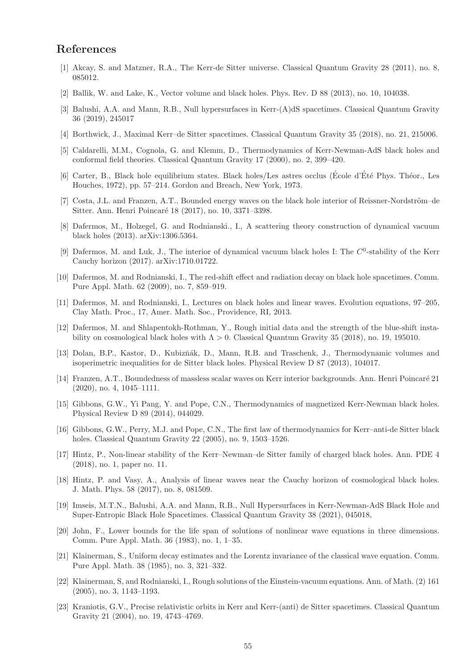# <span id="page-54-1"></span>References

- <span id="page-54-21"></span>[1] Akcay, S. and Matzner, R.A., The Kerr-de Sitter universe. Classical Quantum Gravity 28 (2011), no. 8, 085012.
- <span id="page-54-4"></span>[2] Ballik, W. and Lake, K., Vector volume and black holes. Phys. Rev. D 88 (2013), no. 10, 104038.
- <span id="page-54-8"></span>[3] Balushi, A.A. and Mann, R.B., Null hypersurfaces in Kerr-(A)dS spacetimes. Classical Quantum Gravity 36 (2019), 245017
- <span id="page-54-19"></span>[4] Borthwick, J., Maximal Kerr–de Sitter spacetimes. Classical Quantum Gravity 35 (2018), no. 21, 215006.
- [5] Caldarelli, M.M., Cognola, G. and Klemm, D., Thermodynamics of Kerr-Newman-AdS black holes and conformal field theories. Classical Quantum Gravity 17 (2000), no. 2, 399–420.
- <span id="page-54-0"></span>[6] Carter, B., Black hole equilibrium states. Black holes/Les astres occlus (École d'Été Phys. Théor., Les Houches, 1972), pp. 57–214. Gordon and Breach, New York, 1973.
- <span id="page-54-14"></span><span id="page-54-7"></span>[7] Costa, J.L. and Franzen, A.T., Bounded energy waves on the black hole interior of Reissner-Nordström–de Sitter. Ann. Henri Poincaré 18 (2017), no. 10, 3371–3398.
- [8] Dafermos, M., Holzegel, G. and Rodnianski., I., A scattering theory construction of dynamical vacuum black holes (2013). arXiv:1306.5364.
- <span id="page-54-3"></span>[9] Dafermos, M. and Luk, J., The interior of dynamical vacuum black holes I: The  $C^0$ -stability of the Kerr Cauchy horizon (2017). arXiv:1710.01722.
- <span id="page-54-15"></span>[10] Dafermos, M. and Rodnianski, I., The red-shift effect and radiation decay on black hole spacetimes. Comm. Pure Appl. Math. 62 (2009), no. 7, 859–919.
- <span id="page-54-16"></span>[11] Dafermos, M. and Rodnianski, I., Lectures on black holes and linear waves. Evolution equations, 97–205, Clay Math. Proc., 17, Amer. Math. Soc., Providence, RI, 2013.
- <span id="page-54-17"></span>[12] Dafermos, M. and Shlapentokh-Rothman, Y., Rough initial data and the strength of the blue-shift instability on cosmological black holes with  $\Lambda > 0$ . Classical Quantum Gravity 35 (2018), no. 19, 195010.
- <span id="page-54-22"></span>[13] Dolan, B.P., Kastor, D., Kubizňák, D., Mann, R.B. and Traschenk, J., Thermodynamic volumes and isoperimetric inequalities for de Sitter black holes. Physical Review D 87 (2013), 104017.
- <span id="page-54-6"></span>[14] Franzen, A.T., Boundedness of massless scalar waves on Kerr interior backgrounds. Ann. Henri Poincar´e 21 (2020), no. 4, 1045–1111.
- <span id="page-54-18"></span>[15] Gibbons, G.W., Yi Pang, Y. and Pope, C.N., Thermodynamics of magnetized Kerr-Newman black holes. Physical Review D 89 (2014), 044029.
- <span id="page-54-20"></span>[16] Gibbons, G.W., Perry, M.J. and Pope, C.N., The first law of thermodynamics for Kerr–anti-de Sitter black holes. Classical Quantum Gravity 22 (2005), no. 9, 1503–1526.
- <span id="page-54-10"></span>[17] Hintz, P., Non-linear stability of the Kerr–Newman–de Sitter family of charged black holes. Ann. PDE 4 (2018), no. 1, paper no. 11.
- <span id="page-54-9"></span>[18] Hintz, P. and Vasy, A., Analysis of linear waves near the Cauchy horizon of cosmological black holes. J. Math. Phys. 58 (2017), no. 8, 081509.
- <span id="page-54-5"></span>[19] Imseis, M.T.N., Balushi, A.A. and Mann, R.B., Null Hypersurfaces in Kerr-Newman-AdS Black Hole and Super-Entropic Black Hole Spacetimes. Classical Quantum Gravity 38 (2021), 045018,
- <span id="page-54-11"></span>[20] John, F., Lower bounds for the life span of solutions of nonlinear wave equations in three dimensions. Comm. Pure Appl. Math. 36 (1983), no. 1, 1–35.
- <span id="page-54-12"></span>[21] Klainerman, S., Uniform decay estimates and the Lorentz invariance of the classical wave equation. Comm. Pure Appl. Math. 38 (1985), no. 3, 321–332.
- <span id="page-54-13"></span>[22] Klainerman, S, and Rodnianski, I., Rough solutions of the Einstein-vacuum equations. Ann. of Math. (2) 161 (2005), no. 3, 1143–1193.
- <span id="page-54-2"></span>[23] Kraniotis, G.V., Precise relativistic orbits in Kerr and Kerr-(anti) de Sitter spacetimes. Classical Quantum Gravity 21 (2004), no. 19, 4743–4769.